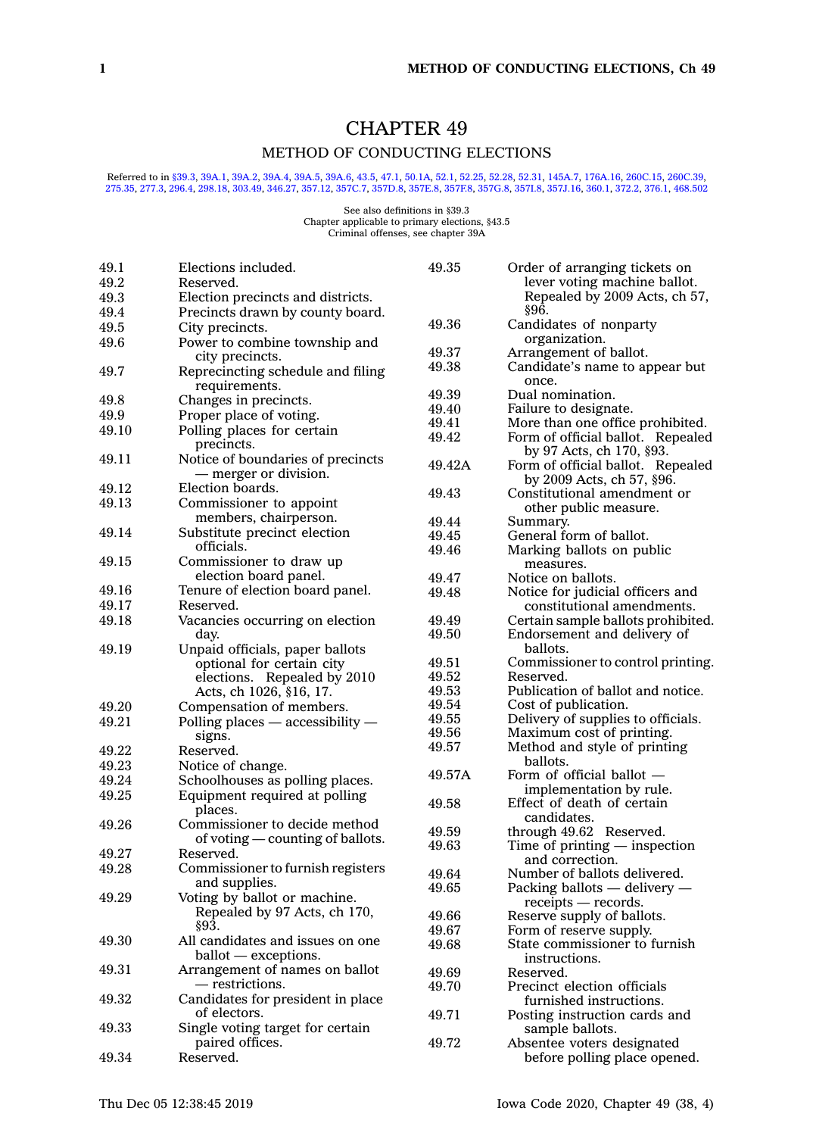# CHAPTER 49

# METHOD OF CONDUCTING ELECTIONS

# Referred to in [§39.3](https://www.legis.iowa.gov/docs/code/39.3.pdf), [39A.1,](https://www.legis.iowa.gov/docs/code/39A.1.pdf) [39A.2,](https://www.legis.iowa.gov/docs/code/39A.2.pdf) [39A.4,](https://www.legis.iowa.gov/docs/code/39A.4.pdf) [39A.5,](https://www.legis.iowa.gov/docs/code/39A.5.pdf) [39A.6](https://www.legis.iowa.gov/docs/code/39A.6.pdf), [43.5](https://www.legis.iowa.gov/docs/code/43.5.pdf), [47.1,](https://www.legis.iowa.gov/docs/code/47.1.pdf) [50.1A](https://www.legis.iowa.gov/docs/code/50.1A.pdf), [52.1](https://www.legis.iowa.gov/docs/code/52.1.pdf), [52.25](https://www.legis.iowa.gov/docs/code/52.25.pdf), [52.28,](https://www.legis.iowa.gov/docs/code/52.28.pdf) [52.31](https://www.legis.iowa.gov/docs/code/52.31.pdf), [145A.7](https://www.legis.iowa.gov/docs/code/145A.7.pdf), [176A.16,](https://www.legis.iowa.gov/docs/code/176A.16.pdf) [260C.15](https://www.legis.iowa.gov/docs/code/260C.15.pdf), [260C.39](https://www.legis.iowa.gov/docs/code/260C.39.pdf),<br>[275.35](https://www.legis.iowa.gov/docs/code/275.35.pdf), [277.3](https://www.legis.iowa.gov/docs/code/277.3.pdf), [296.4](https://www.legis.iowa.gov/docs/code/296.4.pdf), [298.18](https://www.legis.iowa.gov/docs/code/298.18.pdf), [303.49](https://www.legis.iowa.gov/docs/code/303.49.pdf), [346.27](https://www.legis.iowa.gov/docs/code/346.27.pdf), [357.12](https://www.legis.iowa.gov/docs/code/357.12.pdf), [357C.7,](https://www.legis.iowa.gov/docs/code/357C.7.pdf) [357D.8](https://www.legis.iowa.gov/docs/code/357D.8.pdf), [357E.8](https://www.legis.iowa.gov/docs/code/357E.8.pdf), 357E.8

See also definitions in §39.3 Chapter applicable to primary elections, §43.5 Criminal offenses, see chapter 39A

| 49.1  | Elections included.                                        | 49.35  | Order of arranging tickets on                                  |
|-------|------------------------------------------------------------|--------|----------------------------------------------------------------|
| 49.2  | Reserved.                                                  |        | lever voting machine ballot.                                   |
| 49.3  | Election precincts and districts.                          |        | Repealed by 2009 Acts, ch 57,                                  |
| 49.4  | Precincts drawn by county board.                           |        | §96.                                                           |
| 49.5  | City precincts.                                            | 49.36  | Candidates of nonparty                                         |
| 49.6  | Power to combine township and                              |        | organization.                                                  |
|       | city precincts.                                            | 49.37  | Arrangement of ballot.                                         |
| 49.7  | Reprecincting schedule and filing<br>requirements.         | 49.38  | Candidate's name to appear but<br>once.                        |
| 49.8  | Changes in precincts.                                      | 49.39  | Dual nomination.                                               |
| 49.9  | Proper place of voting.                                    | 49.40  | Failure to designate.                                          |
| 49.10 |                                                            | 49.41  | More than one office prohibited.                               |
|       | Polling places for certain<br>precincts.                   | 49.42  | Form of official ballot. Repealed<br>by 97 Acts, ch 170, §93.  |
| 49.11 | Notice of boundaries of precincts<br>— merger or division. | 49.42A | Form of official ballot. Repealed<br>by 2009 Acts, ch 57, §96. |
| 49.12 | Election boards.                                           | 49.43  | Constitutional amendment or                                    |
| 49.13 | Commissioner to appoint                                    |        | other public measure.                                          |
|       | members, chairperson.                                      | 49.44  | Summary.                                                       |
| 49.14 | Substitute precinct election                               | 49.45  | General form of ballot.                                        |
| 49.15 | officials.<br>Commissioner to draw up                      | 49.46  | Marking ballots on public                                      |
|       | election board panel.                                      |        | measures.                                                      |
| 49.16 |                                                            | 49.47  | Notice on ballots.                                             |
|       | Tenure of election board panel.<br>Reserved.               | 49.48  | Notice for judicial officers and                               |
| 49.17 |                                                            |        | constitutional amendments.                                     |
| 49.18 | Vacancies occurring on election                            | 49.49  | Certain sample ballots prohibited.                             |
| 49.19 | day.<br>Unpaid officials, paper ballots                    | 49.50  | Endorsement and delivery of<br>ballots.                        |
|       | optional for certain city                                  | 49.51  | Commissioner to control printing.                              |
|       | elections. Repealed by 2010                                | 49.52  | Reserved.                                                      |
|       | Acts, ch 1026, §16, 17.                                    | 49.53  | Publication of ballot and notice.                              |
| 49.20 |                                                            | 49.54  | Cost of publication.                                           |
|       | Compensation of members.                                   | 49.55  | Delivery of supplies to officials.                             |
| 49.21 | Polling places $-$ accessibility $-$                       | 49.56  | Maximum cost of printing.                                      |
|       | signs.                                                     | 49.57  | Method and style of printing                                   |
| 49.22 | Reserved.                                                  |        | ballots.                                                       |
| 49.23 | Notice of change.                                          | 49.57A | Form of official ballot -                                      |
| 49.24 | Schoolhouses as polling places.                            |        | implementation by rule.                                        |
| 49.25 | Equipment required at polling                              | 49.58  | Effect of death of certain                                     |
|       | places.                                                    |        | candidates.                                                    |
| 49.26 | Commissioner to decide method                              | 49.59  | through 49.62 Reserved.                                        |
|       | of voting — counting of ballots.                           | 49.63  | Time of $printing$ - inspection                                |
| 49.27 | Reserved.                                                  |        | and correction.                                                |
| 49.28 | Commissioner to furnish registers                          | 49.64  | Number of ballots delivered.                                   |
|       | and supplies.                                              | 49.65  | Packing ballots $-$ delivery $-$                               |
| 49.29 | Voting by ballot or machine.                               |        | receipts — records.                                            |
|       | Repealed by 97 Acts, ch 170,                               | 49.66  | Reserve supply of ballots.                                     |
|       | §93.                                                       | 49.67  | Form of reserve supply.                                        |
| 49.30 | All candidates and issues on one<br>$ballot - exceptions.$ | 49.68  | State commissioner to furnish<br>instructions.                 |
| 49.31 | Arrangement of names on ballot                             | 49.69  | Reserved.                                                      |
|       | — restrictions.                                            | 49.70  | Precinct election officials                                    |
| 49.32 | Candidates for president in place                          |        | furnished instructions.                                        |
|       | of electors.                                               | 49.71  | Posting instruction cards and                                  |
| 49.33 | Single voting target for certain                           |        | sample ballots.                                                |
|       | paired offices.                                            | 49.72  | Absentee voters designated                                     |
| 49.34 | Reserved.                                                  |        | before polling place opened.                                   |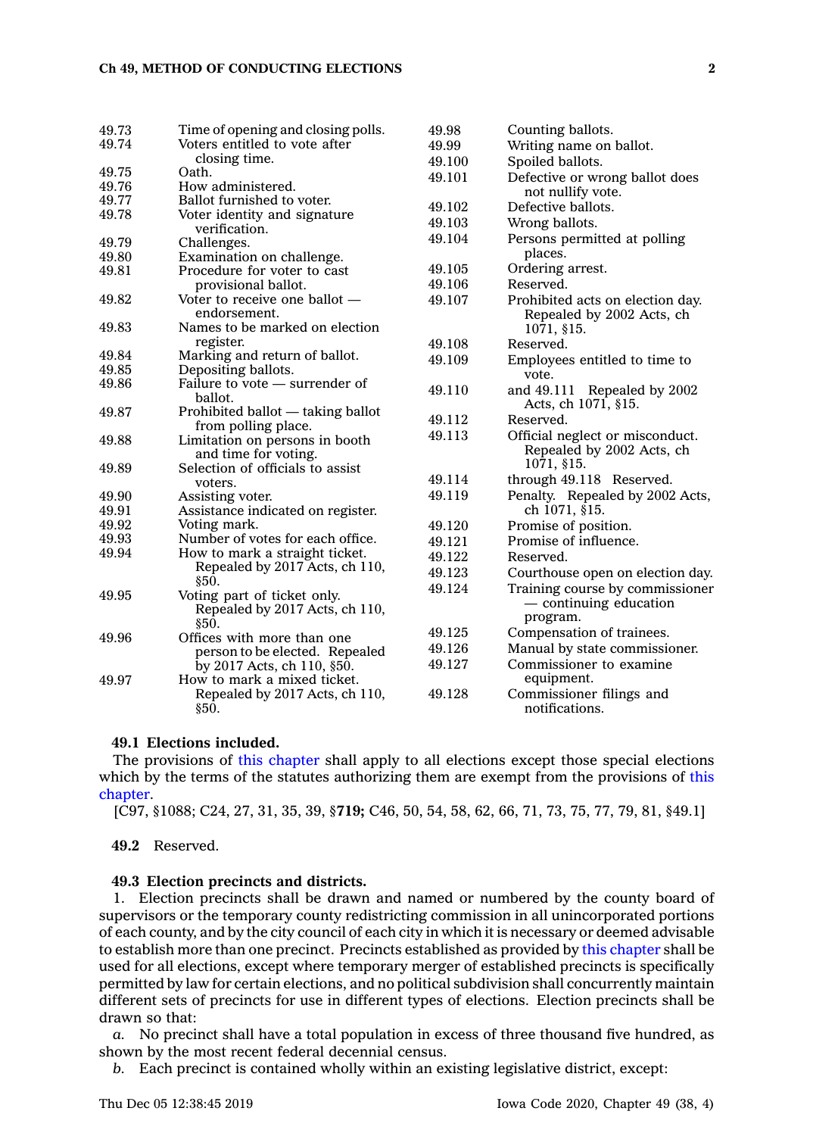| 49.73          | Time of opening and closing polls.       | 49.98  | Counting ballots.                                  |
|----------------|------------------------------------------|--------|----------------------------------------------------|
| 49.74          | Voters entitled to vote after            | 49.99  | Writing name on ballot.                            |
|                | closing time.                            | 49.100 | Spoiled ballots.                                   |
| 49.75          | Oath.                                    | 49.101 | Defective or wrong ballot does                     |
| 49.76          | How administered.                        |        | not nullify vote.                                  |
| 49.77          | Ballot furnished to voter.               | 49.102 | Defective ballots.                                 |
| 49.78          | Voter identity and signature             | 49.103 | Wrong ballots.                                     |
|                | verification.                            | 49.104 | Persons permitted at polling                       |
| 49.79<br>49.80 | Challenges.<br>Examination on challenge. |        | places.                                            |
| 49.81          | Procedure for voter to cast              | 49.105 | Ordering arrest.                                   |
|                | provisional ballot.                      | 49.106 | Reserved.                                          |
| 49.82          | Voter to receive one ballot —            | 49.107 | Prohibited acts on election day.                   |
|                | endorsement.                             |        | Repealed by 2002 Acts, ch                          |
| 49.83          | Names to be marked on election           |        | 1071, §15.                                         |
|                | register.                                | 49.108 | Reserved.                                          |
| 49.84          | Marking and return of ballot.            | 49.109 | Employees entitled to time to                      |
| 49.85          | Depositing ballots.                      |        | vote.                                              |
| 49.86          | Failure to vote – surrender of           | 49.110 |                                                    |
|                | ballot.                                  |        | and 49.111 Repealed by 2002<br>Acts, ch 1071, §15. |
| 49.87          | Prohibited ballot — taking ballot        | 49.112 | Reserved.                                          |
|                | from polling place.                      |        |                                                    |
| 49.88          | Limitation on persons in booth           | 49.113 | Official neglect or misconduct.                    |
|                | and time for voting.                     |        | Repealed by 2002 Acts, ch                          |
| 49.89          | Selection of officials to assist         |        | 1071, §15.                                         |
|                | voters.                                  | 49.114 | through 49.118 Reserved.                           |
| 49.90          | Assisting voter.                         | 49.119 | Penalty. Repealed by 2002 Acts,                    |
| 49.91          | Assistance indicated on register.        |        | ch 1071, §15.                                      |
| 49.92          | Voting mark.                             | 49.120 | Promise of position.                               |
| 49.93          | Number of votes for each office.         | 49.121 | Promise of influence.                              |
| 49.94          | How to mark a straight ticket.           | 49.122 | Reserved.                                          |
|                | Repealed by 2017 Acts, ch 110,<br>§50.   | 49.123 | Courthouse open on election day.                   |
| 49.95          | Voting part of ticket only.              | 49.124 | Training course by commissioner                    |
|                | Repealed by 2017 Acts, ch 110,           |        | $-$ continuing education                           |
|                | §50.                                     |        | program.                                           |
| 49.96          | Offices with more than one               | 49.125 | Compensation of trainees.                          |
|                | person to be elected. Repealed           | 49.126 | Manual by state commissioner.                      |
|                | by 2017 Acts, ch 110, §50.               | 49.127 | Commissioner to examine                            |
| 49.97          | How to mark a mixed ticket.              |        | equipment.                                         |
|                | Repealed by 2017 Acts, ch 110,           | 49.128 | Commissioner filings and                           |
|                | \$50.                                    |        | notifications.                                     |

# **49.1 Elections included.**

The provisions of this [chapter](https://www.legis.iowa.gov/docs/code//49.pdf) shall apply to all elections except those special elections which by the terms of the statutes authorizing them are exempt from the provisions of [this](https://www.legis.iowa.gov/docs/code//49.pdf) [chapter](https://www.legis.iowa.gov/docs/code//49.pdf).

[C97, §1088; C24, 27, 31, 35, 39, §**719;** C46, 50, 54, 58, 62, 66, 71, 73, 75, 77, 79, 81, §49.1]

**49.2** Reserved.

#### **49.3 Election precincts and districts.**

1. Election precincts shall be drawn and named or numbered by the county board of supervisors or the temporary county redistricting commission in all unincorporated portions of each county, and by the city council of each city in which it is necessary or deemed advisable to establish more than one precinct. Precincts established as provided by this [chapter](https://www.legis.iowa.gov/docs/code//49.pdf) shall be used for all elections, except where temporary merger of established precincts is specifically permitted by law for certain elections, and no political subdivision shall concurrently maintain different sets of precincts for use in different types of elections. Election precincts shall be drawn so that:

*a.* No precinct shall have <sup>a</sup> total population in excess of three thousand five hundred, as shown by the most recent federal decennial census.

*b.* Each precinct is contained wholly within an existing legislative district, except: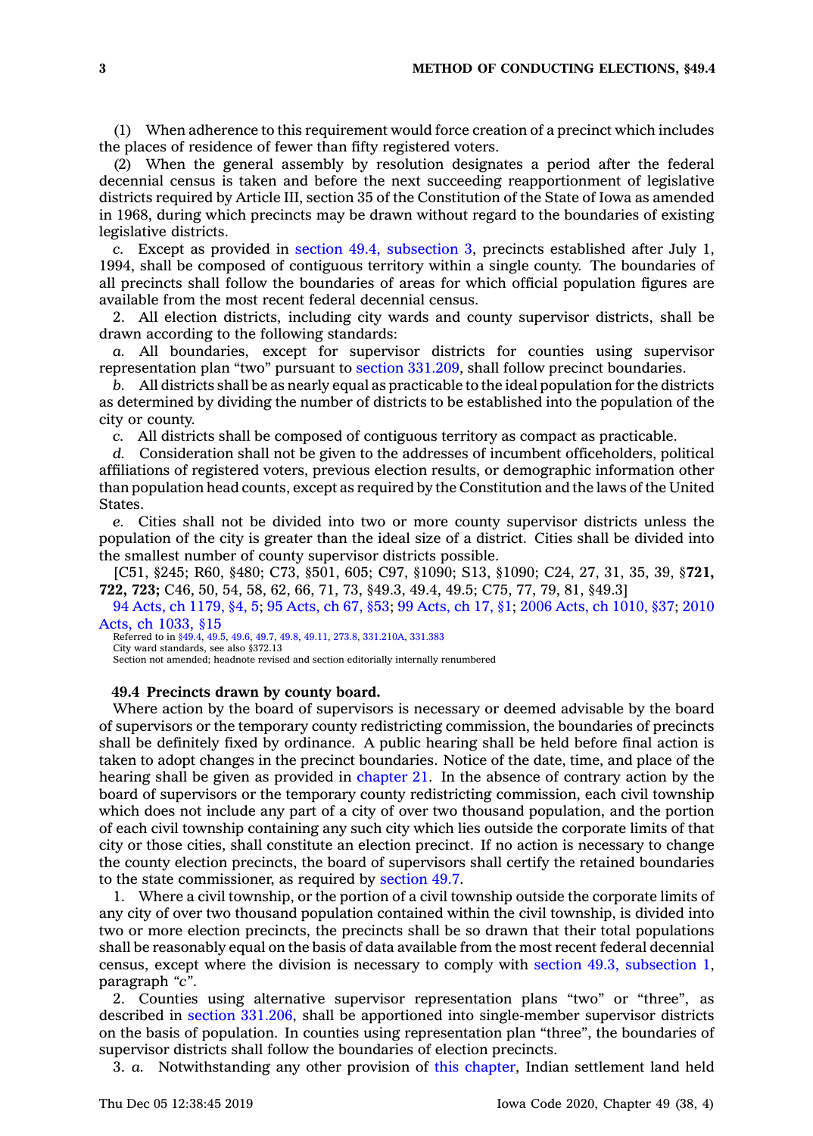(1) When adherence to this requirement would force creation of <sup>a</sup> precinct which includes the places of residence of fewer than fifty registered voters.

(2) When the general assembly by resolution designates <sup>a</sup> period after the federal decennial census is taken and before the next succeeding reapportionment of legislative districts required by Article III, section 35 of the Constitution of the State of Iowa as amended in 1968, during which precincts may be drawn without regard to the boundaries of existing legislative districts.

*c.* Except as provided in section 49.4, [subsection](https://www.legis.iowa.gov/docs/code/49.4.pdf) 3, precincts established after July 1, 1994, shall be composed of contiguous territory within <sup>a</sup> single county. The boundaries of all precincts shall follow the boundaries of areas for which official population figures are available from the most recent federal decennial census.

2. All election districts, including city wards and county supervisor districts, shall be drawn according to the following standards:

*a.* All boundaries, except for supervisor districts for counties using supervisor representation plan "two" pursuant to section [331.209](https://www.legis.iowa.gov/docs/code/331.209.pdf), shall follow precinct boundaries.

*b.* All districts shall be as nearly equal as practicable to the ideal population for the districts as determined by dividing the number of districts to be established into the population of the city or county.

*c.* All districts shall be composed of contiguous territory as compact as practicable.

*d.* Consideration shall not be given to the addresses of incumbent officeholders, political affiliations of registered voters, previous election results, or demographic information other than population head counts, except as required by the Constitution and the laws of the United States.

*e.* Cities shall not be divided into two or more county supervisor districts unless the population of the city is greater than the ideal size of <sup>a</sup> district. Cities shall be divided into the smallest number of county supervisor districts possible.

[C51, §245; R60, §480; C73, §501, 605; C97, §1090; S13, §1090; C24, 27, 31, 35, 39, §**721, 722, 723;** C46, 50, 54, 58, 62, 66, 71, 73, §49.3, 49.4, 49.5; C75, 77, 79, 81, §49.3]

94 Acts, ch [1179,](https://www.legis.iowa.gov/docs/acts/94/CH1179.pdf) §4, 5; 95 [Acts,](https://www.legis.iowa.gov/docs/acts/95/CH0067.pdf) ch 67, §53; 99 [Acts,](https://www.legis.iowa.gov/docs/acts/99/CH0017.pdf) ch 17, §1; 2006 Acts, ch [1010,](https://www.legis.iowa.gov/docs/acts/2006/CH1010.pdf) §37; [2010](https://www.legis.iowa.gov/docs/acts/2010/CH1033.pdf) Acts, ch [1033,](https://www.legis.iowa.gov/docs/acts/2010/CH1033.pdf) §15

Referred to in [§49.4](https://www.legis.iowa.gov/docs/code/49.4.pdf), [49.5](https://www.legis.iowa.gov/docs/code/49.5.pdf), [49.6,](https://www.legis.iowa.gov/docs/code/49.6.pdf) [49.7](https://www.legis.iowa.gov/docs/code/49.7.pdf), [49.8](https://www.legis.iowa.gov/docs/code/49.8.pdf), [49.11,](https://www.legis.iowa.gov/docs/code/49.11.pdf) [273.8,](https://www.legis.iowa.gov/docs/code/273.8.pdf) [331.210A](https://www.legis.iowa.gov/docs/code/331.210A.pdf), [331.383](https://www.legis.iowa.gov/docs/code/331.383.pdf)

City ward standards, see also §372.13

Section not amended; headnote revised and section editorially internally renumbered

## **49.4 Precincts drawn by county board.**

Where action by the board of supervisors is necessary or deemed advisable by the board of supervisors or the temporary county redistricting commission, the boundaries of precincts shall be definitely fixed by ordinance. A public hearing shall be held before final action is taken to adopt changes in the precinct boundaries. Notice of the date, time, and place of the hearing shall be given as provided in [chapter](https://www.legis.iowa.gov/docs/code//21.pdf) 21. In the absence of contrary action by the board of supervisors or the temporary county redistricting commission, each civil township which does not include any part of <sup>a</sup> city of over two thousand population, and the portion of each civil township containing any such city which lies outside the corporate limits of that city or those cities, shall constitute an election precinct. If no action is necessary to change the county election precincts, the board of supervisors shall certify the retained boundaries to the state commissioner, as required by [section](https://www.legis.iowa.gov/docs/code/49.7.pdf) 49.7.

1. Where <sup>a</sup> civil township, or the portion of <sup>a</sup> civil township outside the corporate limits of any city of over two thousand population contained within the civil township, is divided into two or more election precincts, the precincts shall be so drawn that their total populations shall be reasonably equal on the basis of data available from the most recent federal decennial census, except where the division is necessary to comply with section 49.3, [subsection](https://www.legis.iowa.gov/docs/code/49.3.pdf) 1, paragraph *"c"*.

2. Counties using alternative supervisor representation plans "two" or "three", as described in section [331.206](https://www.legis.iowa.gov/docs/code/331.206.pdf), shall be apportioned into single-member supervisor districts on the basis of population. In counties using representation plan "three", the boundaries of supervisor districts shall follow the boundaries of election precincts.

3. *a.* Notwithstanding any other provision of this [chapter](https://www.legis.iowa.gov/docs/code//49.pdf), Indian settlement land held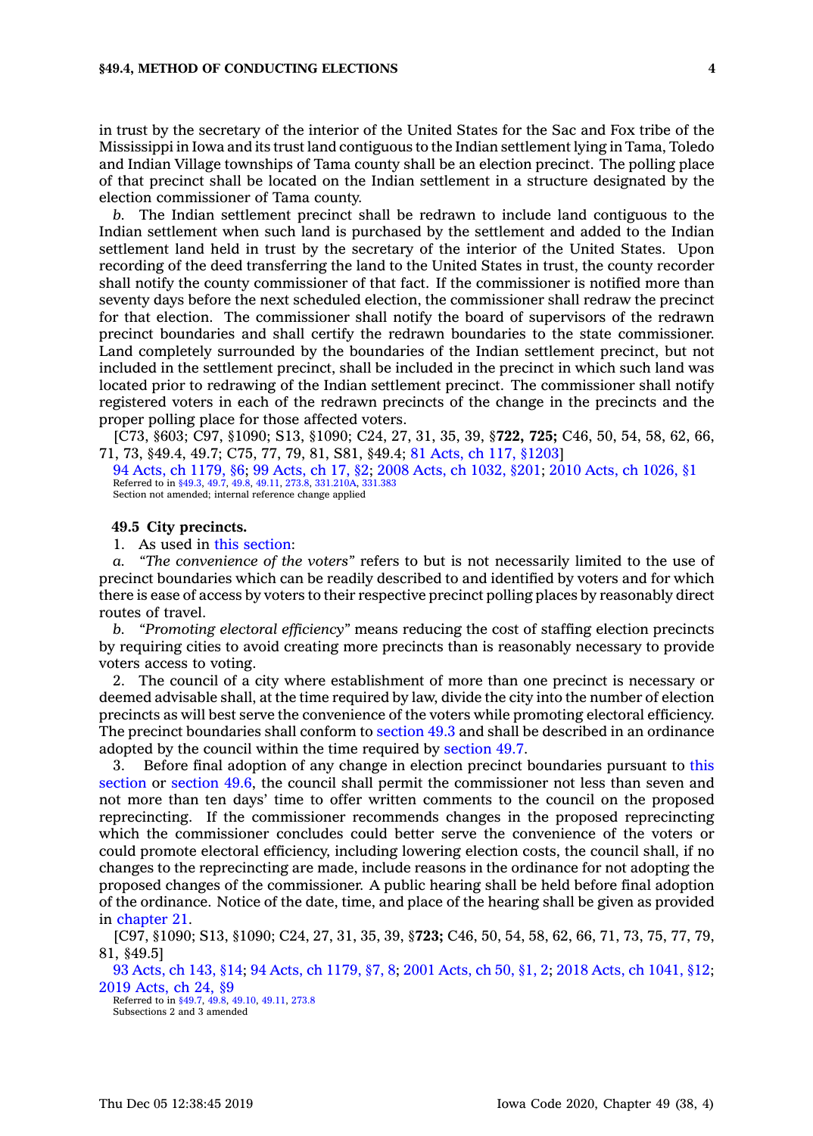in trust by the secretary of the interior of the United States for the Sac and Fox tribe of the Mississippi in Iowa and its trust land contiguous to the Indian settlement lying in Tama, Toledo and Indian Village townships of Tama county shall be an election precinct. The polling place of that precinct shall be located on the Indian settlement in <sup>a</sup> structure designated by the election commissioner of Tama county.

*b.* The Indian settlement precinct shall be redrawn to include land contiguous to the Indian settlement when such land is purchased by the settlement and added to the Indian settlement land held in trust by the secretary of the interior of the United States. Upon recording of the deed transferring the land to the United States in trust, the county recorder shall notify the county commissioner of that fact. If the commissioner is notified more than seventy days before the next scheduled election, the commissioner shall redraw the precinct for that election. The commissioner shall notify the board of supervisors of the redrawn precinct boundaries and shall certify the redrawn boundaries to the state commissioner. Land completely surrounded by the boundaries of the Indian settlement precinct, but not included in the settlement precinct, shall be included in the precinct in which such land was located prior to redrawing of the Indian settlement precinct. The commissioner shall notify registered voters in each of the redrawn precincts of the change in the precincts and the proper polling place for those affected voters.

[C73, §603; C97, §1090; S13, §1090; C24, 27, 31, 35, 39, §**722, 725;** C46, 50, 54, 58, 62, 66, 71, 73, §49.4, 49.7; C75, 77, 79, 81, S81, §49.4; 81 Acts, ch 117, [§1203](https://www.legis.iowa.gov/docs/acts/1981/CH0117.pdf)]

94 Acts, ch [1179,](https://www.legis.iowa.gov/docs/acts/94/CH1179.pdf) §6; 99 [Acts,](https://www.legis.iowa.gov/docs/acts/99/CH0017.pdf) ch 17, §2; 2008 Acts, ch [1032,](https://www.legis.iowa.gov/docs/acts/2008/CH1032.pdf) §201; 2010 Acts, ch [1026,](https://www.legis.iowa.gov/docs/acts/2010/CH1026.pdf) §1 Referred to in [§49.3,](https://www.legis.iowa.gov/docs/code/49.3.pdf) [49.7](https://www.legis.iowa.gov/docs/code/49.7.pdf), [49.8](https://www.legis.iowa.gov/docs/code/49.8.pdf), [49.11](https://www.legis.iowa.gov/docs/code/49.11.pdf), [273.8](https://www.legis.iowa.gov/docs/code/273.8.pdf), [331.210A](https://www.legis.iowa.gov/docs/code/331.210A.pdf), [331.383](https://www.legis.iowa.gov/docs/code/331.383.pdf) Section not amended; internal reference change applied

# **49.5 City precincts.**

1. As used in this [section](https://www.legis.iowa.gov/docs/code/49.5.pdf):

*a. "The convenience of the voters"* refers to but is not necessarily limited to the use of precinct boundaries which can be readily described to and identified by voters and for which there is ease of access by voters to their respective precinct polling places by reasonably direct routes of travel.

*b. "Promoting electoral efficiency"* means reducing the cost of staffing election precincts by requiring cities to avoid creating more precincts than is reasonably necessary to provide voters access to voting.

2. The council of <sup>a</sup> city where establishment of more than one precinct is necessary or deemed advisable shall, at the time required by law, divide the city into the number of election precincts as will best serve the convenience of the voters while promoting electoral efficiency. The precinct boundaries shall conform to [section](https://www.legis.iowa.gov/docs/code/49.3.pdf) 49.3 and shall be described in an ordinance adopted by the council within the time required by [section](https://www.legis.iowa.gov/docs/code/49.7.pdf) 49.7.

3. Before final adoption of any change in election precinct boundaries pursuant to [this](https://www.legis.iowa.gov/docs/code/49.5.pdf) [section](https://www.legis.iowa.gov/docs/code/49.5.pdf) or [section](https://www.legis.iowa.gov/docs/code/49.6.pdf) 49.6, the council shall permit the commissioner not less than seven and not more than ten days' time to offer written comments to the council on the proposed reprecincting. If the commissioner recommends changes in the proposed reprecincting which the commissioner concludes could better serve the convenience of the voters or could promote electoral efficiency, including lowering election costs, the council shall, if no changes to the reprecincting are made, include reasons in the ordinance for not adopting the proposed changes of the commissioner. A public hearing shall be held before final adoption of the ordinance. Notice of the date, time, and place of the hearing shall be given as provided in [chapter](https://www.legis.iowa.gov/docs/code//21.pdf) 21.

[C97, §1090; S13, §1090; C24, 27, 31, 35, 39, §**723;** C46, 50, 54, 58, 62, 66, 71, 73, 75, 77, 79, 81, §49.5]

93 [Acts,](https://www.legis.iowa.gov/docs/acts/93/CH0143.pdf) ch 143, §14; 94 Acts, ch [1179,](https://www.legis.iowa.gov/docs/acts/94/CH1179.pdf) §7, 8; 2001 [Acts,](https://www.legis.iowa.gov/docs/acts/2001/CH0050.pdf) ch 50, §1, 2; 2018 Acts, ch [1041,](https://www.legis.iowa.gov/docs/acts/2018/CH1041.pdf) §12; 2019 [Acts,](https://www.legis.iowa.gov/docs/acts/2019/CH0024.pdf) ch 24, §9

Referred to in [§49.7](https://www.legis.iowa.gov/docs/code/49.7.pdf), [49.8](https://www.legis.iowa.gov/docs/code/49.8.pdf), [49.10](https://www.legis.iowa.gov/docs/code/49.10.pdf), [49.11,](https://www.legis.iowa.gov/docs/code/49.11.pdf) [273.8](https://www.legis.iowa.gov/docs/code/273.8.pdf) Subsections 2 and 3 amended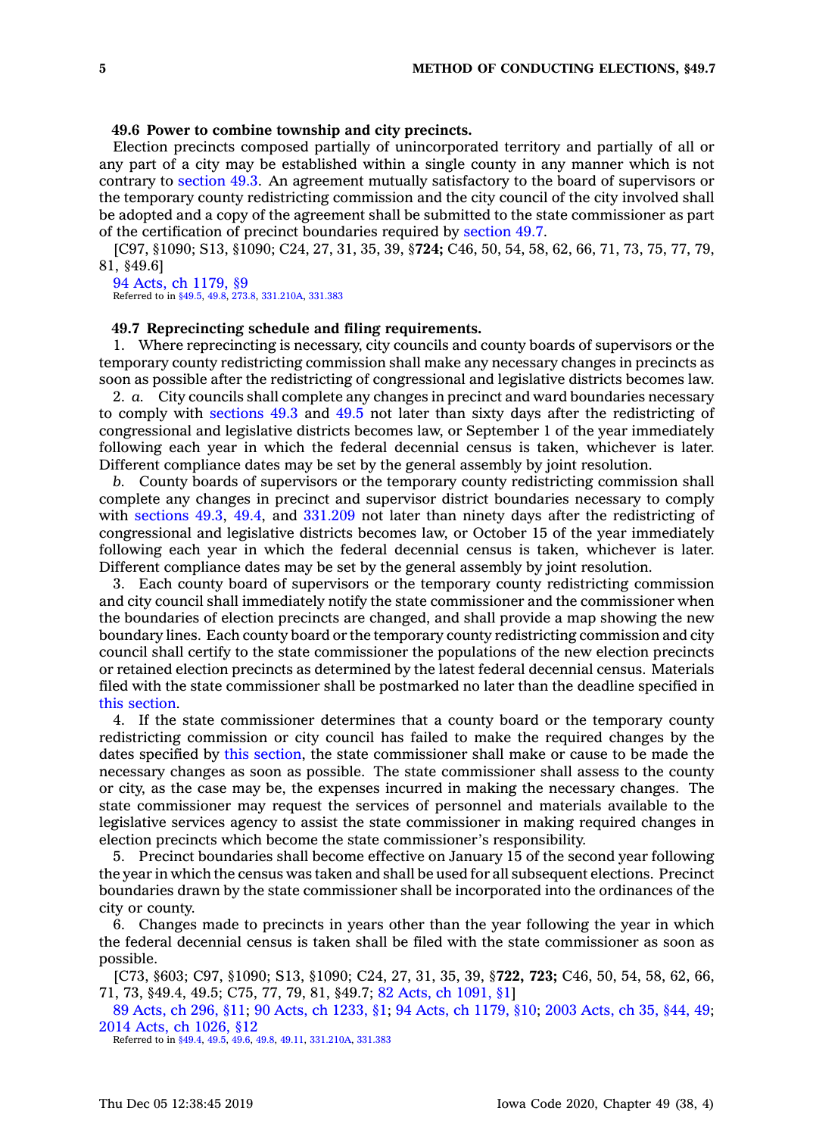# **49.6 Power to combine township and city precincts.**

Election precincts composed partially of unincorporated territory and partially of all or any part of <sup>a</sup> city may be established within <sup>a</sup> single county in any manner which is not contrary to [section](https://www.legis.iowa.gov/docs/code/49.3.pdf) 49.3. An agreement mutually satisfactory to the board of supervisors or the temporary county redistricting commission and the city council of the city involved shall be adopted and <sup>a</sup> copy of the agreement shall be submitted to the state commissioner as part of the certification of precinct boundaries required by [section](https://www.legis.iowa.gov/docs/code/49.7.pdf) 49.7.

[C97, §1090; S13, §1090; C24, 27, 31, 35, 39, §**724;** C46, 50, 54, 58, 62, 66, 71, 73, 75, 77, 79, 81, §49.6]

94 Acts, ch [1179,](https://www.legis.iowa.gov/docs/acts/1994/CH1179.pdf) §9 Referred to in [§49.5](https://www.legis.iowa.gov/docs/code/49.5.pdf), [49.8](https://www.legis.iowa.gov/docs/code/49.8.pdf), [273.8](https://www.legis.iowa.gov/docs/code/273.8.pdf), [331.210A](https://www.legis.iowa.gov/docs/code/331.210A.pdf), [331.383](https://www.legis.iowa.gov/docs/code/331.383.pdf)

## **49.7 Reprecincting schedule and filing requirements.**

1. Where reprecincting is necessary, city councils and county boards of supervisors or the temporary county redistricting commission shall make any necessary changes in precincts as soon as possible after the redistricting of congressional and legislative districts becomes law.

2. *a.* City councils shall complete any changes in precinct and ward boundaries necessary to comply with [sections](https://www.legis.iowa.gov/docs/code/49.3.pdf) 49.3 and [49.5](https://www.legis.iowa.gov/docs/code/49.5.pdf) not later than sixty days after the redistricting of congressional and legislative districts becomes law, or September 1 of the year immediately following each year in which the federal decennial census is taken, whichever is later. Different compliance dates may be set by the general assembly by joint resolution.

*b.* County boards of supervisors or the temporary county redistricting commission shall complete any changes in precinct and supervisor district boundaries necessary to comply with [sections](https://www.legis.iowa.gov/docs/code/49.3.pdf) 49.3, [49.4](https://www.legis.iowa.gov/docs/code/49.4.pdf), and [331.209](https://www.legis.iowa.gov/docs/code/331.209.pdf) not later than ninety days after the redistricting of congressional and legislative districts becomes law, or October 15 of the year immediately following each year in which the federal decennial census is taken, whichever is later. Different compliance dates may be set by the general assembly by joint resolution.

3. Each county board of supervisors or the temporary county redistricting commission and city council shall immediately notify the state commissioner and the commissioner when the boundaries of election precincts are changed, and shall provide <sup>a</sup> map showing the new boundary lines. Each county board or the temporary county redistricting commission and city council shall certify to the state commissioner the populations of the new election precincts or retained election precincts as determined by the latest federal decennial census. Materials filed with the state commissioner shall be postmarked no later than the deadline specified in this [section](https://www.legis.iowa.gov/docs/code/49.7.pdf).

4. If the state commissioner determines that <sup>a</sup> county board or the temporary county redistricting commission or city council has failed to make the required changes by the dates specified by this [section](https://www.legis.iowa.gov/docs/code/49.7.pdf), the state commissioner shall make or cause to be made the necessary changes as soon as possible. The state commissioner shall assess to the county or city, as the case may be, the expenses incurred in making the necessary changes. The state commissioner may request the services of personnel and materials available to the legislative services agency to assist the state commissioner in making required changes in election precincts which become the state commissioner's responsibility.

5. Precinct boundaries shall become effective on January 15 of the second year following the year in which the census was taken and shall be used for all subsequent elections. Precinct boundaries drawn by the state commissioner shall be incorporated into the ordinances of the city or county.

6. Changes made to precincts in years other than the year following the year in which the federal decennial census is taken shall be filed with the state commissioner as soon as possible.

[C73, §603; C97, §1090; S13, §1090; C24, 27, 31, 35, 39, §**722, 723;** C46, 50, 54, 58, 62, 66, 71, 73, §49.4, 49.5; C75, 77, 79, 81, §49.7; 82 Acts, ch [1091,](https://www.legis.iowa.gov/docs/acts/1982/CH1091.pdf) §1]

89 [Acts,](https://www.legis.iowa.gov/docs/acts/89/CH0296.pdf) ch 296, §11; 90 Acts, ch [1233,](https://www.legis.iowa.gov/docs/acts/90/CH1233.pdf) §1; 94 Acts, ch [1179,](https://www.legis.iowa.gov/docs/acts/94/CH1179.pdf) §10; 2003 [Acts,](https://www.legis.iowa.gov/docs/acts/2003/CH0035.pdf) ch 35, §44, 49; 2014 Acts, ch [1026,](https://www.legis.iowa.gov/docs/acts/2014/CH1026.pdf) §12

Referred to in [§49.4,](https://www.legis.iowa.gov/docs/code/49.4.pdf) [49.5](https://www.legis.iowa.gov/docs/code/49.5.pdf), [49.6](https://www.legis.iowa.gov/docs/code/49.6.pdf), [49.8](https://www.legis.iowa.gov/docs/code/49.8.pdf), [49.11](https://www.legis.iowa.gov/docs/code/49.11.pdf), [331.210A](https://www.legis.iowa.gov/docs/code/331.210A.pdf), [331.383](https://www.legis.iowa.gov/docs/code/331.383.pdf)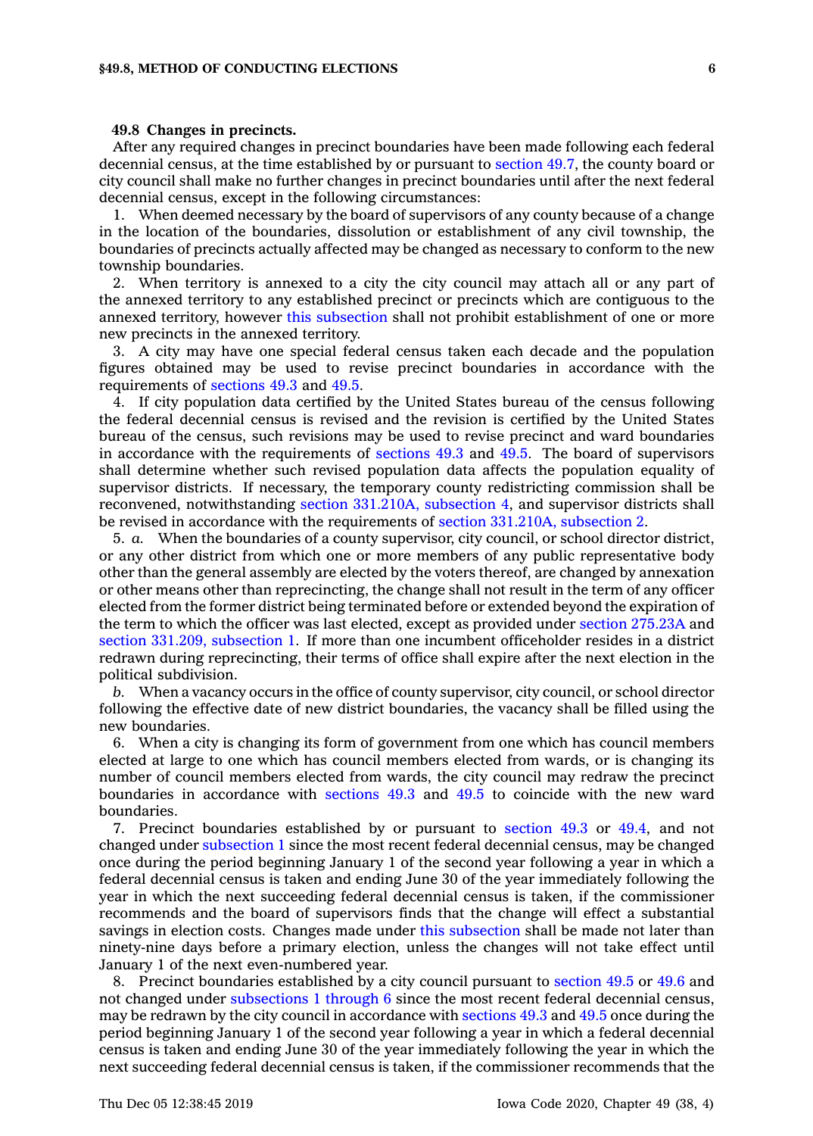## **49.8 Changes in precincts.**

After any required changes in precinct boundaries have been made following each federal decennial census, at the time established by or pursuant to [section](https://www.legis.iowa.gov/docs/code/49.7.pdf) 49.7, the county board or city council shall make no further changes in precinct boundaries until after the next federal decennial census, except in the following circumstances:

1. When deemed necessary by the board of supervisors of any county because of <sup>a</sup> change in the location of the boundaries, dissolution or establishment of any civil township, the boundaries of precincts actually affected may be changed as necessary to conform to the new township boundaries.

2. When territory is annexed to <sup>a</sup> city the city council may attach all or any part of the annexed territory to any established precinct or precincts which are contiguous to the annexed territory, however this [subsection](https://www.legis.iowa.gov/docs/code/49.8.pdf) shall not prohibit establishment of one or more new precincts in the annexed territory.

3. A city may have one special federal census taken each decade and the population figures obtained may be used to revise precinct boundaries in accordance with the requirements of [sections](https://www.legis.iowa.gov/docs/code/49.3.pdf) 49.3 and [49.5](https://www.legis.iowa.gov/docs/code/49.5.pdf).

4. If city population data certified by the United States bureau of the census following the federal decennial census is revised and the revision is certified by the United States bureau of the census, such revisions may be used to revise precinct and ward boundaries in accordance with the requirements of [sections](https://www.legis.iowa.gov/docs/code/49.3.pdf) 49.3 and [49.5](https://www.legis.iowa.gov/docs/code/49.5.pdf). The board of supervisors shall determine whether such revised population data affects the population equality of supervisor districts. If necessary, the temporary county redistricting commission shall be reconvened, notwithstanding section [331.210A,](https://www.legis.iowa.gov/docs/code/331.210A.pdf) subsection 4, and supervisor districts shall be revised in accordance with the requirements of section [331.210A,](https://www.legis.iowa.gov/docs/code/331.210A.pdf) subsection 2.

5. *a.* When the boundaries of <sup>a</sup> county supervisor, city council, or school director district, or any other district from which one or more members of any public representative body other than the general assembly are elected by the voters thereof, are changed by annexation or other means other than reprecincting, the change shall not result in the term of any officer elected from the former district being terminated before or extended beyond the expiration of the term to which the officer was last elected, except as provided under section [275.23A](https://www.legis.iowa.gov/docs/code/275.23A.pdf) and section 331.209, [subsection](https://www.legis.iowa.gov/docs/code/331.209.pdf) 1. If more than one incumbent officeholder resides in <sup>a</sup> district redrawn during reprecincting, their terms of office shall expire after the next election in the political subdivision.

*b.* When <sup>a</sup> vacancy occurs in the office of county supervisor, city council, or school director following the effective date of new district boundaries, the vacancy shall be filled using the new boundaries.

6. When <sup>a</sup> city is changing its form of government from one which has council members elected at large to one which has council members elected from wards, or is changing its number of council members elected from wards, the city council may redraw the precinct boundaries in accordance with [sections](https://www.legis.iowa.gov/docs/code/49.3.pdf) 49.3 and [49.5](https://www.legis.iowa.gov/docs/code/49.5.pdf) to coincide with the new ward boundaries.

7. Precinct boundaries established by or pursuant to [section](https://www.legis.iowa.gov/docs/code/49.3.pdf) 49.3 or [49.4](https://www.legis.iowa.gov/docs/code/49.4.pdf), and not changed under [subsection](https://www.legis.iowa.gov/docs/code/49.8.pdf) 1 since the most recent federal decennial census, may be changed once during the period beginning January 1 of the second year following <sup>a</sup> year in which <sup>a</sup> federal decennial census is taken and ending June 30 of the year immediately following the year in which the next succeeding federal decennial census is taken, if the commissioner recommends and the board of supervisors finds that the change will effect <sup>a</sup> substantial savings in election costs. Changes made under this [subsection](https://www.legis.iowa.gov/docs/code/49.8.pdf) shall be made not later than ninety-nine days before <sup>a</sup> primary election, unless the changes will not take effect until January 1 of the next even-numbered year.

8. Precinct boundaries established by <sup>a</sup> city council pursuant to [section](https://www.legis.iowa.gov/docs/code/49.5.pdf) 49.5 or [49.6](https://www.legis.iowa.gov/docs/code/49.6.pdf) and not changed under [subsections](https://www.legis.iowa.gov/docs/code/49.8.pdf) 1 through 6 since the most recent federal decennial census, may be redrawn by the city council in accordance with [sections](https://www.legis.iowa.gov/docs/code/49.3.pdf) 49.3 and [49.5](https://www.legis.iowa.gov/docs/code/49.5.pdf) once during the period beginning January 1 of the second year following <sup>a</sup> year in which <sup>a</sup> federal decennial census is taken and ending June 30 of the year immediately following the year in which the next succeeding federal decennial census is taken, if the commissioner recommends that the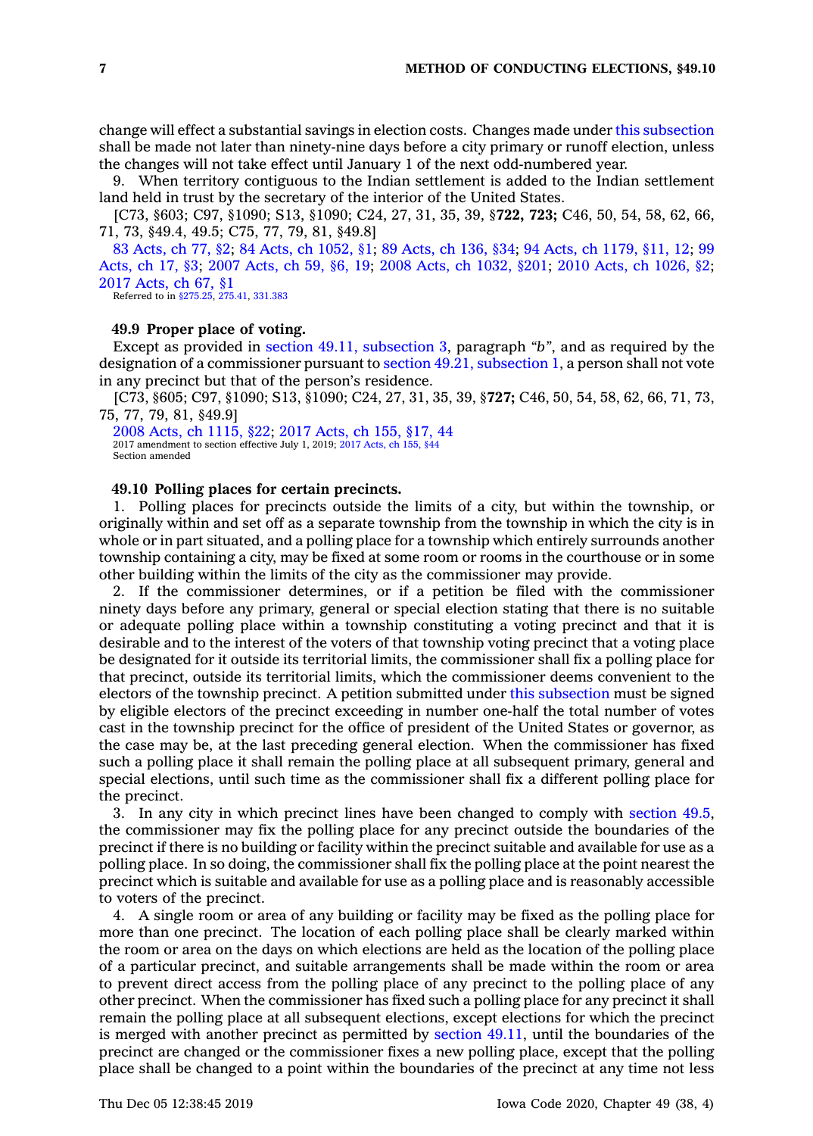change will effect <sup>a</sup> substantial savings in election costs. Changes made under this [subsection](https://www.legis.iowa.gov/docs/code/49.8.pdf) shall be made not later than ninety-nine days before <sup>a</sup> city primary or runoff election, unless the changes will not take effect until January 1 of the next odd-numbered year.

9. When territory contiguous to the Indian settlement is added to the Indian settlement land held in trust by the secretary of the interior of the United States.

[C73, §603; C97, §1090; S13, §1090; C24, 27, 31, 35, 39, §**722, 723;** C46, 50, 54, 58, 62, 66, 71, 73, §49.4, 49.5; C75, 77, 79, 81, §49.8]

83 [Acts,](https://www.legis.iowa.gov/docs/acts/83/CH0077.pdf) ch 77, §2; 84 Acts, ch [1052,](https://www.legis.iowa.gov/docs/acts/84/CH1052.pdf) §1; 89 [Acts,](https://www.legis.iowa.gov/docs/acts/89/CH0136.pdf) ch 136, §34; 94 Acts, ch [1179,](https://www.legis.iowa.gov/docs/acts/94/CH1179.pdf) §11, 12; [99](https://www.legis.iowa.gov/docs/acts/99/CH0017.pdf) [Acts,](https://www.legis.iowa.gov/docs/acts/99/CH0017.pdf) ch 17, §3; 2007 [Acts,](https://www.legis.iowa.gov/docs/acts/2007/CH0059.pdf) ch 59, §6, 19; 2008 Acts, ch [1032,](https://www.legis.iowa.gov/docs/acts/2008/CH1032.pdf) §201; 2010 Acts, ch [1026,](https://www.legis.iowa.gov/docs/acts/2010/CH1026.pdf) §2; 2017 [Acts,](https://www.legis.iowa.gov/docs/acts/2017/CH0067.pdf) ch 67, §1 Referred to in [§275.25,](https://www.legis.iowa.gov/docs/code/275.25.pdf) [275.41](https://www.legis.iowa.gov/docs/code/275.41.pdf), [331.383](https://www.legis.iowa.gov/docs/code/331.383.pdf)

# **49.9 Proper place of voting.**

Except as provided in section 49.11, [subsection](https://www.legis.iowa.gov/docs/code/49.11.pdf) 3, paragraph *"b"*, and as required by the designation of <sup>a</sup> commissioner pursuant to section 49.21, [subsection](https://www.legis.iowa.gov/docs/code/49.21.pdf) 1, <sup>a</sup> person shall not vote in any precinct but that of the person's residence.

[C73, §605; C97, §1090; S13, §1090; C24, 27, 31, 35, 39, §**727;** C46, 50, 54, 58, 62, 66, 71, 73, 75, 77, 79, 81, §49.9]

2008 Acts, ch [1115,](https://www.legis.iowa.gov/docs/acts/2008/CH1115.pdf) §22; 2017 [Acts,](https://www.legis.iowa.gov/docs/acts/2017/CH0155.pdf) ch 155, §17, 44 2017 amendment to section effective July 1, 2019; 2017 [Acts,](https://www.legis.iowa.gov/docs/acts/2017/CH0155.pdf) ch 155, §44 Section amended

## **49.10 Polling places for certain precincts.**

1. Polling places for precincts outside the limits of <sup>a</sup> city, but within the township, or originally within and set off as <sup>a</sup> separate township from the township in which the city is in whole or in part situated, and <sup>a</sup> polling place for <sup>a</sup> township which entirely surrounds another township containing <sup>a</sup> city, may be fixed at some room or rooms in the courthouse or in some other building within the limits of the city as the commissioner may provide.

2. If the commissioner determines, or if <sup>a</sup> petition be filed with the commissioner ninety days before any primary, general or special election stating that there is no suitable or adequate polling place within <sup>a</sup> township constituting <sup>a</sup> voting precinct and that it is desirable and to the interest of the voters of that township voting precinct that <sup>a</sup> voting place be designated for it outside its territorial limits, the commissioner shall fix <sup>a</sup> polling place for that precinct, outside its territorial limits, which the commissioner deems convenient to the electors of the township precinct. A petition submitted under this [subsection](https://www.legis.iowa.gov/docs/code/49.10.pdf) must be signed by eligible electors of the precinct exceeding in number one-half the total number of votes cast in the township precinct for the office of president of the United States or governor, as the case may be, at the last preceding general election. When the commissioner has fixed such <sup>a</sup> polling place it shall remain the polling place at all subsequent primary, general and special elections, until such time as the commissioner shall fix <sup>a</sup> different polling place for the precinct.

3. In any city in which precinct lines have been changed to comply with [section](https://www.legis.iowa.gov/docs/code/49.5.pdf) 49.5, the commissioner may fix the polling place for any precinct outside the boundaries of the precinct if there is no building or facility within the precinct suitable and available for use as <sup>a</sup> polling place. In so doing, the commissioner shall fix the polling place at the point nearest the precinct which is suitable and available for use as <sup>a</sup> polling place and is reasonably accessible to voters of the precinct.

4. A single room or area of any building or facility may be fixed as the polling place for more than one precinct. The location of each polling place shall be clearly marked within the room or area on the days on which elections are held as the location of the polling place of <sup>a</sup> particular precinct, and suitable arrangements shall be made within the room or area to prevent direct access from the polling place of any precinct to the polling place of any other precinct. When the commissioner has fixed such <sup>a</sup> polling place for any precinct it shall remain the polling place at all subsequent elections, except elections for which the precinct is merged with another precinct as permitted by [section](https://www.legis.iowa.gov/docs/code/49.11.pdf) 49.11, until the boundaries of the precinct are changed or the commissioner fixes <sup>a</sup> new polling place, except that the polling place shall be changed to <sup>a</sup> point within the boundaries of the precinct at any time not less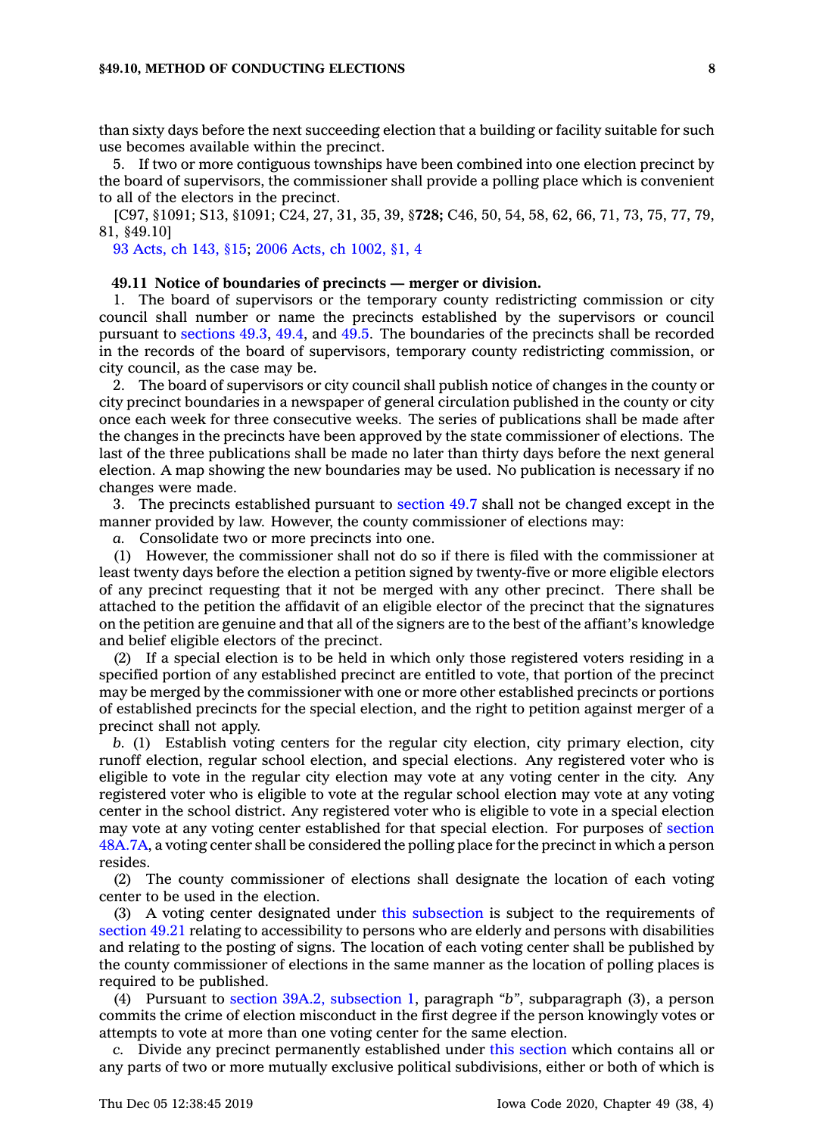than sixty days before the next succeeding election that <sup>a</sup> building or facility suitable for such use becomes available within the precinct.

5. If two or more contiguous townships have been combined into one election precinct by the board of supervisors, the commissioner shall provide <sup>a</sup> polling place which is convenient to all of the electors in the precinct.

[C97, §1091; S13, §1091; C24, 27, 31, 35, 39, §**728;** C46, 50, 54, 58, 62, 66, 71, 73, 75, 77, 79, 81, §49.10]

93 [Acts,](https://www.legis.iowa.gov/docs/acts/1993/CH0143.pdf) ch 143, §15; 2006 Acts, ch [1002,](https://www.legis.iowa.gov/docs/acts/2006/CH1002.pdf) §1, 4

#### **49.11 Notice of boundaries of precincts — merger or division.**

1. The board of supervisors or the temporary county redistricting commission or city council shall number or name the precincts established by the supervisors or council pursuant to [sections](https://www.legis.iowa.gov/docs/code/49.3.pdf) 49.3, [49.4](https://www.legis.iowa.gov/docs/code/49.4.pdf), and [49.5](https://www.legis.iowa.gov/docs/code/49.5.pdf). The boundaries of the precincts shall be recorded in the records of the board of supervisors, temporary county redistricting commission, or city council, as the case may be.

2. The board of supervisors or city council shall publish notice of changes in the county or city precinct boundaries in <sup>a</sup> newspaper of general circulation published in the county or city once each week for three consecutive weeks. The series of publications shall be made after the changes in the precincts have been approved by the state commissioner of elections. The last of the three publications shall be made no later than thirty days before the next general election. A map showing the new boundaries may be used. No publication is necessary if no changes were made.

3. The precincts established pursuant to [section](https://www.legis.iowa.gov/docs/code/49.7.pdf) 49.7 shall not be changed except in the manner provided by law. However, the county commissioner of elections may:

*a.* Consolidate two or more precincts into one.

(1) However, the commissioner shall not do so if there is filed with the commissioner at least twenty days before the election <sup>a</sup> petition signed by twenty-five or more eligible electors of any precinct requesting that it not be merged with any other precinct. There shall be attached to the petition the affidavit of an eligible elector of the precinct that the signatures on the petition are genuine and that all of the signers are to the best of the affiant's knowledge and belief eligible electors of the precinct.

(2) If <sup>a</sup> special election is to be held in which only those registered voters residing in <sup>a</sup> specified portion of any established precinct are entitled to vote, that portion of the precinct may be merged by the commissioner with one or more other established precincts or portions of established precincts for the special election, and the right to petition against merger of <sup>a</sup> precinct shall not apply.

*b.* (1) Establish voting centers for the regular city election, city primary election, city runoff election, regular school election, and special elections. Any registered voter who is eligible to vote in the regular city election may vote at any voting center in the city. Any registered voter who is eligible to vote at the regular school election may vote at any voting center in the school district. Any registered voter who is eligible to vote in <sup>a</sup> special election may vote at any voting center established for that special election. For purposes of [section](https://www.legis.iowa.gov/docs/code/48A.7A.pdf) [48A.7A](https://www.legis.iowa.gov/docs/code/48A.7A.pdf), <sup>a</sup> voting center shall be considered the polling place for the precinct in which <sup>a</sup> person resides.

(2) The county commissioner of elections shall designate the location of each voting center to be used in the election.

(3) A voting center designated under this [subsection](https://www.legis.iowa.gov/docs/code/49.11.pdf) is subject to the requirements of [section](https://www.legis.iowa.gov/docs/code/49.21.pdf) 49.21 relating to accessibility to persons who are elderly and persons with disabilities and relating to the posting of signs. The location of each voting center shall be published by the county commissioner of elections in the same manner as the location of polling places is required to be published.

(4) Pursuant to section 39A.2, [subsection](https://www.legis.iowa.gov/docs/code/39A.2.pdf) 1, paragraph *"b"*, subparagraph (3), <sup>a</sup> person commits the crime of election misconduct in the first degree if the person knowingly votes or attempts to vote at more than one voting center for the same election.

*c.* Divide any precinct permanently established under this [section](https://www.legis.iowa.gov/docs/code/49.11.pdf) which contains all or any parts of two or more mutually exclusive political subdivisions, either or both of which is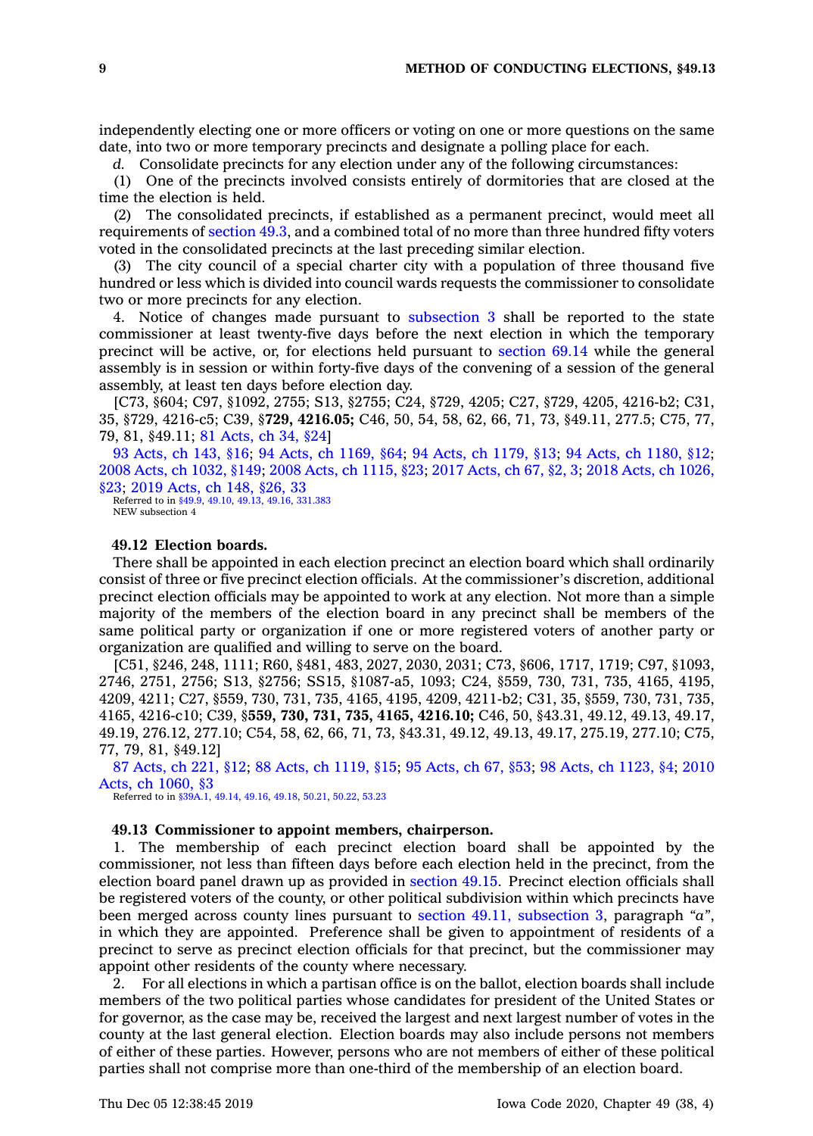independently electing one or more officers or voting on one or more questions on the same date, into two or more temporary precincts and designate <sup>a</sup> polling place for each.

*d.* Consolidate precincts for any election under any of the following circumstances:

(1) One of the precincts involved consists entirely of dormitories that are closed at the time the election is held.

(2) The consolidated precincts, if established as <sup>a</sup> permanent precinct, would meet all requirements of [section](https://www.legis.iowa.gov/docs/code/49.3.pdf) 49.3, and <sup>a</sup> combined total of no more than three hundred fifty voters voted in the consolidated precincts at the last preceding similar election.

(3) The city council of <sup>a</sup> special charter city with <sup>a</sup> population of three thousand five hundred or less which is divided into council wards requests the commissioner to consolidate two or more precincts for any election.

4. Notice of changes made pursuant to [subsection](https://www.legis.iowa.gov/docs/code/49.11.pdf) 3 shall be reported to the state commissioner at least twenty-five days before the next election in which the temporary precinct will be active, or, for elections held pursuant to [section](https://www.legis.iowa.gov/docs/code/69.14.pdf) 69.14 while the general assembly is in session or within forty-five days of the convening of <sup>a</sup> session of the general assembly, at least ten days before election day.

[C73, §604; C97, §1092, 2755; S13, §2755; C24, §729, 4205; C27, §729, 4205, 4216-b2; C31, 35, §729, 4216-c5; C39, §**729, 4216.05;** C46, 50, 54, 58, 62, 66, 71, 73, §49.11, 277.5; C75, 77, 79, 81, §49.11; 81 [Acts,](https://www.legis.iowa.gov/docs/acts/1981/CH0034.pdf) ch 34, §24]

93 [Acts,](https://www.legis.iowa.gov/docs/acts/93/CH0143.pdf) ch 143, §16; 94 Acts, ch [1169,](https://www.legis.iowa.gov/docs/acts/94/CH1169.pdf) §64; 94 Acts, ch [1179,](https://www.legis.iowa.gov/docs/acts/94/CH1179.pdf) §13; 94 Acts, ch [1180,](https://www.legis.iowa.gov/docs/acts/94/CH1180.pdf) §12; 2008 Acts, ch [1032,](https://www.legis.iowa.gov/docs/acts/2008/CH1032.pdf) §149; 2008 Acts, ch [1115,](https://www.legis.iowa.gov/docs/acts/2008/CH1115.pdf) §23; 2017 [Acts,](https://www.legis.iowa.gov/docs/acts/2017/CH0067.pdf) ch 67, §2, 3; 2018 Acts, ch [1026,](https://www.legis.iowa.gov/docs/acts/2018/CH1026.pdf) [§23](https://www.legis.iowa.gov/docs/acts/2018/CH1026.pdf); 2019 [Acts,](https://www.legis.iowa.gov/docs/acts/2019/CH0148.pdf) ch 148, §26, 33

Referred to in [§49.9](https://www.legis.iowa.gov/docs/code/49.9.pdf), [49.10](https://www.legis.iowa.gov/docs/code/49.10.pdf), [49.13](https://www.legis.iowa.gov/docs/code/49.13.pdf), [49.16](https://www.legis.iowa.gov/docs/code/49.16.pdf), [331.383](https://www.legis.iowa.gov/docs/code/331.383.pdf) NEW subsection 4

## **49.12 Election boards.**

There shall be appointed in each election precinct an election board which shall ordinarily consist of three or five precinct election officials. At the commissioner's discretion, additional precinct election officials may be appointed to work at any election. Not more than <sup>a</sup> simple majority of the members of the election board in any precinct shall be members of the same political party or organization if one or more registered voters of another party or organization are qualified and willing to serve on the board.

[C51, §246, 248, 1111; R60, §481, 483, 2027, 2030, 2031; C73, §606, 1717, 1719; C97, §1093, 2746, 2751, 2756; S13, §2756; SS15, §1087-a5, 1093; C24, §559, 730, 731, 735, 4165, 4195, 4209, 4211; C27, §559, 730, 731, 735, 4165, 4195, 4209, 4211-b2; C31, 35, §559, 730, 731, 735, 4165, 4216-c10; C39, §**559, 730, 731, 735, 4165, 4216.10;** C46, 50, §43.31, 49.12, 49.13, 49.17, 49.19, 276.12, 277.10; C54, 58, 62, 66, 71, 73, §43.31, 49.12, 49.13, 49.17, 275.19, 277.10; C75, 77, 79, 81, §49.12]

87 [Acts,](https://www.legis.iowa.gov/docs/acts/87/CH0221.pdf) ch 221, §12; 88 Acts, ch [1119,](https://www.legis.iowa.gov/docs/acts/88/CH1119.pdf) §15; 95 [Acts,](https://www.legis.iowa.gov/docs/acts/95/CH0067.pdf) ch 67, §53; 98 Acts, ch [1123,](https://www.legis.iowa.gov/docs/acts/98/CH1123.pdf) §4; [2010](https://www.legis.iowa.gov/docs/acts/2010/CH1060.pdf) Acts, ch [1060,](https://www.legis.iowa.gov/docs/acts/2010/CH1060.pdf) §3

Referred to in [§39A.1](https://www.legis.iowa.gov/docs/code/39A.1.pdf), [49.14](https://www.legis.iowa.gov/docs/code/49.14.pdf), [49.16](https://www.legis.iowa.gov/docs/code/49.16.pdf), [49.18](https://www.legis.iowa.gov/docs/code/49.18.pdf), [50.21](https://www.legis.iowa.gov/docs/code/50.21.pdf), [50.22](https://www.legis.iowa.gov/docs/code/50.22.pdf), [53.23](https://www.legis.iowa.gov/docs/code/53.23.pdf)

## **49.13 Commissioner to appoint members, chairperson.**

1. The membership of each precinct election board shall be appointed by the commissioner, not less than fifteen days before each election held in the precinct, from the election board panel drawn up as provided in [section](https://www.legis.iowa.gov/docs/code/49.15.pdf) 49.15. Precinct election officials shall be registered voters of the county, or other political subdivision within which precincts have been merged across county lines pursuant to section 49.11, [subsection](https://www.legis.iowa.gov/docs/code/49.11.pdf) 3, paragraph *"a"*, in which they are appointed. Preference shall be given to appointment of residents of <sup>a</sup> precinct to serve as precinct election officials for that precinct, but the commissioner may appoint other residents of the county where necessary.

2. For all elections in which <sup>a</sup> partisan office is on the ballot, election boards shall include members of the two political parties whose candidates for president of the United States or for governor, as the case may be, received the largest and next largest number of votes in the county at the last general election. Election boards may also include persons not members of either of these parties. However, persons who are not members of either of these political parties shall not comprise more than one-third of the membership of an election board.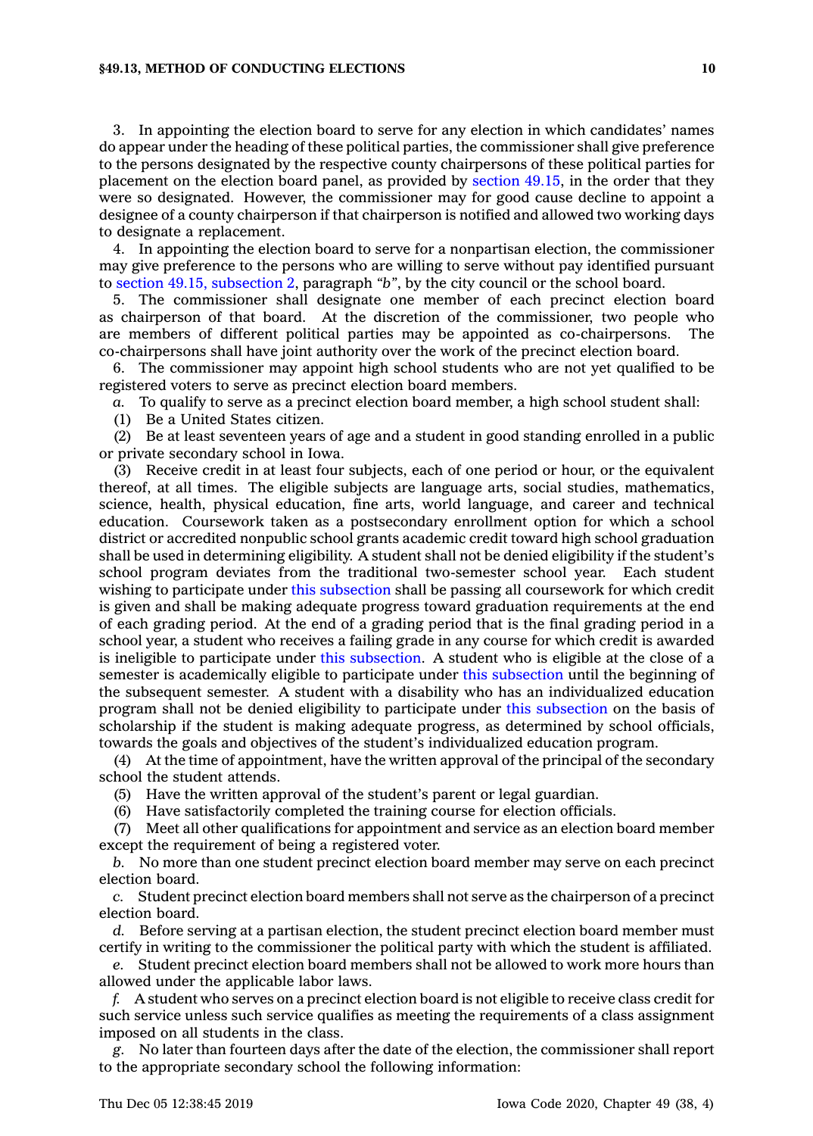## **§49.13, METHOD OF CONDUCTING ELECTIONS 10**

3. In appointing the election board to serve for any election in which candidates' names do appear under the heading of these political parties, the commissioner shall give preference to the persons designated by the respective county chairpersons of these political parties for placement on the election board panel, as provided by [section](https://www.legis.iowa.gov/docs/code/49.15.pdf) 49.15, in the order that they were so designated. However, the commissioner may for good cause decline to appoint <sup>a</sup> designee of <sup>a</sup> county chairperson if that chairperson is notified and allowed two working days to designate <sup>a</sup> replacement.

4. In appointing the election board to serve for <sup>a</sup> nonpartisan election, the commissioner may give preference to the persons who are willing to serve without pay identified pursuant to section 49.15, [subsection](https://www.legis.iowa.gov/docs/code/49.15.pdf) 2, paragraph *"b"*, by the city council or the school board.

5. The commissioner shall designate one member of each precinct election board as chairperson of that board. At the discretion of the commissioner, two people who are members of different political parties may be appointed as co-chairpersons. The co-chairpersons shall have joint authority over the work of the precinct election board.

6. The commissioner may appoint high school students who are not yet qualified to be registered voters to serve as precinct election board members.

*a.* To qualify to serve as <sup>a</sup> precinct election board member, <sup>a</sup> high school student shall:

(1) Be <sup>a</sup> United States citizen.

(2) Be at least seventeen years of age and <sup>a</sup> student in good standing enrolled in <sup>a</sup> public or private secondary school in Iowa.

(3) Receive credit in at least four subjects, each of one period or hour, or the equivalent thereof, at all times. The eligible subjects are language arts, social studies, mathematics, science, health, physical education, fine arts, world language, and career and technical education. Coursework taken as <sup>a</sup> postsecondary enrollment option for which <sup>a</sup> school district or accredited nonpublic school grants academic credit toward high school graduation shall be used in determining eligibility. A student shall not be denied eligibility if the student's school program deviates from the traditional two-semester school year. Each student wishing to participate under this [subsection](https://www.legis.iowa.gov/docs/code/49.13.pdf) shall be passing all coursework for which credit is given and shall be making adequate progress toward graduation requirements at the end of each grading period. At the end of <sup>a</sup> grading period that is the final grading period in <sup>a</sup> school year, <sup>a</sup> student who receives <sup>a</sup> failing grade in any course for which credit is awarded is ineligible to participate under this [subsection](https://www.legis.iowa.gov/docs/code/49.13.pdf). A student who is eligible at the close of <sup>a</sup> semester is academically eligible to participate under this [subsection](https://www.legis.iowa.gov/docs/code/49.13.pdf) until the beginning of the subsequent semester. A student with <sup>a</sup> disability who has an individualized education program shall not be denied eligibility to participate under this [subsection](https://www.legis.iowa.gov/docs/code/49.13.pdf) on the basis of scholarship if the student is making adequate progress, as determined by school officials, towards the goals and objectives of the student's individualized education program.

(4) At the time of appointment, have the written approval of the principal of the secondary school the student attends.

(5) Have the written approval of the student's parent or legal guardian.

(6) Have satisfactorily completed the training course for election officials.

(7) Meet all other qualifications for appointment and service as an election board member except the requirement of being <sup>a</sup> registered voter.

*b.* No more than one student precinct election board member may serve on each precinct election board.

*c.* Student precinct election board members shall not serve as the chairperson of <sup>a</sup> precinct election board.

*d.* Before serving at <sup>a</sup> partisan election, the student precinct election board member must certify in writing to the commissioner the political party with which the student is affiliated.

*e.* Student precinct election board members shall not be allowed to work more hours than allowed under the applicable labor laws.

*f.* A student who serves on <sup>a</sup> precinct election board is not eligible to receive class credit for such service unless such service qualifies as meeting the requirements of <sup>a</sup> class assignment imposed on all students in the class.

*g.* No later than fourteen days after the date of the election, the commissioner shall report to the appropriate secondary school the following information: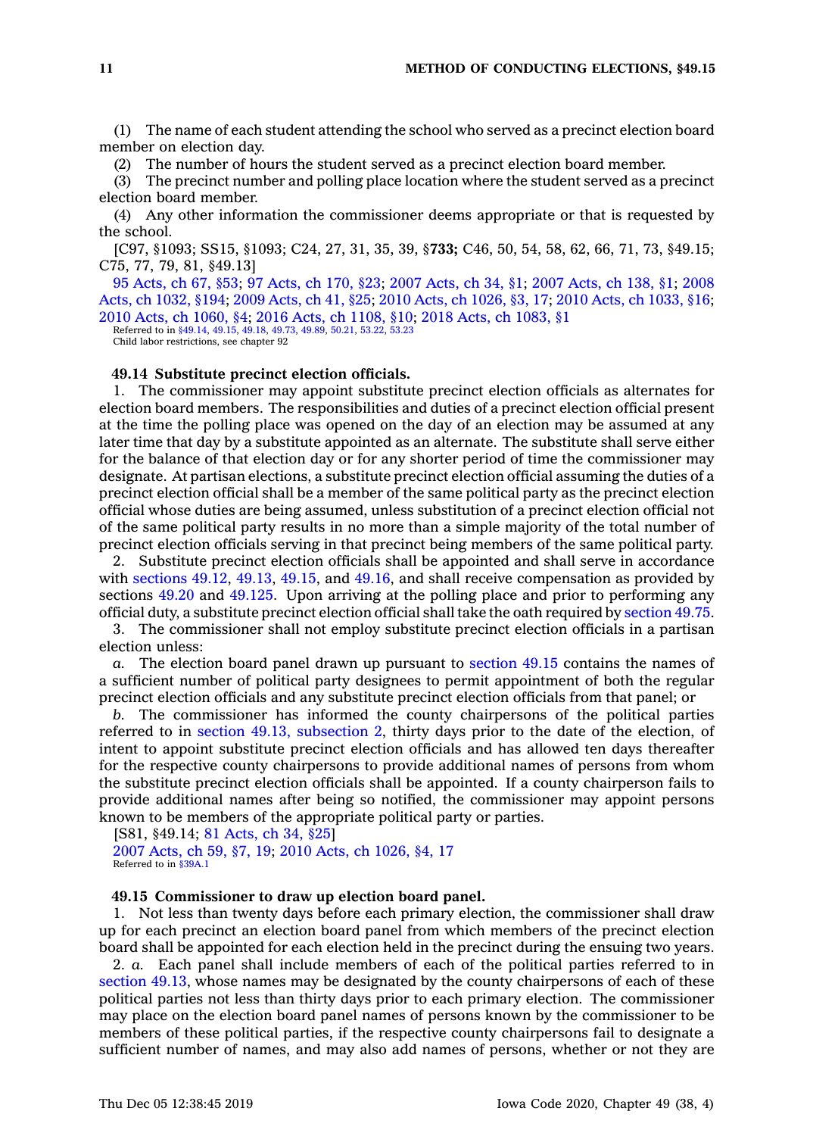(1) The name of each student attending the school who served as <sup>a</sup> precinct election board member on election day.

(2) The number of hours the student served as <sup>a</sup> precinct election board member.

(3) The precinct number and polling place location where the student served as <sup>a</sup> precinct election board member.

(4) Any other information the commissioner deems appropriate or that is requested by the school.

[C97, §1093; SS15, §1093; C24, 27, 31, 35, 39, §**733;** C46, 50, 54, 58, 62, 66, 71, 73, §49.15; C75, 77, 79, 81, §49.13]

95 [Acts,](https://www.legis.iowa.gov/docs/acts/95/CH0067.pdf) ch 67, §53; 97 [Acts,](https://www.legis.iowa.gov/docs/acts/97/CH0170.pdf) ch 170, §23; 2007 [Acts,](https://www.legis.iowa.gov/docs/acts/2007/CH0034.pdf) ch 34, §1; 2007 [Acts,](https://www.legis.iowa.gov/docs/acts/2007/CH0138.pdf) ch 138, §1; [2008](https://www.legis.iowa.gov/docs/acts/2008/CH1032.pdf) Acts, ch [1032,](https://www.legis.iowa.gov/docs/acts/2008/CH1032.pdf) §194; 2009 [Acts,](https://www.legis.iowa.gov/docs/acts/2009/CH0041.pdf) ch 41, §25; 2010 Acts, ch [1026,](https://www.legis.iowa.gov/docs/acts/2010/CH1026.pdf) §3, 17; 2010 Acts, ch [1033,](https://www.legis.iowa.gov/docs/acts/2010/CH1033.pdf) §16; 2010 Acts, ch [1060,](https://www.legis.iowa.gov/docs/acts/2010/CH1060.pdf) §4; 2016 Acts, ch [1108,](https://www.legis.iowa.gov/docs/acts/2016/CH1108.pdf) §10; 2018 Acts, ch [1083,](https://www.legis.iowa.gov/docs/acts/2018/CH1083.pdf) §1

Referred to in [§49.14](https://www.legis.iowa.gov/docs/code/49.14.pdf), [49.15](https://www.legis.iowa.gov/docs/code/49.15.pdf), [49.18](https://www.legis.iowa.gov/docs/code/49.18.pdf), [49.73](https://www.legis.iowa.gov/docs/code/49.73.pdf), [49.89](https://www.legis.iowa.gov/docs/code/49.89.pdf), [50.21](https://www.legis.iowa.gov/docs/code/50.21.pdf), [53.22](https://www.legis.iowa.gov/docs/code/53.22.pdf), [53.23](https://www.legis.iowa.gov/docs/code/53.23.pdf) Child labor restrictions, see chapter 92

# **49.14 Substitute precinct election officials.**

1. The commissioner may appoint substitute precinct election officials as alternates for election board members. The responsibilities and duties of <sup>a</sup> precinct election official present at the time the polling place was opened on the day of an election may be assumed at any later time that day by <sup>a</sup> substitute appointed as an alternate. The substitute shall serve either for the balance of that election day or for any shorter period of time the commissioner may designate. At partisan elections, <sup>a</sup> substitute precinct election official assuming the duties of <sup>a</sup> precinct election official shall be <sup>a</sup> member of the same political party as the precinct election official whose duties are being assumed, unless substitution of <sup>a</sup> precinct election official not of the same political party results in no more than <sup>a</sup> simple majority of the total number of precinct election officials serving in that precinct being members of the same political party.

2. Substitute precinct election officials shall be appointed and shall serve in accordance with [sections](https://www.legis.iowa.gov/docs/code/49.12.pdf) 49.12, [49.13](https://www.legis.iowa.gov/docs/code/49.13.pdf), [49.15](https://www.legis.iowa.gov/docs/code/49.15.pdf), and [49.16](https://www.legis.iowa.gov/docs/code/49.16.pdf), and shall receive compensation as provided by sections [49.20](https://www.legis.iowa.gov/docs/code/49.20.pdf) and [49.125](https://www.legis.iowa.gov/docs/code/49.125.pdf). Upon arriving at the polling place and prior to performing any official duty, <sup>a</sup> substitute precinct election official shall take the oath required by [section](https://www.legis.iowa.gov/docs/code/49.75.pdf) 49.75.

3. The commissioner shall not employ substitute precinct election officials in <sup>a</sup> partisan election unless:

*a.* The election board panel drawn up pursuant to [section](https://www.legis.iowa.gov/docs/code/49.15.pdf) 49.15 contains the names of <sup>a</sup> sufficient number of political party designees to permit appointment of both the regular precinct election officials and any substitute precinct election officials from that panel; or

*b.* The commissioner has informed the county chairpersons of the political parties referred to in section 49.13, [subsection](https://www.legis.iowa.gov/docs/code/49.13.pdf) 2, thirty days prior to the date of the election, of intent to appoint substitute precinct election officials and has allowed ten days thereafter for the respective county chairpersons to provide additional names of persons from whom the substitute precinct election officials shall be appointed. If <sup>a</sup> county chairperson fails to provide additional names after being so notified, the commissioner may appoint persons known to be members of the appropriate political party or parties.

[S81, §49.14; 81 [Acts,](https://www.legis.iowa.gov/docs/acts/1981/CH0034.pdf) ch 34, §25] 2007 [Acts,](https://www.legis.iowa.gov/docs/acts/2007/CH0059.pdf) ch 59, §7, 19; 2010 Acts, ch [1026,](https://www.legis.iowa.gov/docs/acts/2010/CH1026.pdf) §4, 17 Referred to in [§39A.1](https://www.legis.iowa.gov/docs/code/39A.1.pdf)

# **49.15 Commissioner to draw up election board panel.**

1. Not less than twenty days before each primary election, the commissioner shall draw up for each precinct an election board panel from which members of the precinct election board shall be appointed for each election held in the precinct during the ensuing two years.

2. *a.* Each panel shall include members of each of the political parties referred to in [section](https://www.legis.iowa.gov/docs/code/49.13.pdf) 49.13, whose names may be designated by the county chairpersons of each of these political parties not less than thirty days prior to each primary election. The commissioner may place on the election board panel names of persons known by the commissioner to be members of these political parties, if the respective county chairpersons fail to designate <sup>a</sup> sufficient number of names, and may also add names of persons, whether or not they are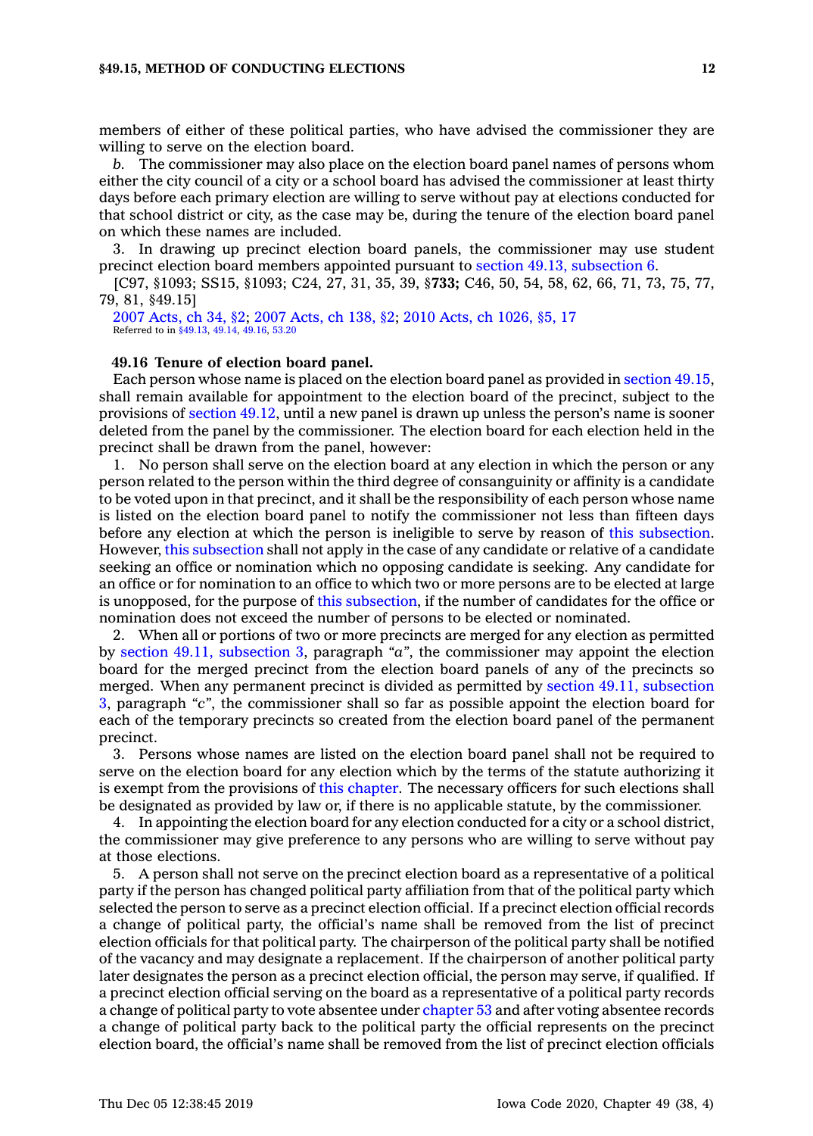members of either of these political parties, who have advised the commissioner they are willing to serve on the election board.

*b.* The commissioner may also place on the election board panel names of persons whom either the city council of <sup>a</sup> city or <sup>a</sup> school board has advised the commissioner at least thirty days before each primary election are willing to serve without pay at elections conducted for that school district or city, as the case may be, during the tenure of the election board panel on which these names are included.

3. In drawing up precinct election board panels, the commissioner may use student precinct election board members appointed pursuant to section 49.13, [subsection](https://www.legis.iowa.gov/docs/code/49.13.pdf) 6.

[C97, §1093; SS15, §1093; C24, 27, 31, 35, 39, §**733;** C46, 50, 54, 58, 62, 66, 71, 73, 75, 77, 79, 81, §49.15]

2007 [Acts,](https://www.legis.iowa.gov/docs/acts/2007/CH0034.pdf) ch 34, §2; 2007 [Acts,](https://www.legis.iowa.gov/docs/acts/2007/CH0138.pdf) ch 138, §2; 2010 Acts, ch [1026,](https://www.legis.iowa.gov/docs/acts/2010/CH1026.pdf) §5, 17 Referred to in [§49.13](https://www.legis.iowa.gov/docs/code/49.13.pdf), [49.14](https://www.legis.iowa.gov/docs/code/49.14.pdf), [49.16](https://www.legis.iowa.gov/docs/code/49.16.pdf), [53.20](https://www.legis.iowa.gov/docs/code/53.20.pdf)

# **49.16 Tenure of election board panel.**

Each person whose name is placed on the election board panel as provided in [section](https://www.legis.iowa.gov/docs/code/49.15.pdf) 49.15, shall remain available for appointment to the election board of the precinct, subject to the provisions of [section](https://www.legis.iowa.gov/docs/code/49.12.pdf) 49.12, until <sup>a</sup> new panel is drawn up unless the person's name is sooner deleted from the panel by the commissioner. The election board for each election held in the precinct shall be drawn from the panel, however:

1. No person shall serve on the election board at any election in which the person or any person related to the person within the third degree of consanguinity or affinity is <sup>a</sup> candidate to be voted upon in that precinct, and it shall be the responsibility of each person whose name is listed on the election board panel to notify the commissioner not less than fifteen days before any election at which the person is ineligible to serve by reason of this [subsection](https://www.legis.iowa.gov/docs/code/49.16.pdf). However, this [subsection](https://www.legis.iowa.gov/docs/code/49.16.pdf) shall not apply in the case of any candidate or relative of <sup>a</sup> candidate seeking an office or nomination which no opposing candidate is seeking. Any candidate for an office or for nomination to an office to which two or more persons are to be elected at large is unopposed, for the purpose of this [subsection](https://www.legis.iowa.gov/docs/code/49.16.pdf), if the number of candidates for the office or nomination does not exceed the number of persons to be elected or nominated.

2. When all or portions of two or more precincts are merged for any election as permitted by section 49.11, [subsection](https://www.legis.iowa.gov/docs/code/49.11.pdf) 3, paragraph *"a"*, the commissioner may appoint the election board for the merged precinct from the election board panels of any of the precincts so merged. When any permanent precinct is divided as permitted by section 49.11, [subsection](https://www.legis.iowa.gov/docs/code/49.11.pdf) [3](https://www.legis.iowa.gov/docs/code/49.11.pdf), paragraph *"c"*, the commissioner shall so far as possible appoint the election board for each of the temporary precincts so created from the election board panel of the permanent precinct.

3. Persons whose names are listed on the election board panel shall not be required to serve on the election board for any election which by the terms of the statute authorizing it is exempt from the provisions of this [chapter](https://www.legis.iowa.gov/docs/code//49.pdf). The necessary officers for such elections shall be designated as provided by law or, if there is no applicable statute, by the commissioner.

4. In appointing the election board for any election conducted for <sup>a</sup> city or <sup>a</sup> school district, the commissioner may give preference to any persons who are willing to serve without pay at those elections.

5. A person shall not serve on the precinct election board as <sup>a</sup> representative of <sup>a</sup> political party if the person has changed political party affiliation from that of the political party which selected the person to serve as <sup>a</sup> precinct election official. If <sup>a</sup> precinct election official records <sup>a</sup> change of political party, the official's name shall be removed from the list of precinct election officials for that political party. The chairperson of the political party shall be notified of the vacancy and may designate <sup>a</sup> replacement. If the chairperson of another political party later designates the person as <sup>a</sup> precinct election official, the person may serve, if qualified. If <sup>a</sup> precinct election official serving on the board as <sup>a</sup> representative of <sup>a</sup> political party records <sup>a</sup> change of political party to vote absentee under [chapter](https://www.legis.iowa.gov/docs/code//53.pdf) 53 and after voting absentee records <sup>a</sup> change of political party back to the political party the official represents on the precinct election board, the official's name shall be removed from the list of precinct election officials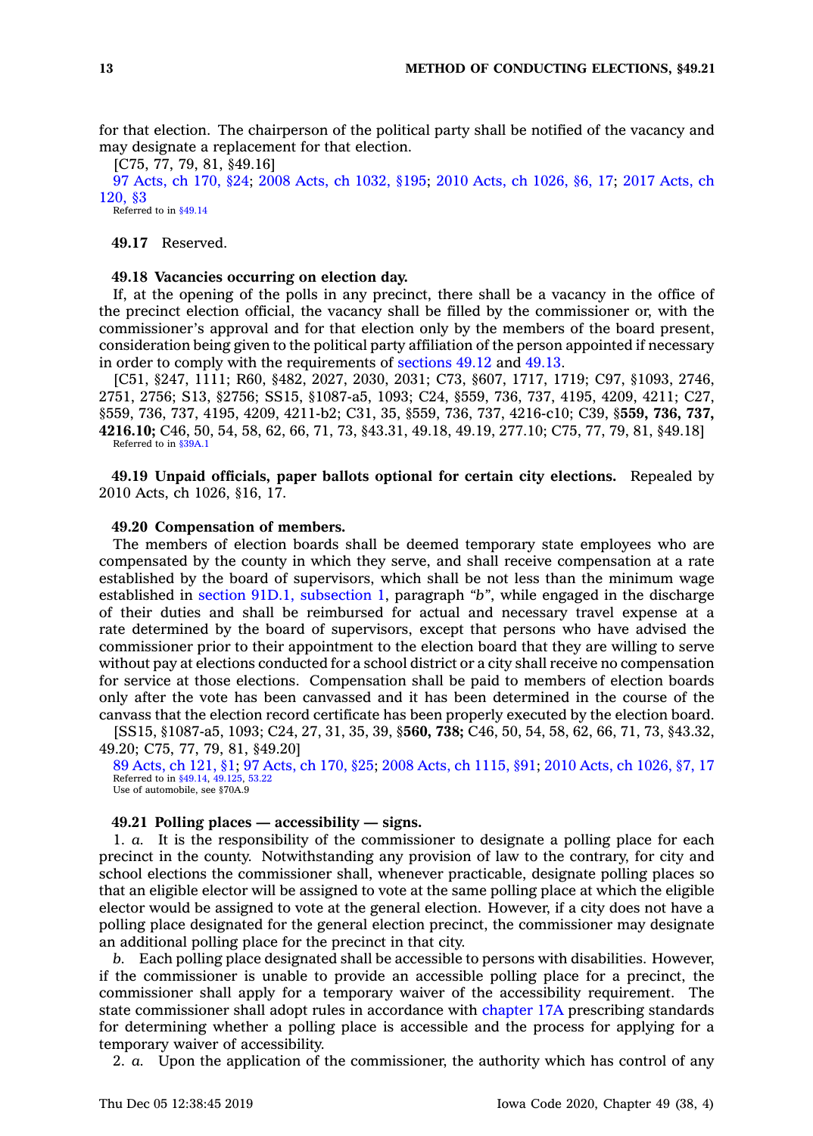for that election. The chairperson of the political party shall be notified of the vacancy and may designate <sup>a</sup> replacement for that election.

[C75, 77, 79, 81, §49.16] 97 [Acts,](https://www.legis.iowa.gov/docs/acts/97/CH0170.pdf) ch 170, §24; 2008 Acts, ch [1032,](https://www.legis.iowa.gov/docs/acts/2008/CH1032.pdf) §195; 2010 Acts, ch [1026,](https://www.legis.iowa.gov/docs/acts/2010/CH1026.pdf) §6, 17; 2017 [Acts,](https://www.legis.iowa.gov/docs/acts/2017/CH0120.pdf) ch [120,](https://www.legis.iowa.gov/docs/acts/2017/CH0120.pdf) §3 Referred to in [§49.14](https://www.legis.iowa.gov/docs/code/49.14.pdf)

**49.17** Reserved.

# **49.18 Vacancies occurring on election day.**

If, at the opening of the polls in any precinct, there shall be <sup>a</sup> vacancy in the office of the precinct election official, the vacancy shall be filled by the commissioner or, with the commissioner's approval and for that election only by the members of the board present, consideration being given to the political party affiliation of the person appointed if necessary in order to comply with the requirements of [sections](https://www.legis.iowa.gov/docs/code/49.12.pdf) 49.12 and [49.13](https://www.legis.iowa.gov/docs/code/49.13.pdf).

[C51, §247, 1111; R60, §482, 2027, 2030, 2031; C73, §607, 1717, 1719; C97, §1093, 2746, 2751, 2756; S13, §2756; SS15, §1087-a5, 1093; C24, §559, 736, 737, 4195, 4209, 4211; C27, §559, 736, 737, 4195, 4209, 4211-b2; C31, 35, §559, 736, 737, 4216-c10; C39, §**559, 736, 737, 4216.10;** C46, 50, 54, 58, 62, 66, 71, 73, §43.31, 49.18, 49.19, 277.10; C75, 77, 79, 81, §49.18] Referred to in [§39A.1](https://www.legis.iowa.gov/docs/code/39A.1.pdf)

**49.19 Unpaid officials, paper ballots optional for certain city elections.** Repealed by 2010 Acts, ch 1026, §16, 17.

# **49.20 Compensation of members.**

The members of election boards shall be deemed temporary state employees who are compensated by the county in which they serve, and shall receive compensation at <sup>a</sup> rate established by the board of supervisors, which shall be not less than the minimum wage established in section 91D.1, [subsection](https://www.legis.iowa.gov/docs/code/91D.1.pdf) 1, paragraph *"b"*, while engaged in the discharge of their duties and shall be reimbursed for actual and necessary travel expense at <sup>a</sup> rate determined by the board of supervisors, except that persons who have advised the commissioner prior to their appointment to the election board that they are willing to serve without pay at elections conducted for <sup>a</sup> school district or <sup>a</sup> city shall receive no compensation for service at those elections. Compensation shall be paid to members of election boards only after the vote has been canvassed and it has been determined in the course of the canvass that the election record certificate has been properly executed by the election board.

[SS15, §1087-a5, 1093; C24, 27, 31, 35, 39, §**560, 738;** C46, 50, 54, 58, 62, 66, 71, 73, §43.32, 49.20; C75, 77, 79, 81, §49.20]

89 [Acts,](https://www.legis.iowa.gov/docs/acts/89/CH0121.pdf) ch 121, §1; 97 [Acts,](https://www.legis.iowa.gov/docs/acts/97/CH0170.pdf) ch 170, §25; 2008 Acts, ch [1115,](https://www.legis.iowa.gov/docs/acts/2008/CH1115.pdf) §91; 2010 Acts, ch [1026,](https://www.legis.iowa.gov/docs/acts/2010/CH1026.pdf) §7, 17 Referred to in [§49.14](https://www.legis.iowa.gov/docs/code/49.14.pdf), [49.125](https://www.legis.iowa.gov/docs/code/49.125.pdf), [53.22](https://www.legis.iowa.gov/docs/code/53.22.pdf) Use of automobile, see §70A.9

## **49.21 Polling places — accessibility — signs.**

1. *a.* It is the responsibility of the commissioner to designate <sup>a</sup> polling place for each precinct in the county. Notwithstanding any provision of law to the contrary, for city and school elections the commissioner shall, whenever practicable, designate polling places so that an eligible elector will be assigned to vote at the same polling place at which the eligible elector would be assigned to vote at the general election. However, if <sup>a</sup> city does not have <sup>a</sup> polling place designated for the general election precinct, the commissioner may designate an additional polling place for the precinct in that city.

*b.* Each polling place designated shall be accessible to persons with disabilities. However, if the commissioner is unable to provide an accessible polling place for <sup>a</sup> precinct, the commissioner shall apply for <sup>a</sup> temporary waiver of the accessibility requirement. The state commissioner shall adopt rules in accordance with [chapter](https://www.legis.iowa.gov/docs/code//17A.pdf) 17A prescribing standards for determining whether <sup>a</sup> polling place is accessible and the process for applying for <sup>a</sup> temporary waiver of accessibility.

2. *a.* Upon the application of the commissioner, the authority which has control of any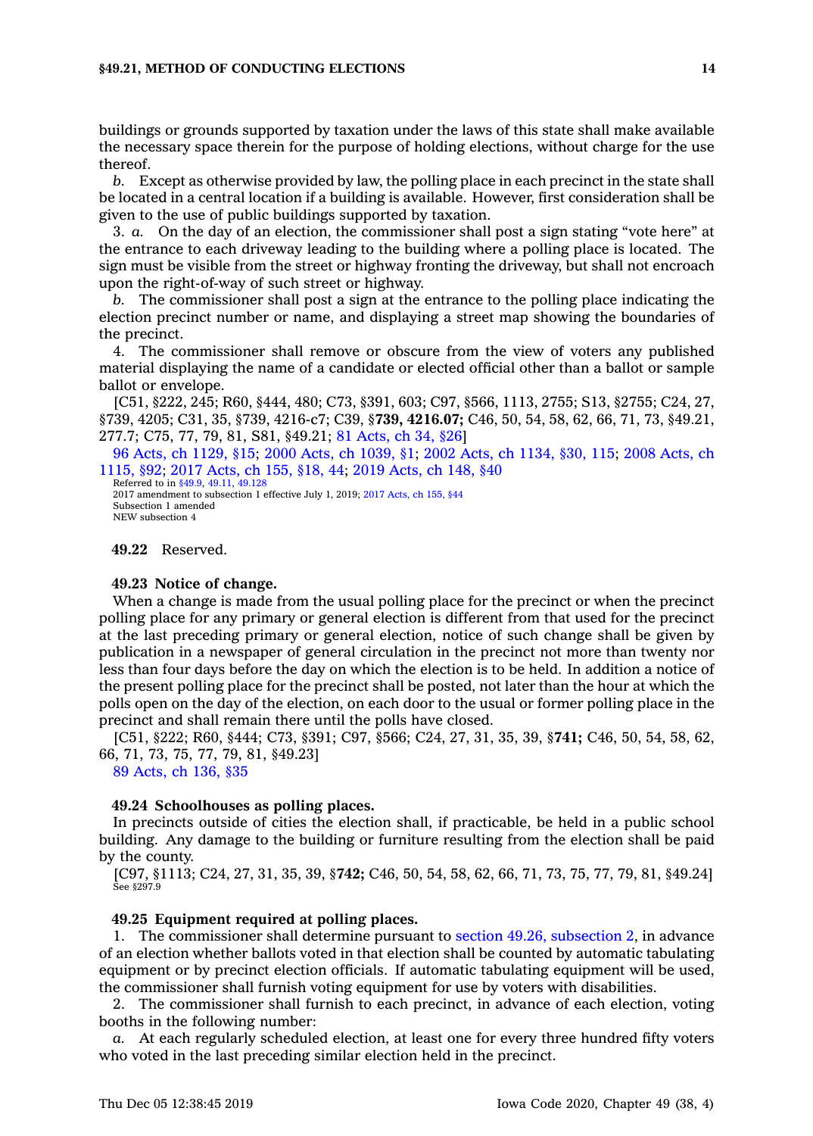## **§49.21, METHOD OF CONDUCTING ELECTIONS 14**

buildings or grounds supported by taxation under the laws of this state shall make available the necessary space therein for the purpose of holding elections, without charge for the use thereof.

*b.* Except as otherwise provided by law, the polling place in each precinct in the state shall be located in <sup>a</sup> central location if <sup>a</sup> building is available. However, first consideration shall be given to the use of public buildings supported by taxation.

3. *a.* On the day of an election, the commissioner shall post <sup>a</sup> sign stating "vote here" at the entrance to each driveway leading to the building where <sup>a</sup> polling place is located. The sign must be visible from the street or highway fronting the driveway, but shall not encroach upon the right-of-way of such street or highway.

*b.* The commissioner shall post <sup>a</sup> sign at the entrance to the polling place indicating the election precinct number or name, and displaying <sup>a</sup> street map showing the boundaries of the precinct.

4. The commissioner shall remove or obscure from the view of voters any published material displaying the name of <sup>a</sup> candidate or elected official other than <sup>a</sup> ballot or sample ballot or envelope.

[C51, §222, 245; R60, §444, 480; C73, §391, 603; C97, §566, 1113, 2755; S13, §2755; C24, 27, §739, 4205; C31, 35, §739, 4216-c7; C39, §**739, 4216.07;** C46, 50, 54, 58, 62, 66, 71, 73, §49.21, 277.7; C75, 77, 79, 81, S81, §49.21; 81 [Acts,](https://www.legis.iowa.gov/docs/acts/1981/CH0034.pdf) ch 34, §26]

96 Acts, ch [1129,](https://www.legis.iowa.gov/docs/acts/96/CH1129.pdf) §15; 2000 Acts, ch [1039,](https://www.legis.iowa.gov/docs/acts/2000/CH1039.pdf) §1; 2002 Acts, ch [1134,](https://www.legis.iowa.gov/docs/acts/2002/CH1134.pdf) §30, 115; 2008 [Acts,](https://www.legis.iowa.gov/docs/acts/2008/CH1115.pdf) ch [1115,](https://www.legis.iowa.gov/docs/acts/2008/CH1115.pdf) §92; 2017 [Acts,](https://www.legis.iowa.gov/docs/acts/2017/CH0155.pdf) ch 155, §18, 44; 2019 [Acts,](https://www.legis.iowa.gov/docs/acts/2019/CH0148.pdf) ch 148, §40

Referred to in [§49.9](https://www.legis.iowa.gov/docs/code/49.9.pdf), [49.11](https://www.legis.iowa.gov/docs/code/49.11.pdf), [49.128](https://www.legis.iowa.gov/docs/code/49.128.pdf) 2017 amendment to subsection 1 effective July 1, 2019; 2017 [Acts,](https://www.legis.iowa.gov/docs/acts/2017/CH0155.pdf) ch 155, §44 Subsection 1 amended NEW subsection 4

#### **49.22** Reserved.

## **49.23 Notice of change.**

When <sup>a</sup> change is made from the usual polling place for the precinct or when the precinct polling place for any primary or general election is different from that used for the precinct at the last preceding primary or general election, notice of such change shall be given by publication in <sup>a</sup> newspaper of general circulation in the precinct not more than twenty nor less than four days before the day on which the election is to be held. In addition <sup>a</sup> notice of the present polling place for the precinct shall be posted, not later than the hour at which the polls open on the day of the election, on each door to the usual or former polling place in the precinct and shall remain there until the polls have closed.

[C51, §222; R60, §444; C73, §391; C97, §566; C24, 27, 31, 35, 39, §**741;** C46, 50, 54, 58, 62, 66, 71, 73, 75, 77, 79, 81, §49.23]

89 [Acts,](https://www.legis.iowa.gov/docs/acts/1989/CH0136.pdf) ch 136, §35

## **49.24 Schoolhouses as polling places.**

In precincts outside of cities the election shall, if practicable, be held in <sup>a</sup> public school building. Any damage to the building or furniture resulting from the election shall be paid by the county.

[C97, §1113; C24, 27, 31, 35, 39, §**742;** C46, 50, 54, 58, 62, 66, 71, 73, 75, 77, 79, 81, §49.24] See §297.9

## **49.25 Equipment required at polling places.**

1. The commissioner shall determine pursuant to section 49.26, [subsection](https://www.legis.iowa.gov/docs/code/49.26.pdf) 2, in advance of an election whether ballots voted in that election shall be counted by automatic tabulating equipment or by precinct election officials. If automatic tabulating equipment will be used, the commissioner shall furnish voting equipment for use by voters with disabilities.

2. The commissioner shall furnish to each precinct, in advance of each election, voting booths in the following number:

*a.* At each regularly scheduled election, at least one for every three hundred fifty voters who voted in the last preceding similar election held in the precinct.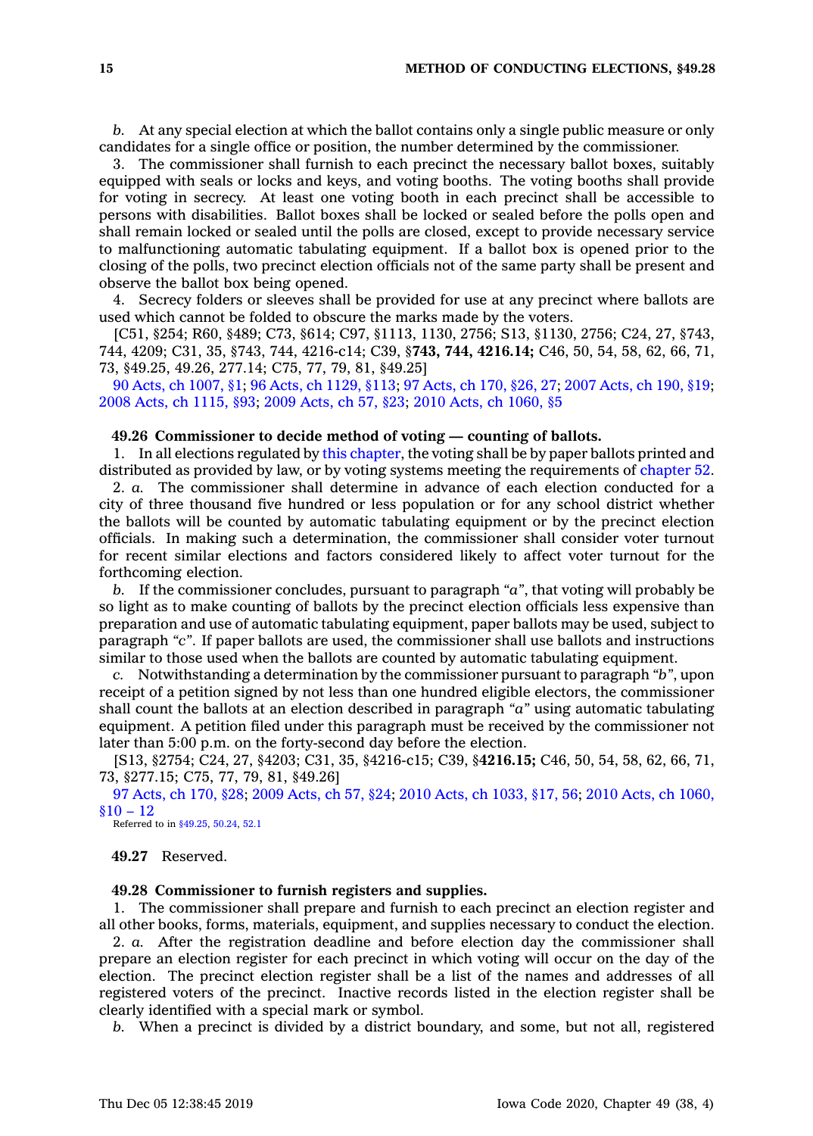*b.* At any special election at which the ballot contains only <sup>a</sup> single public measure or only candidates for <sup>a</sup> single office or position, the number determined by the commissioner.

3. The commissioner shall furnish to each precinct the necessary ballot boxes, suitably equipped with seals or locks and keys, and voting booths. The voting booths shall provide for voting in secrecy. At least one voting booth in each precinct shall be accessible to persons with disabilities. Ballot boxes shall be locked or sealed before the polls open and shall remain locked or sealed until the polls are closed, except to provide necessary service to malfunctioning automatic tabulating equipment. If <sup>a</sup> ballot box is opened prior to the closing of the polls, two precinct election officials not of the same party shall be present and observe the ballot box being opened.

4. Secrecy folders or sleeves shall be provided for use at any precinct where ballots are used which cannot be folded to obscure the marks made by the voters.

[C51, §254; R60, §489; C73, §614; C97, §1113, 1130, 2756; S13, §1130, 2756; C24, 27, §743, 744, 4209; C31, 35, §743, 744, 4216-c14; C39, §**743, 744, 4216.14;** C46, 50, 54, 58, 62, 66, 71, 73, §49.25, 49.26, 277.14; C75, 77, 79, 81, §49.25]

90 Acts, ch [1007,](https://www.legis.iowa.gov/docs/acts/90/CH1007.pdf) §1; 96 Acts, ch [1129,](https://www.legis.iowa.gov/docs/acts/96/CH1129.pdf) §113; 97 [Acts,](https://www.legis.iowa.gov/docs/acts/97/CH0170.pdf) ch 170, §26, 27; 2007 [Acts,](https://www.legis.iowa.gov/docs/acts/2007/CH0190.pdf) ch 190, §19; 2008 Acts, ch [1115,](https://www.legis.iowa.gov/docs/acts/2008/CH1115.pdf) §93; 2009 [Acts,](https://www.legis.iowa.gov/docs/acts/2009/CH0057.pdf) ch 57, §23; 2010 Acts, ch [1060,](https://www.legis.iowa.gov/docs/acts/2010/CH1060.pdf) §5

# **49.26 Commissioner to decide method of voting — counting of ballots.**

1. In all elections regulated by this [chapter](https://www.legis.iowa.gov/docs/code//49.pdf), the voting shall be by paper ballots printed and distributed as provided by law, or by voting systems meeting the requirements of [chapter](https://www.legis.iowa.gov/docs/code//52.pdf) 52.

2. *a.* The commissioner shall determine in advance of each election conducted for <sup>a</sup> city of three thousand five hundred or less population or for any school district whether the ballots will be counted by automatic tabulating equipment or by the precinct election officials. In making such <sup>a</sup> determination, the commissioner shall consider voter turnout for recent similar elections and factors considered likely to affect voter turnout for the forthcoming election.

*b.* If the commissioner concludes, pursuant to paragraph *"a"*, that voting will probably be so light as to make counting of ballots by the precinct election officials less expensive than preparation and use of automatic tabulating equipment, paper ballots may be used, subject to paragraph *"c"*. If paper ballots are used, the commissioner shall use ballots and instructions similar to those used when the ballots are counted by automatic tabulating equipment.

*c.* Notwithstanding <sup>a</sup> determination by the commissioner pursuant to paragraph *"b"*, upon receipt of <sup>a</sup> petition signed by not less than one hundred eligible electors, the commissioner shall count the ballots at an election described in paragraph *"a"* using automatic tabulating equipment. A petition filed under this paragraph must be received by the commissioner not later than 5:00 p.m. on the forty-second day before the election.

[S13, §2754; C24, 27, §4203; C31, 35, §4216-c15; C39, §**4216.15;** C46, 50, 54, 58, 62, 66, 71, 73, §277.15; C75, 77, 79, 81, §49.26]

97 [Acts,](https://www.legis.iowa.gov/docs/acts/97/CH0170.pdf) ch 170, §28; 2009 [Acts,](https://www.legis.iowa.gov/docs/acts/2009/CH0057.pdf) ch 57, §24; 2010 Acts, ch [1033,](https://www.legis.iowa.gov/docs/acts/2010/CH1033.pdf) §17, 56; 2010 Acts, ch [1060,](https://www.legis.iowa.gov/docs/acts/2010/CH1060.pdf)  $$10 - 12$ 

Referred to in [§49.25](https://www.legis.iowa.gov/docs/code/49.25.pdf), [50.24](https://www.legis.iowa.gov/docs/code/50.24.pdf), [52.1](https://www.legis.iowa.gov/docs/code/52.1.pdf)

**49.27** Reserved.

## **49.28 Commissioner to furnish registers and supplies.**

1. The commissioner shall prepare and furnish to each precinct an election register and all other books, forms, materials, equipment, and supplies necessary to conduct the election.

2. *a.* After the registration deadline and before election day the commissioner shall prepare an election register for each precinct in which voting will occur on the day of the election. The precinct election register shall be <sup>a</sup> list of the names and addresses of all registered voters of the precinct. Inactive records listed in the election register shall be clearly identified with <sup>a</sup> special mark or symbol.

*b.* When <sup>a</sup> precinct is divided by <sup>a</sup> district boundary, and some, but not all, registered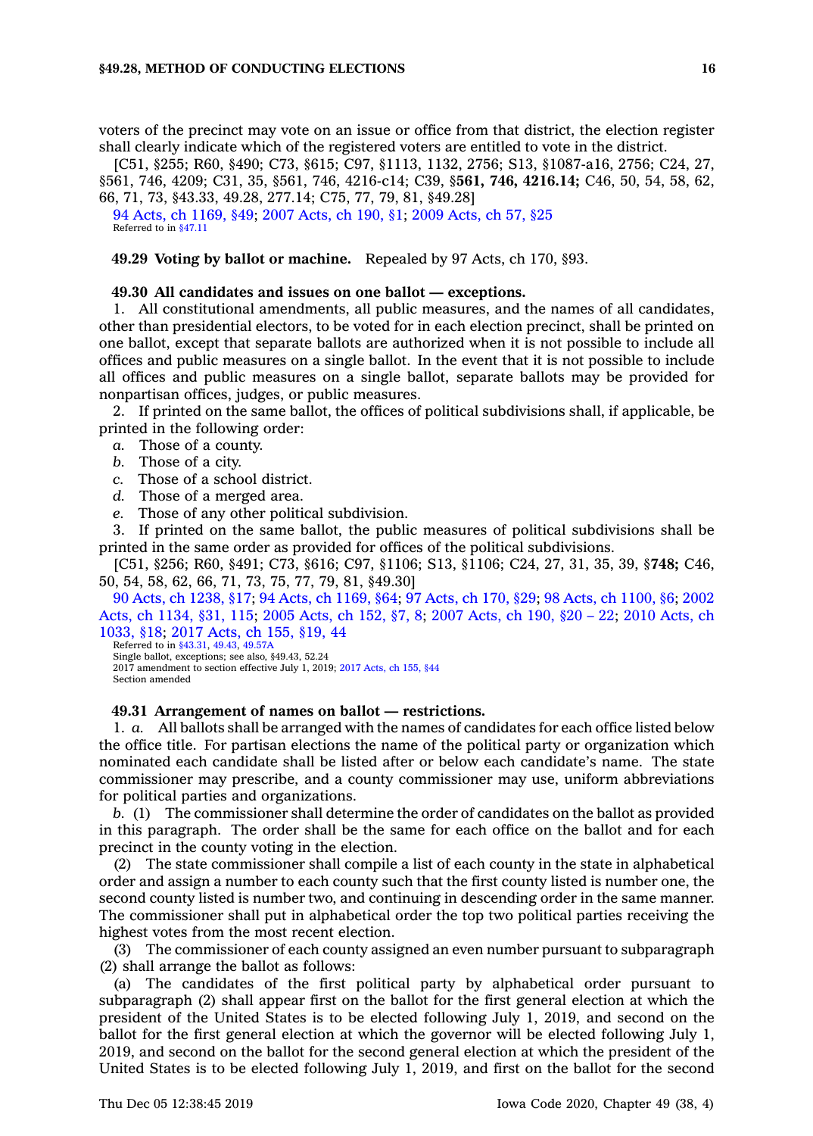voters of the precinct may vote on an issue or office from that district, the election register shall clearly indicate which of the registered voters are entitled to vote in the district.

[C51, §255; R60, §490; C73, §615; C97, §1113, 1132, 2756; S13, §1087-a16, 2756; C24, 27, §561, 746, 4209; C31, 35, §561, 746, 4216-c14; C39, §**561, 746, 4216.14;** C46, 50, 54, 58, 62, 66, 71, 73, §43.33, 49.28, 277.14; C75, 77, 79, 81, §49.28]

94 Acts, ch [1169,](https://www.legis.iowa.gov/docs/acts/1994/CH1169.pdf) §49; 2007 [Acts,](https://www.legis.iowa.gov/docs/acts/2007/CH0190.pdf) ch 190, §1; 2009 [Acts,](https://www.legis.iowa.gov/docs/acts/2009/CH0057.pdf) ch 57, §25 Referred to in [§47.11](https://www.legis.iowa.gov/docs/code/47.11.pdf)

**49.29 Voting by ballot or machine.** Repealed by 97 Acts, ch 170, §93.

## **49.30 All candidates and issues on one ballot — exceptions.**

1. All constitutional amendments, all public measures, and the names of all candidates, other than presidential electors, to be voted for in each election precinct, shall be printed on one ballot, except that separate ballots are authorized when it is not possible to include all offices and public measures on <sup>a</sup> single ballot. In the event that it is not possible to include all offices and public measures on <sup>a</sup> single ballot, separate ballots may be provided for nonpartisan offices, judges, or public measures.

2. If printed on the same ballot, the offices of political subdivisions shall, if applicable, be printed in the following order:

- *a.* Those of <sup>a</sup> county.
- *b.* Those of <sup>a</sup> city.
- *c.* Those of <sup>a</sup> school district.
- *d.* Those of <sup>a</sup> merged area.
- *e.* Those of any other political subdivision.

3. If printed on the same ballot, the public measures of political subdivisions shall be printed in the same order as provided for offices of the political subdivisions.

[C51, §256; R60, §491; C73, §616; C97, §1106; S13, §1106; C24, 27, 31, 35, 39, §**748;** C46, 50, 54, 58, 62, 66, 71, 73, 75, 77, 79, 81, §49.30]

90 Acts, ch [1238,](https://www.legis.iowa.gov/docs/acts/90/CH1238.pdf) §17; 94 Acts, ch [1169,](https://www.legis.iowa.gov/docs/acts/94/CH1169.pdf) §64; 97 [Acts,](https://www.legis.iowa.gov/docs/acts/97/CH0170.pdf) ch 170, §29; 98 Acts, ch [1100,](https://www.legis.iowa.gov/docs/acts/98/CH1100.pdf) §6; [2002](https://www.legis.iowa.gov/docs/acts/2002/CH1134.pdf) Acts, ch [1134,](https://www.legis.iowa.gov/docs/acts/2002/CH1134.pdf) §31, 115; 2005 [Acts,](https://www.legis.iowa.gov/docs/acts/2005/CH0152.pdf) ch 152, §7, 8; 2007 [Acts,](https://www.legis.iowa.gov/docs/acts/2007/CH0190.pdf) ch 190, §20 – 22; 2010 [Acts,](https://www.legis.iowa.gov/docs/acts/2010/CH1033.pdf) ch [1033,](https://www.legis.iowa.gov/docs/acts/2010/CH1033.pdf) §18; 2017 [Acts,](https://www.legis.iowa.gov/docs/acts/2017/CH0155.pdf) ch 155, §19, 44

Referred to in [§43.31](https://www.legis.iowa.gov/docs/code/43.31.pdf), [49.43](https://www.legis.iowa.gov/docs/code/49.43.pdf), [49.57A](https://www.legis.iowa.gov/docs/code/49.57A.pdf)

Single ballot, exceptions; see also, §49.43, 52.24 2017 amendment to section effective July 1, 2019; 2017 [Acts,](https://www.legis.iowa.gov/docs/acts/2017/CH0155.pdf) ch 155, §44 Section amended

#### **49.31 Arrangement of names on ballot — restrictions.**

1. *a.* All ballots shall be arranged with the names of candidates for each office listed below the office title. For partisan elections the name of the political party or organization which nominated each candidate shall be listed after or below each candidate's name. The state commissioner may prescribe, and <sup>a</sup> county commissioner may use, uniform abbreviations for political parties and organizations.

*b.* (1) The commissioner shall determine the order of candidates on the ballot as provided in this paragraph. The order shall be the same for each office on the ballot and for each precinct in the county voting in the election.

(2) The state commissioner shall compile <sup>a</sup> list of each county in the state in alphabetical order and assign <sup>a</sup> number to each county such that the first county listed is number one, the second county listed is number two, and continuing in descending order in the same manner. The commissioner shall put in alphabetical order the top two political parties receiving the highest votes from the most recent election.

(3) The commissioner of each county assigned an even number pursuant to subparagraph (2) shall arrange the ballot as follows:

(a) The candidates of the first political party by alphabetical order pursuant to subparagraph (2) shall appear first on the ballot for the first general election at which the president of the United States is to be elected following July 1, 2019, and second on the ballot for the first general election at which the governor will be elected following July 1, 2019, and second on the ballot for the second general election at which the president of the United States is to be elected following July 1, 2019, and first on the ballot for the second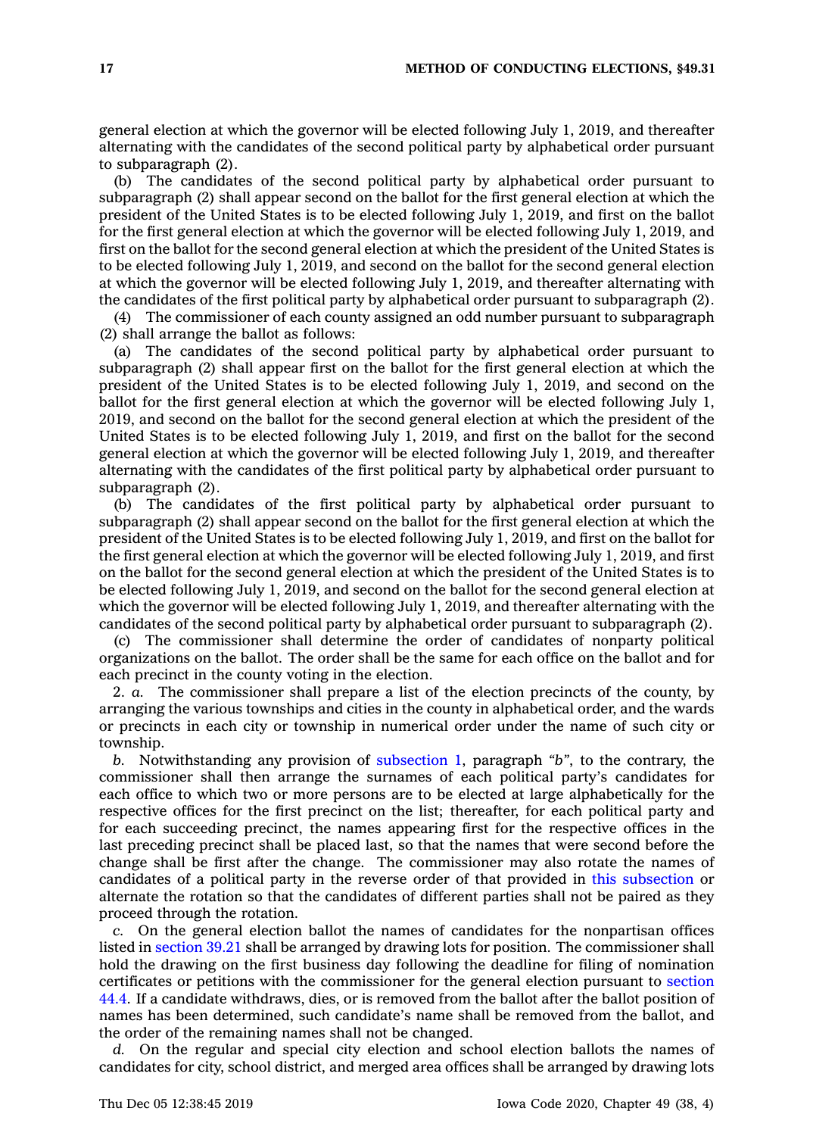general election at which the governor will be elected following July 1, 2019, and thereafter alternating with the candidates of the second political party by alphabetical order pursuant to subparagraph (2).

(b) The candidates of the second political party by alphabetical order pursuant to subparagraph (2) shall appear second on the ballot for the first general election at which the president of the United States is to be elected following July 1, 2019, and first on the ballot for the first general election at which the governor will be elected following July 1, 2019, and first on the ballot for the second general election at which the president of the United States is to be elected following July 1, 2019, and second on the ballot for the second general election at which the governor will be elected following July 1, 2019, and thereafter alternating with the candidates of the first political party by alphabetical order pursuant to subparagraph (2).

(4) The commissioner of each county assigned an odd number pursuant to subparagraph (2) shall arrange the ballot as follows:

(a) The candidates of the second political party by alphabetical order pursuant to subparagraph (2) shall appear first on the ballot for the first general election at which the president of the United States is to be elected following July 1, 2019, and second on the ballot for the first general election at which the governor will be elected following July 1, 2019, and second on the ballot for the second general election at which the president of the United States is to be elected following July 1, 2019, and first on the ballot for the second general election at which the governor will be elected following July 1, 2019, and thereafter alternating with the candidates of the first political party by alphabetical order pursuant to subparagraph (2).

(b) The candidates of the first political party by alphabetical order pursuant to subparagraph (2) shall appear second on the ballot for the first general election at which the president of the United States is to be elected following July 1, 2019, and first on the ballot for the first general election at which the governor will be elected following July 1, 2019, and first on the ballot for the second general election at which the president of the United States is to be elected following July 1, 2019, and second on the ballot for the second general election at which the governor will be elected following July 1, 2019, and thereafter alternating with the candidates of the second political party by alphabetical order pursuant to subparagraph (2).

(c) The commissioner shall determine the order of candidates of nonparty political organizations on the ballot. The order shall be the same for each office on the ballot and for each precinct in the county voting in the election.

2. *a.* The commissioner shall prepare <sup>a</sup> list of the election precincts of the county, by arranging the various townships and cities in the county in alphabetical order, and the wards or precincts in each city or township in numerical order under the name of such city or township.

*b.* Notwithstanding any provision of [subsection](https://www.legis.iowa.gov/docs/code/49.31.pdf) 1, paragraph *"b"*, to the contrary, the commissioner shall then arrange the surnames of each political party's candidates for each office to which two or more persons are to be elected at large alphabetically for the respective offices for the first precinct on the list; thereafter, for each political party and for each succeeding precinct, the names appearing first for the respective offices in the last preceding precinct shall be placed last, so that the names that were second before the change shall be first after the change. The commissioner may also rotate the names of candidates of <sup>a</sup> political party in the reverse order of that provided in this [subsection](https://www.legis.iowa.gov/docs/code/49.31.pdf) or alternate the rotation so that the candidates of different parties shall not be paired as they proceed through the rotation.

*c.* On the general election ballot the names of candidates for the nonpartisan offices listed in [section](https://www.legis.iowa.gov/docs/code/39.21.pdf) 39.21 shall be arranged by drawing lots for position. The commissioner shall hold the drawing on the first business day following the deadline for filing of nomination certificates or petitions with the commissioner for the general election pursuant to [section](https://www.legis.iowa.gov/docs/code/44.4.pdf) [44.4](https://www.legis.iowa.gov/docs/code/44.4.pdf). If <sup>a</sup> candidate withdraws, dies, or is removed from the ballot after the ballot position of names has been determined, such candidate's name shall be removed from the ballot, and the order of the remaining names shall not be changed.

*d.* On the regular and special city election and school election ballots the names of candidates for city, school district, and merged area offices shall be arranged by drawing lots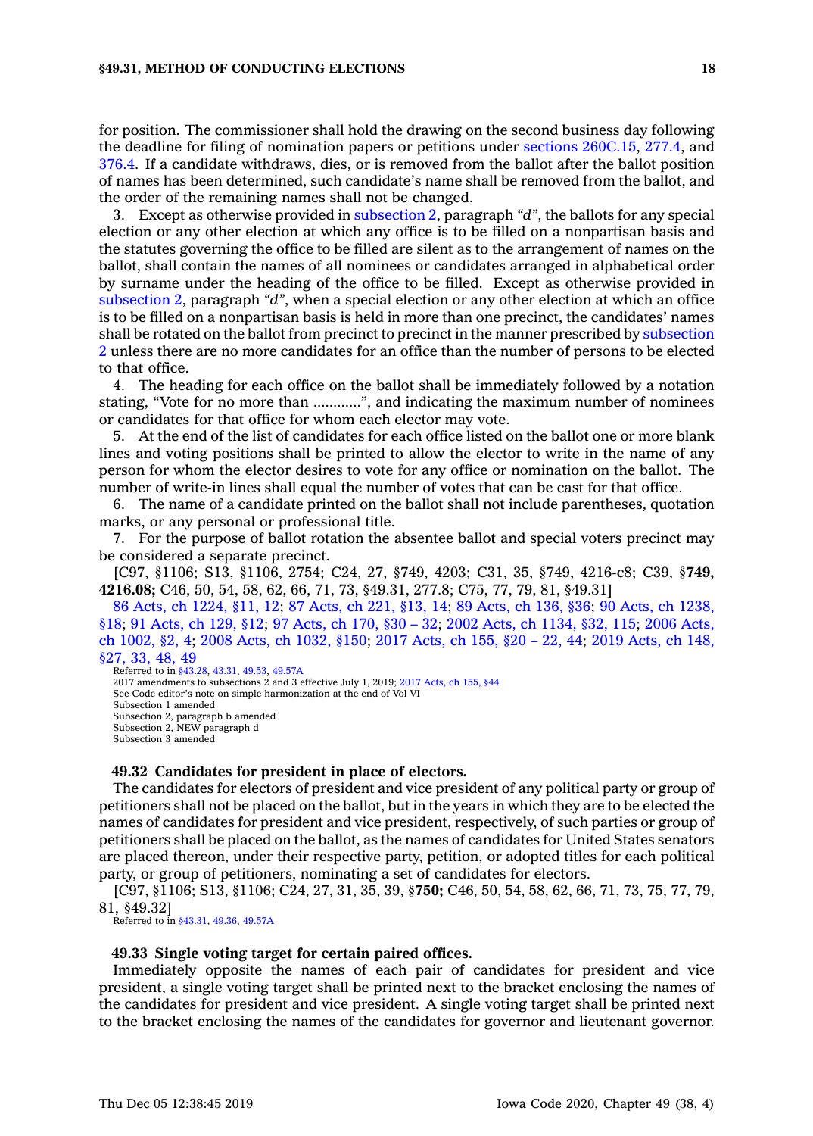## **§49.31, METHOD OF CONDUCTING ELECTIONS 18**

for position. The commissioner shall hold the drawing on the second business day following the deadline for filing of nomination papers or petitions under sections [260C.15](https://www.legis.iowa.gov/docs/code/260C.15.pdf), [277.4](https://www.legis.iowa.gov/docs/code/277.4.pdf), and [376.4](https://www.legis.iowa.gov/docs/code/376.4.pdf). If <sup>a</sup> candidate withdraws, dies, or is removed from the ballot after the ballot position of names has been determined, such candidate's name shall be removed from the ballot, and the order of the remaining names shall not be changed.

3. Except as otherwise provided in [subsection](https://www.legis.iowa.gov/docs/code/49.31.pdf) 2, paragraph *"d"*, the ballots for any special election or any other election at which any office is to be filled on <sup>a</sup> nonpartisan basis and the statutes governing the office to be filled are silent as to the arrangement of names on the ballot, shall contain the names of all nominees or candidates arranged in alphabetical order by surname under the heading of the office to be filled. Except as otherwise provided in [subsection](https://www.legis.iowa.gov/docs/code/49.31.pdf) 2, paragraph *"d"*, when <sup>a</sup> special election or any other election at which an office is to be filled on <sup>a</sup> nonpartisan basis is held in more than one precinct, the candidates' names shall be rotated on the ballot from precinct to precinct in the manner prescribed by [subsection](https://www.legis.iowa.gov/docs/code/49.31.pdf) [2](https://www.legis.iowa.gov/docs/code/49.31.pdf) unless there are no more candidates for an office than the number of persons to be elected to that office.

4. The heading for each office on the ballot shall be immediately followed by <sup>a</sup> notation stating, "Vote for no more than ............", and indicating the maximum number of nominees or candidates for that office for whom each elector may vote.

5. At the end of the list of candidates for each office listed on the ballot one or more blank lines and voting positions shall be printed to allow the elector to write in the name of any person for whom the elector desires to vote for any office or nomination on the ballot. The number of write-in lines shall equal the number of votes that can be cast for that office.

6. The name of <sup>a</sup> candidate printed on the ballot shall not include parentheses, quotation marks, or any personal or professional title.

7. For the purpose of ballot rotation the absentee ballot and special voters precinct may be considered <sup>a</sup> separate precinct.

[C97, §1106; S13, §1106, 2754; C24, 27, §749, 4203; C31, 35, §749, 4216-c8; C39, §**749, 4216.08;** C46, 50, 54, 58, 62, 66, 71, 73, §49.31, 277.8; C75, 77, 79, 81, §49.31]

86 Acts, ch [1224,](https://www.legis.iowa.gov/docs/acts/86/CH1224.pdf) §11, 12; 87 [Acts,](https://www.legis.iowa.gov/docs/acts/87/CH0221.pdf) ch 221, §13, 14; 89 [Acts,](https://www.legis.iowa.gov/docs/acts/89/CH0136.pdf) ch 136, §36; 90 Acts, ch [1238,](https://www.legis.iowa.gov/docs/acts/90/CH1238.pdf) [§18](https://www.legis.iowa.gov/docs/acts/90/CH1238.pdf); 91 [Acts,](https://www.legis.iowa.gov/docs/acts/91/CH0129.pdf) ch 129, §12; 97 [Acts,](https://www.legis.iowa.gov/docs/acts/97/CH0170.pdf) ch 170, §30 – 32; 2002 Acts, ch [1134,](https://www.legis.iowa.gov/docs/acts/2002/CH1134.pdf) §32, 115; 2006 [Acts,](https://www.legis.iowa.gov/docs/acts/2006/CH1002.pdf) ch [1002,](https://www.legis.iowa.gov/docs/acts/2006/CH1002.pdf) §2, 4; 2008 Acts, ch [1032,](https://www.legis.iowa.gov/docs/acts/2008/CH1032.pdf) §150; 2017 [Acts,](https://www.legis.iowa.gov/docs/acts/2017/CH0155.pdf) ch 155, §20 – 22, 44; 2019 [Acts,](https://www.legis.iowa.gov/docs/acts/2019/CH0148.pdf) ch 148, [§27,](https://www.legis.iowa.gov/docs/acts/2019/CH0148.pdf) 33, 48, 49

Referred to in [§43.28](https://www.legis.iowa.gov/docs/code/43.28.pdf), [43.31](https://www.legis.iowa.gov/docs/code/43.31.pdf), [49.53](https://www.legis.iowa.gov/docs/code/49.53.pdf), [49.57A](https://www.legis.iowa.gov/docs/code/49.57A.pdf) 2017 amendments to subsections 2 and 3 effective July 1, 2019; 2017 [Acts,](https://www.legis.iowa.gov/docs/acts/2017/CH0155.pdf) ch 155, §44 See Code editor's note on simple harmonization at the end of Vol VI Subsection 1 amended Subsection 2, paragraph b amended Subsection 2, NEW paragraph d Subsection 3 amended

## **49.32 Candidates for president in place of electors.**

The candidates for electors of president and vice president of any political party or group of petitioners shall not be placed on the ballot, but in the years in which they are to be elected the names of candidates for president and vice president, respectively, of such parties or group of petitioners shall be placed on the ballot, as the names of candidates for United States senators are placed thereon, under their respective party, petition, or adopted titles for each political party, or group of petitioners, nominating <sup>a</sup> set of candidates for electors.

[C97, §1106; S13, §1106; C24, 27, 31, 35, 39, §**750;** C46, 50, 54, 58, 62, 66, 71, 73, 75, 77, 79, 81, §49.32]

Referred to in [§43.31](https://www.legis.iowa.gov/docs/code/43.31.pdf), [49.36](https://www.legis.iowa.gov/docs/code/49.36.pdf), [49.57A](https://www.legis.iowa.gov/docs/code/49.57A.pdf)

#### **49.33 Single voting target for certain paired offices.**

Immediately opposite the names of each pair of candidates for president and vice president, <sup>a</sup> single voting target shall be printed next to the bracket enclosing the names of the candidates for president and vice president. A single voting target shall be printed next to the bracket enclosing the names of the candidates for governor and lieutenant governor.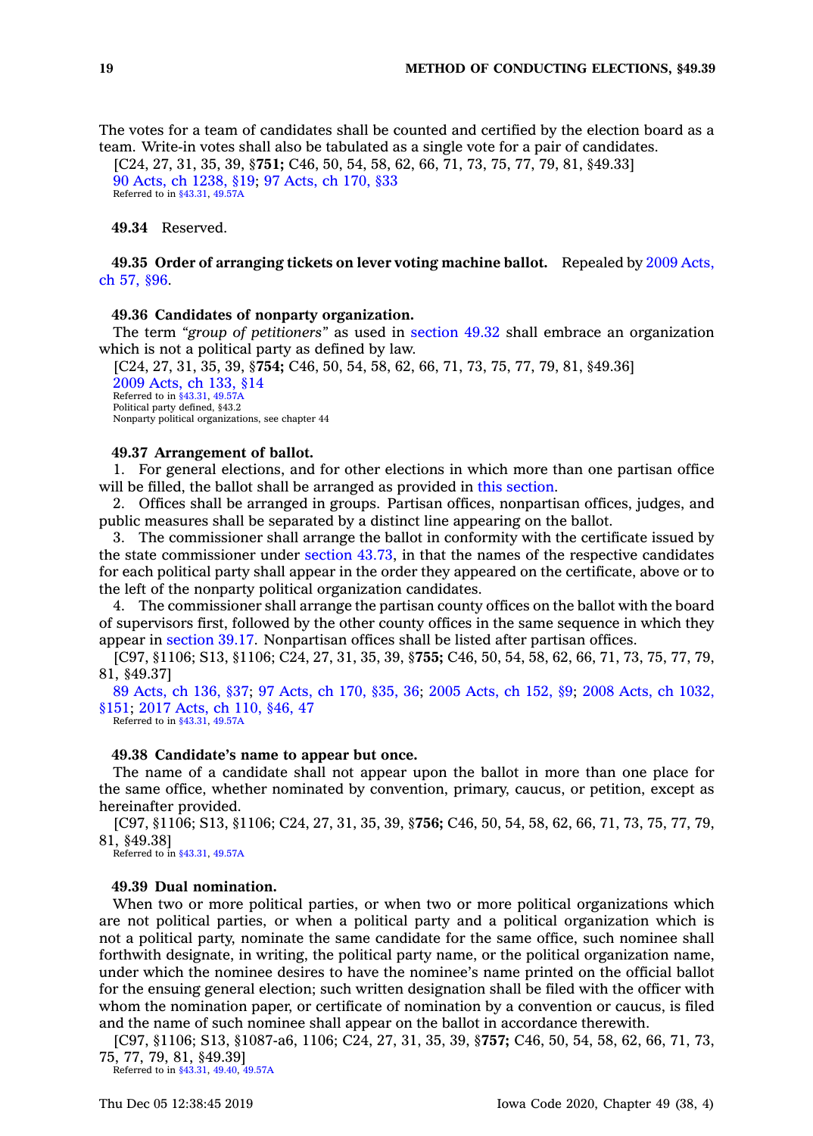The votes for <sup>a</sup> team of candidates shall be counted and certified by the election board as <sup>a</sup> team. Write-in votes shall also be tabulated as <sup>a</sup> single vote for <sup>a</sup> pair of candidates.

[C24, 27, 31, 35, 39, §**751;** C46, 50, 54, 58, 62, 66, 71, 73, 75, 77, 79, 81, §49.33] 90 Acts, ch [1238,](https://www.legis.iowa.gov/docs/acts/1990/CH1238.pdf) §19; 97 [Acts,](https://www.legis.iowa.gov/docs/acts/1997/CH0170.pdf) ch 170, §33 Referred to in [§43.31](https://www.legis.iowa.gov/docs/code/43.31.pdf), [49.57A](https://www.legis.iowa.gov/docs/code/49.57A.pdf)

**49.34** Reserved.

**49.35 Order of arranging tickets on lever voting machine ballot.** Repealed by 2009 [Acts,](https://www.legis.iowa.gov/docs/acts/2009/CH57.pdf) ch 57, [§96](https://www.legis.iowa.gov/docs/acts/2009/CH57.pdf).

#### **49.36 Candidates of nonparty organization.**

The term *"group of petitioners"* as used in [section](https://www.legis.iowa.gov/docs/code/49.32.pdf) 49.32 shall embrace an organization which is not <sup>a</sup> political party as defined by law.

[C24, 27, 31, 35, 39, §**754;** C46, 50, 54, 58, 62, 66, 71, 73, 75, 77, 79, 81, §49.36] 2009 [Acts,](https://www.legis.iowa.gov/docs/acts/2009/CH0133.pdf) ch 133, §14 Referred to in [§43.31](https://www.legis.iowa.gov/docs/code/43.31.pdf), [49.57A](https://www.legis.iowa.gov/docs/code/49.57A.pdf) Political party defined, §43.2 Nonparty political organizations, see chapter 44

### **49.37 Arrangement of ballot.**

1. For general elections, and for other elections in which more than one partisan office will be filled, the ballot shall be arranged as provided in this [section](https://www.legis.iowa.gov/docs/code/49.37.pdf).

2. Offices shall be arranged in groups. Partisan offices, nonpartisan offices, judges, and public measures shall be separated by <sup>a</sup> distinct line appearing on the ballot.

3. The commissioner shall arrange the ballot in conformity with the certificate issued by the state commissioner under [section](https://www.legis.iowa.gov/docs/code/43.73.pdf) 43.73, in that the names of the respective candidates for each political party shall appear in the order they appeared on the certificate, above or to the left of the nonparty political organization candidates.

4. The commissioner shall arrange the partisan county offices on the ballot with the board of supervisors first, followed by the other county offices in the same sequence in which they appear in [section](https://www.legis.iowa.gov/docs/code/39.17.pdf) 39.17. Nonpartisan offices shall be listed after partisan offices.

[C97, §1106; S13, §1106; C24, 27, 31, 35, 39, §**755;** C46, 50, 54, 58, 62, 66, 71, 73, 75, 77, 79, 81, §49.37]

89 [Acts,](https://www.legis.iowa.gov/docs/acts/89/CH0136.pdf) ch 136, §37; 97 [Acts,](https://www.legis.iowa.gov/docs/acts/97/CH0170.pdf) ch 170, §35, 36; 2005 [Acts,](https://www.legis.iowa.gov/docs/acts/2005/CH0152.pdf) ch 152, §9; 2008 Acts, ch [1032,](https://www.legis.iowa.gov/docs/acts/2008/CH1032.pdf) [§151](https://www.legis.iowa.gov/docs/acts/2008/CH1032.pdf); 2017 [Acts,](https://www.legis.iowa.gov/docs/acts/2017/CH0110.pdf) ch 110, §46, 47

Referred to in [§43.31](https://www.legis.iowa.gov/docs/code/43.31.pdf), [49.57A](https://www.legis.iowa.gov/docs/code/49.57A.pdf)

# **49.38 Candidate's name to appear but once.**

The name of <sup>a</sup> candidate shall not appear upon the ballot in more than one place for the same office, whether nominated by convention, primary, caucus, or petition, except as hereinafter provided.

[C97, §1106; S13, §1106; C24, 27, 31, 35, 39, §**756;** C46, 50, 54, 58, 62, 66, 71, 73, 75, 77, 79, 81, §49.38]

Referred to in [§43.31](https://www.legis.iowa.gov/docs/code/43.31.pdf), [49.57A](https://www.legis.iowa.gov/docs/code/49.57A.pdf)

# **49.39 Dual nomination.**

When two or more political parties, or when two or more political organizations which are not political parties, or when <sup>a</sup> political party and <sup>a</sup> political organization which is not <sup>a</sup> political party, nominate the same candidate for the same office, such nominee shall forthwith designate, in writing, the political party name, or the political organization name, under which the nominee desires to have the nominee's name printed on the official ballot for the ensuing general election; such written designation shall be filed with the officer with whom the nomination paper, or certificate of nomination by <sup>a</sup> convention or caucus, is filed and the name of such nominee shall appear on the ballot in accordance therewith.

[C97, §1106; S13, §1087-a6, 1106; C24, 27, 31, 35, 39, §**757;** C46, 50, 54, 58, 62, 66, 71, 73, 75, 77, 79, 81, §49.39]

Referred to in [§43.31](https://www.legis.iowa.gov/docs/code/43.31.pdf), [49.40](https://www.legis.iowa.gov/docs/code/49.40.pdf), [49.57A](https://www.legis.iowa.gov/docs/code/49.57A.pdf)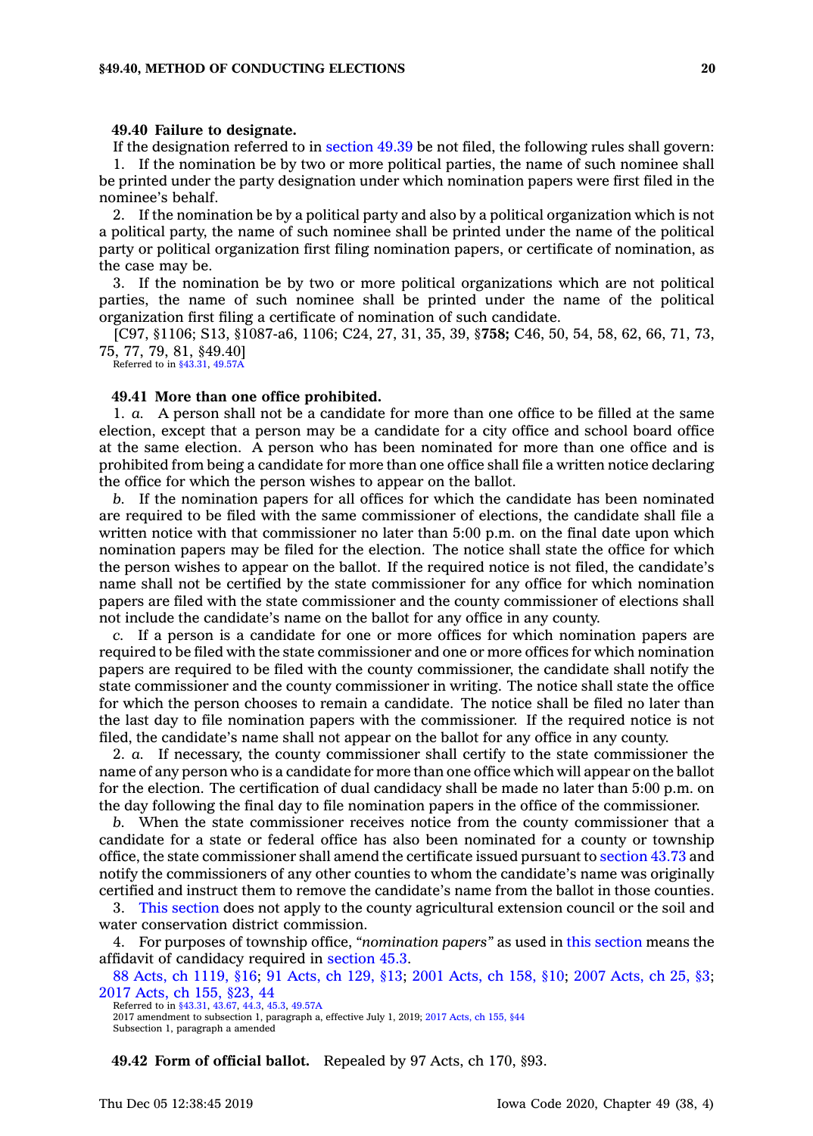## **49.40 Failure to designate.**

If the designation referred to in [section](https://www.legis.iowa.gov/docs/code/49.39.pdf) 49.39 be not filed, the following rules shall govern: 1. If the nomination be by two or more political parties, the name of such nominee shall be printed under the party designation under which nomination papers were first filed in the nominee's behalf.

2. If the nomination be by <sup>a</sup> political party and also by <sup>a</sup> political organization which is not <sup>a</sup> political party, the name of such nominee shall be printed under the name of the political party or political organization first filing nomination papers, or certificate of nomination, as the case may be.

3. If the nomination be by two or more political organizations which are not political parties, the name of such nominee shall be printed under the name of the political organization first filing <sup>a</sup> certificate of nomination of such candidate.

[C97, §1106; S13, §1087-a6, 1106; C24, 27, 31, 35, 39, §**758;** C46, 50, 54, 58, 62, 66, 71, 73, 75, 77, 79, 81, §49.40] Referred to in [§43.31](https://www.legis.iowa.gov/docs/code/43.31.pdf), [49.57A](https://www.legis.iowa.gov/docs/code/49.57A.pdf)

#### **49.41 More than one office prohibited.**

1. *a.* A person shall not be <sup>a</sup> candidate for more than one office to be filled at the same election, except that <sup>a</sup> person may be <sup>a</sup> candidate for <sup>a</sup> city office and school board office at the same election. A person who has been nominated for more than one office and is prohibited from being <sup>a</sup> candidate for more than one office shall file <sup>a</sup> written notice declaring the office for which the person wishes to appear on the ballot.

*b.* If the nomination papers for all offices for which the candidate has been nominated are required to be filed with the same commissioner of elections, the candidate shall file <sup>a</sup> written notice with that commissioner no later than 5:00 p.m. on the final date upon which nomination papers may be filed for the election. The notice shall state the office for which the person wishes to appear on the ballot. If the required notice is not filed, the candidate's name shall not be certified by the state commissioner for any office for which nomination papers are filed with the state commissioner and the county commissioner of elections shall not include the candidate's name on the ballot for any office in any county.

*c.* If <sup>a</sup> person is <sup>a</sup> candidate for one or more offices for which nomination papers are required to be filed with the state commissioner and one or more offices for which nomination papers are required to be filed with the county commissioner, the candidate shall notify the state commissioner and the county commissioner in writing. The notice shall state the office for which the person chooses to remain <sup>a</sup> candidate. The notice shall be filed no later than the last day to file nomination papers with the commissioner. If the required notice is not filed, the candidate's name shall not appear on the ballot for any office in any county.

2. *a.* If necessary, the county commissioner shall certify to the state commissioner the name of any person who is <sup>a</sup> candidate for more than one office which will appear on the ballot for the election. The certification of dual candidacy shall be made no later than 5:00 p.m. on the day following the final day to file nomination papers in the office of the commissioner.

*b.* When the state commissioner receives notice from the county commissioner that <sup>a</sup> candidate for <sup>a</sup> state or federal office has also been nominated for <sup>a</sup> county or township office, the state commissioner shall amend the certificate issued pursuant to [section](https://www.legis.iowa.gov/docs/code/43.73.pdf) 43.73 and notify the commissioners of any other counties to whom the candidate's name was originally certified and instruct them to remove the candidate's name from the ballot in those counties.

3. This [section](https://www.legis.iowa.gov/docs/code/49.41.pdf) does not apply to the county agricultural extension council or the soil and water conservation district commission.

4. For purposes of township office, *"nomination papers"* as used in this [section](https://www.legis.iowa.gov/docs/code/49.41.pdf) means the affidavit of candidacy required in [section](https://www.legis.iowa.gov/docs/code/45.3.pdf) 45.3.

88 Acts, ch [1119,](https://www.legis.iowa.gov/docs/acts/88/CH1119.pdf) §16; 91 [Acts,](https://www.legis.iowa.gov/docs/acts/91/CH0129.pdf) ch 129, §13; 2001 [Acts,](https://www.legis.iowa.gov/docs/acts/2001/CH0158.pdf) ch 158, §10; 2007 [Acts,](https://www.legis.iowa.gov/docs/acts/2007/CH0025.pdf) ch 25, §3; 2017 [Acts,](https://www.legis.iowa.gov/docs/acts/2017/CH0155.pdf) ch 155, §23, 44

Referred to in [§43.31](https://www.legis.iowa.gov/docs/code/43.31.pdf), [43.67](https://www.legis.iowa.gov/docs/code/43.67.pdf), [44.3](https://www.legis.iowa.gov/docs/code/44.3.pdf), [45.3](https://www.legis.iowa.gov/docs/code/45.3.pdf), [49.57A](https://www.legis.iowa.gov/docs/code/49.57A.pdf)

2017 amendment to subsection 1, paragraph a, effective July 1, 2019; 2017 [Acts,](https://www.legis.iowa.gov/docs/acts/2017/CH0155.pdf) ch 155, §44 Subsection 1, paragraph <sup>a</sup> amended

**49.42 Form of official ballot.** Repealed by 97 Acts, ch 170, §93.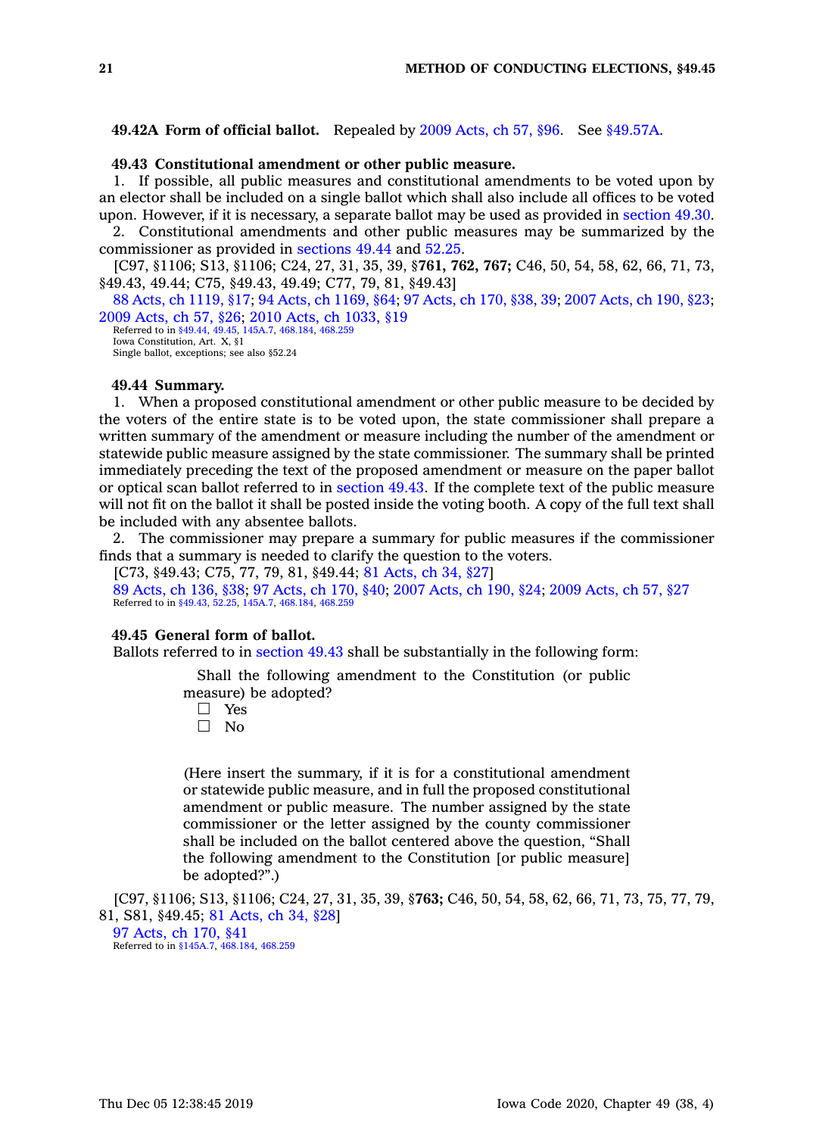**49.42A Form of official ballot.** Repealed by 2009 [Acts,](https://www.legis.iowa.gov/docs/acts/2009/CH57.pdf) ch 57, §96. See [§49.57A](https://www.legis.iowa.gov/docs/code/49.57A.pdf).

# **49.43 Constitutional amendment or other public measure.**

1. If possible, all public measures and constitutional amendments to be voted upon by an elector shall be included on <sup>a</sup> single ballot which shall also include all offices to be voted upon. However, if it is necessary, <sup>a</sup> separate ballot may be used as provided in [section](https://www.legis.iowa.gov/docs/code/49.30.pdf) 49.30.

2. Constitutional amendments and other public measures may be summarized by the commissioner as provided in [sections](https://www.legis.iowa.gov/docs/code/49.44.pdf) 49.44 and [52.25](https://www.legis.iowa.gov/docs/code/52.25.pdf).

[C97, §1106; S13, §1106; C24, 27, 31, 35, 39, §**761, 762, 767;** C46, 50, 54, 58, 62, 66, 71, 73, §49.43, 49.44; C75, §49.43, 49.49; C77, 79, 81, §49.43]

88 Acts, ch [1119,](https://www.legis.iowa.gov/docs/acts/88/CH1119.pdf) §17; 94 Acts, ch [1169,](https://www.legis.iowa.gov/docs/acts/94/CH1169.pdf) §64; 97 [Acts,](https://www.legis.iowa.gov/docs/acts/97/CH0170.pdf) ch 170, §38, 39; 2007 [Acts,](https://www.legis.iowa.gov/docs/acts/2007/CH0190.pdf) ch 190, §23; 2009 [Acts,](https://www.legis.iowa.gov/docs/acts/2009/CH0057.pdf) ch 57, §26; 2010 Acts, ch [1033,](https://www.legis.iowa.gov/docs/acts/2010/CH1033.pdf) §19

Referred to in [§49.44](https://www.legis.iowa.gov/docs/code/49.44.pdf), [49.45](https://www.legis.iowa.gov/docs/code/49.45.pdf), [145A.7](https://www.legis.iowa.gov/docs/code/145A.7.pdf), [468.184,](https://www.legis.iowa.gov/docs/code/468.184.pdf) [468.259](https://www.legis.iowa.gov/docs/code/468.259.pdf) Iowa Constitution, Art. X, §1 Single ballot, exceptions; see also §52.24

# **49.44 Summary.**

1. When <sup>a</sup> proposed constitutional amendment or other public measure to be decided by the voters of the entire state is to be voted upon, the state commissioner shall prepare <sup>a</sup> written summary of the amendment or measure including the number of the amendment or statewide public measure assigned by the state commissioner. The summary shall be printed immediately preceding the text of the proposed amendment or measure on the paper ballot or optical scan ballot referred to in [section](https://www.legis.iowa.gov/docs/code/49.43.pdf) 49.43. If the complete text of the public measure will not fit on the ballot it shall be posted inside the voting booth. A copy of the full text shall be included with any absentee ballots.

2. The commissioner may prepare <sup>a</sup> summary for public measures if the commissioner finds that <sup>a</sup> summary is needed to clarify the question to the voters.

[C73, §49.43; C75, 77, 79, 81, §49.44; 81 [Acts,](https://www.legis.iowa.gov/docs/acts/1981/CH0034.pdf) ch 34, §27]

89 [Acts,](https://www.legis.iowa.gov/docs/acts/1989/CH0136.pdf) ch 136, §38; 97 [Acts,](https://www.legis.iowa.gov/docs/acts/1997/CH0170.pdf) ch 170, §40; 2007 [Acts,](https://www.legis.iowa.gov/docs/acts/2007/CH0190.pdf) ch 190, §24; 2009 [Acts,](https://www.legis.iowa.gov/docs/acts/2009/CH0057.pdf) ch 57, §27 Referred to in [§49.43](https://www.legis.iowa.gov/docs/code/49.43.pdf), [52.25](https://www.legis.iowa.gov/docs/code/52.25.pdf), [145A.7](https://www.legis.iowa.gov/docs/code/145A.7.pdf), [468.184,](https://www.legis.iowa.gov/docs/code/468.184.pdf) [468.259](https://www.legis.iowa.gov/docs/code/468.259.pdf)

## **49.45 General form of ballot.**

Ballots referred to in [section](https://www.legis.iowa.gov/docs/code/49.43.pdf) 49.43 shall be substantially in the following form:

Shall the following amendment to the Constitution (or public measure) be adopted?

- ☐ Yes
- $\Box$  No

(Here insert the summary, if it is for <sup>a</sup> constitutional amendment or statewide public measure, and in full the proposed constitutional amendment or public measure. The number assigned by the state commissioner or the letter assigned by the county commissioner shall be included on the ballot centered above the question, "Shall the following amendment to the Constitution [or public measure] be adopted?".)

[C97, §1106; S13, §1106; C24, 27, 31, 35, 39, §**763;** C46, 50, 54, 58, 62, 66, 71, 73, 75, 77, 79, 81, S81, §49.45; 81 [Acts,](https://www.legis.iowa.gov/docs/acts/1981/CH0034.pdf) ch 34, §28]

97 [Acts,](https://www.legis.iowa.gov/docs/acts/1997/CH0170.pdf) ch 170, §41 Referred to in [§145A.7](https://www.legis.iowa.gov/docs/code/145A.7.pdf), [468.184](https://www.legis.iowa.gov/docs/code/468.184.pdf), [468.259](https://www.legis.iowa.gov/docs/code/468.259.pdf)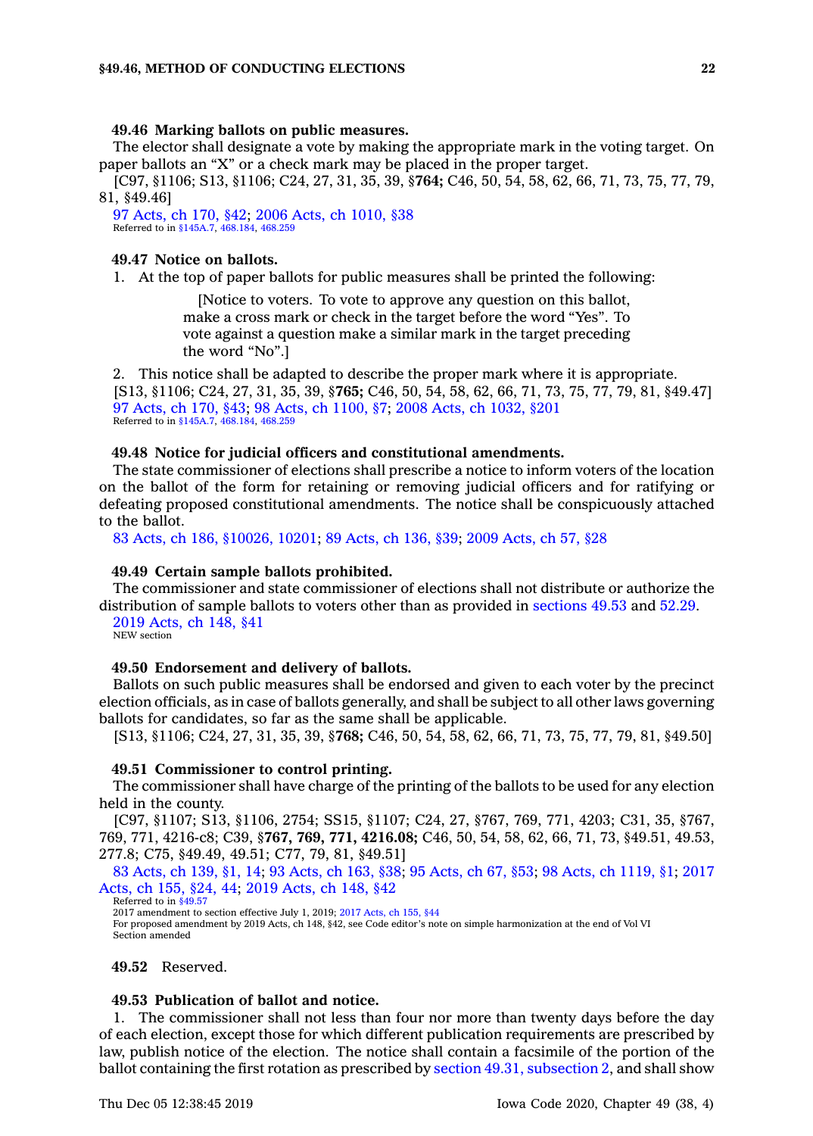## **49.46 Marking ballots on public measures.**

The elector shall designate <sup>a</sup> vote by making the appropriate mark in the voting target. On paper ballots an "X" or <sup>a</sup> check mark may be placed in the proper target.

[C97, §1106; S13, §1106; C24, 27, 31, 35, 39, §**764;** C46, 50, 54, 58, 62, 66, 71, 73, 75, 77, 79, 81, §49.46]

97 [Acts,](https://www.legis.iowa.gov/docs/acts/1997/CH0170.pdf) ch 170, §42; 2006 Acts, ch [1010,](https://www.legis.iowa.gov/docs/acts/2006/CH1010.pdf) §38 Referred to in [§145A.7](https://www.legis.iowa.gov/docs/code/145A.7.pdf), [468.184](https://www.legis.iowa.gov/docs/code/468.184.pdf), [468.259](https://www.legis.iowa.gov/docs/code/468.259.pdf)

# **49.47 Notice on ballots.**

1. At the top of paper ballots for public measures shall be printed the following:

[Notice to voters. To vote to approve any question on this ballot, make <sup>a</sup> cross mark or check in the target before the word "Yes". To vote against <sup>a</sup> question make <sup>a</sup> similar mark in the target preceding the word "No".]

2. This notice shall be adapted to describe the proper mark where it is appropriate. [S13, §1106; C24, 27, 31, 35, 39, §**765;** C46, 50, 54, 58, 62, 66, 71, 73, 75, 77, 79, 81, §49.47] 97 [Acts,](https://www.legis.iowa.gov/docs/acts/1997/CH0170.pdf) ch 170, §43; 98 Acts, ch [1100,](https://www.legis.iowa.gov/docs/acts/1998/CH1100.pdf) §7; 2008 Acts, ch [1032,](https://www.legis.iowa.gov/docs/acts/2008/CH1032.pdf) §201 Referred to in [§145A.7](https://www.legis.iowa.gov/docs/code/145A.7.pdf), [468.184](https://www.legis.iowa.gov/docs/code/468.184.pdf), [468.259](https://www.legis.iowa.gov/docs/code/468.259.pdf)

# **49.48 Notice for judicial officers and constitutional amendments.**

The state commissioner of elections shall prescribe <sup>a</sup> notice to inform voters of the location on the ballot of the form for retaining or removing judicial officers and for ratifying or defeating proposed constitutional amendments. The notice shall be conspicuously attached to the ballot.

83 Acts, ch 186, [§10026,](https://www.legis.iowa.gov/docs/acts/1983/CH0186.pdf) 10201; 89 [Acts,](https://www.legis.iowa.gov/docs/acts/1989/CH0136.pdf) ch 136, §39; 2009 [Acts,](https://www.legis.iowa.gov/docs/acts/2009/CH0057.pdf) ch 57, §28

# **49.49 Certain sample ballots prohibited.**

The commissioner and state commissioner of elections shall not distribute or authorize the distribution of sample ballots to voters other than as provided in [sections](https://www.legis.iowa.gov/docs/code/49.53.pdf) 49.53 and [52.29](https://www.legis.iowa.gov/docs/code/52.29.pdf).

2019 [Acts,](https://www.legis.iowa.gov/docs/acts/2019/CH0148.pdf) ch 148, §41 NEW section

# **49.50 Endorsement and delivery of ballots.**

Ballots on such public measures shall be endorsed and given to each voter by the precinct election officials, as in case of ballots generally, and shall be subject to all other laws governing ballots for candidates, so far as the same shall be applicable.

[S13, §1106; C24, 27, 31, 35, 39, §**768;** C46, 50, 54, 58, 62, 66, 71, 73, 75, 77, 79, 81, §49.50]

# **49.51 Commissioner to control printing.**

The commissioner shall have charge of the printing of the ballots to be used for any election held in the county.

[C97, §1107; S13, §1106, 2754; SS15, §1107; C24, 27, §767, 769, 771, 4203; C31, 35, §767, 769, 771, 4216-c8; C39, §**767, 769, 771, 4216.08;** C46, 50, 54, 58, 62, 66, 71, 73, §49.51, 49.53, 277.8; C75, §49.49, 49.51; C77, 79, 81, §49.51]

83 [Acts,](https://www.legis.iowa.gov/docs/acts/83/CH0139.pdf) ch 139, §1, 14; 93 [Acts,](https://www.legis.iowa.gov/docs/acts/93/CH0163.pdf) ch 163, §38; 95 [Acts,](https://www.legis.iowa.gov/docs/acts/95/CH0067.pdf) ch 67, §53; 98 Acts, ch [1119,](https://www.legis.iowa.gov/docs/acts/98/CH1119.pdf) §1; [2017](https://www.legis.iowa.gov/docs/acts/2017/CH0155.pdf) [Acts,](https://www.legis.iowa.gov/docs/acts/2017/CH0155.pdf) ch 155, §24, 44; 2019 [Acts,](https://www.legis.iowa.gov/docs/acts/2019/CH0148.pdf) ch 148, §42

Referred to in [§49.57](https://www.legis.iowa.gov/docs/code/49.57.pdf) 2017 amendment to section effective July 1, 2019; 2017 [Acts,](https://www.legis.iowa.gov/docs/acts/2017/CH0155.pdf) ch 155, §44 For proposed amendment by 2019 Acts, ch 148, §42, see Code editor's note on simple harmonization at the end of Vol VI Section amended

**49.52** Reserved.

# **49.53 Publication of ballot and notice.**

1. The commissioner shall not less than four nor more than twenty days before the day of each election, except those for which different publication requirements are prescribed by law, publish notice of the election. The notice shall contain <sup>a</sup> facsimile of the portion of the ballot containing the first rotation as prescribed by section 49.31, [subsection](https://www.legis.iowa.gov/docs/code/49.31.pdf) 2, and shall show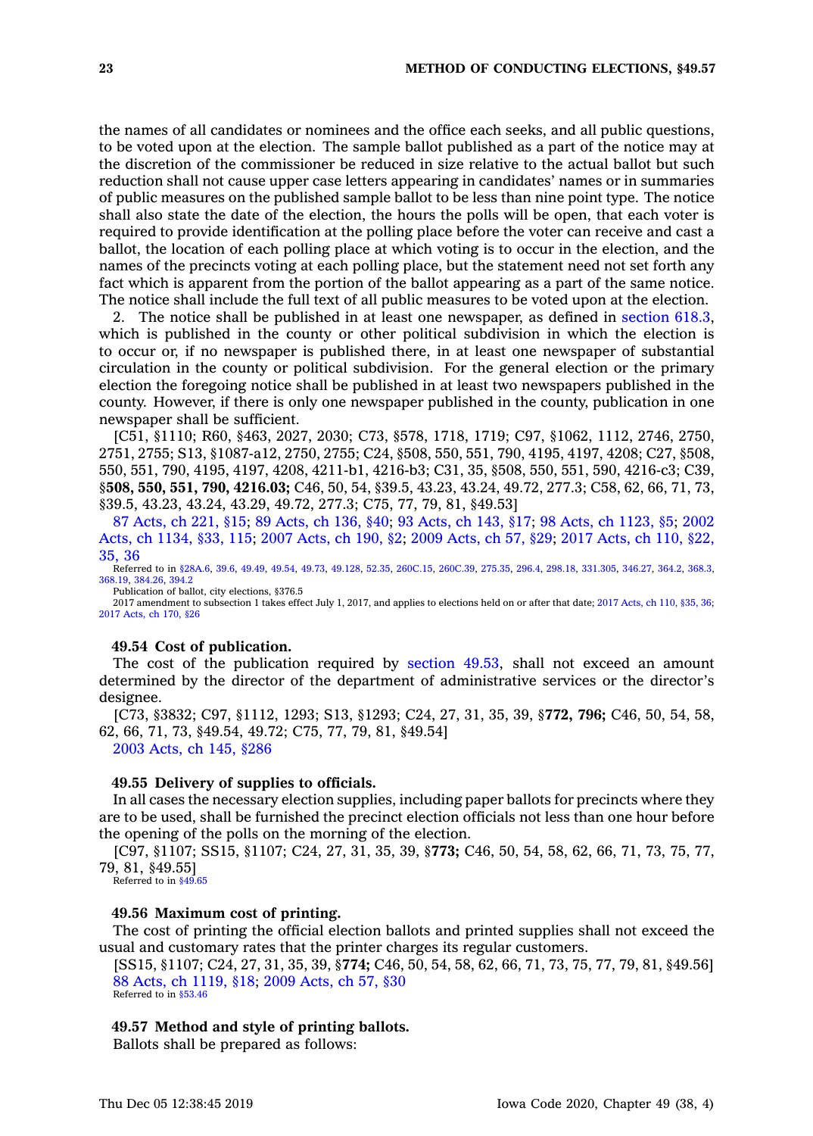the names of all candidates or nominees and the office each seeks, and all public questions, to be voted upon at the election. The sample ballot published as <sup>a</sup> part of the notice may at the discretion of the commissioner be reduced in size relative to the actual ballot but such reduction shall not cause upper case letters appearing in candidates' names or in summaries of public measures on the published sample ballot to be less than nine point type. The notice shall also state the date of the election, the hours the polls will be open, that each voter is required to provide identification at the polling place before the voter can receive and cast <sup>a</sup> ballot, the location of each polling place at which voting is to occur in the election, and the names of the precincts voting at each polling place, but the statement need not set forth any fact which is apparent from the portion of the ballot appearing as <sup>a</sup> part of the same notice. The notice shall include the full text of all public measures to be voted upon at the election.

2. The notice shall be published in at least one newspaper, as defined in [section](https://www.legis.iowa.gov/docs/code/618.3.pdf) 618.3, which is published in the county or other political subdivision in which the election is to occur or, if no newspaper is published there, in at least one newspaper of substantial circulation in the county or political subdivision. For the general election or the primary election the foregoing notice shall be published in at least two newspapers published in the county. However, if there is only one newspaper published in the county, publication in one newspaper shall be sufficient.

[C51, §1110; R60, §463, 2027, 2030; C73, §578, 1718, 1719; C97, §1062, 1112, 2746, 2750, 2751, 2755; S13, §1087-a12, 2750, 2755; C24, §508, 550, 551, 790, 4195, 4197, 4208; C27, §508, 550, 551, 790, 4195, 4197, 4208, 4211-b1, 4216-b3; C31, 35, §508, 550, 551, 590, 4216-c3; C39, §**508, 550, 551, 790, 4216.03;** C46, 50, 54, §39.5, 43.23, 43.24, 49.72, 277.3; C58, 62, 66, 71, 73, §39.5, 43.23, 43.24, 43.29, 49.72, 277.3; C75, 77, 79, 81, §49.53]

87 [Acts,](https://www.legis.iowa.gov/docs/acts/87/CH0221.pdf) ch 221, §15; 89 [Acts,](https://www.legis.iowa.gov/docs/acts/89/CH0136.pdf) ch 136, §40; 93 [Acts,](https://www.legis.iowa.gov/docs/acts/93/CH0143.pdf) ch 143, §17; 98 Acts, ch [1123,](https://www.legis.iowa.gov/docs/acts/98/CH1123.pdf) §5; [2002](https://www.legis.iowa.gov/docs/acts/2002/CH1134.pdf) Acts, ch [1134,](https://www.legis.iowa.gov/docs/acts/2002/CH1134.pdf) §33, 115; 2007 [Acts,](https://www.legis.iowa.gov/docs/acts/2007/CH0190.pdf) ch 190, §2; 2009 [Acts,](https://www.legis.iowa.gov/docs/acts/2009/CH0057.pdf) ch 57, §29; 2017 [Acts,](https://www.legis.iowa.gov/docs/acts/2017/CH0110.pdf) ch 110, §22, [35,](https://www.legis.iowa.gov/docs/acts/2017/CH0110.pdf) 36

Referred to in [§28A.6](https://www.legis.iowa.gov/docs/code/28A.6.pdf), [39.6](https://www.legis.iowa.gov/docs/code/39.6.pdf), [49.49](https://www.legis.iowa.gov/docs/code/49.49.pdf), [49.54](https://www.legis.iowa.gov/docs/code/49.54.pdf), [49.73](https://www.legis.iowa.gov/docs/code/49.73.pdf), [49.128](https://www.legis.iowa.gov/docs/code/49.128.pdf), [52.35](https://www.legis.iowa.gov/docs/code/52.35.pdf), [260C.15](https://www.legis.iowa.gov/docs/code/260C.15.pdf), [260C.39](https://www.legis.iowa.gov/docs/code/260C.39.pdf), [275.35](https://www.legis.iowa.gov/docs/code/275.35.pdf), [296.4](https://www.legis.iowa.gov/docs/code/296.4.pdf), [298.18](https://www.legis.iowa.gov/docs/code/298.18.pdf), [331.305](https://www.legis.iowa.gov/docs/code/331.305.pdf), [346.27,](https://www.legis.iowa.gov/docs/code/346.27.pdf) [364.2](https://www.legis.iowa.gov/docs/code/364.2.pdf), [368.3](https://www.legis.iowa.gov/docs/code/368.3.pdf), [368.19](https://www.legis.iowa.gov/docs/code/368.19.pdf), [384.26](https://www.legis.iowa.gov/docs/code/384.26.pdf), [394.2](https://www.legis.iowa.gov/docs/code/394.2.pdf) Publication of ballot, city elections, §376.5

2017 amendment to subsection 1 takes effect July 1, 2017, and applies to elections held on or after that date; 2017 [Acts,](https://www.legis.iowa.gov/docs/acts/2017/CH0110.pdf) ch 110, §35, 36; 2017 [Acts,](https://www.legis.iowa.gov/docs/acts/2017/CH0170.pdf) ch 170, §26

# **49.54 Cost of publication.**

The cost of the publication required by [section](https://www.legis.iowa.gov/docs/code/49.53.pdf) 49.53, shall not exceed an amount determined by the director of the department of administrative services or the director's designee.

[C73, §3832; C97, §1112, 1293; S13, §1293; C24, 27, 31, 35, 39, §**772, 796;** C46, 50, 54, 58, 62, 66, 71, 73, §49.54, 49.72; C75, 77, 79, 81, §49.54] 2003 [Acts,](https://www.legis.iowa.gov/docs/acts/2003/CH0145.pdf) ch 145, §286

#### **49.55 Delivery of supplies to officials.**

In all cases the necessary election supplies, including paper ballots for precincts where they are to be used, shall be furnished the precinct election officials not less than one hour before the opening of the polls on the morning of the election.

[C97, §1107; SS15, §1107; C24, 27, 31, 35, 39, §**773;** C46, 50, 54, 58, 62, 66, 71, 73, 75, 77, 79, 81, §49.55]

Referred to in [§49.65](https://www.legis.iowa.gov/docs/code/49.65.pdf)

## **49.56 Maximum cost of printing.**

The cost of printing the official election ballots and printed supplies shall not exceed the usual and customary rates that the printer charges its regular customers.

[SS15, §1107; C24, 27, 31, 35, 39, §**774;** C46, 50, 54, 58, 62, 66, 71, 73, 75, 77, 79, 81, §49.56] 88 Acts, ch [1119,](https://www.legis.iowa.gov/docs/acts/1988/CH1119.pdf) §18; 2009 [Acts,](https://www.legis.iowa.gov/docs/acts/2009/CH0057.pdf) ch 57, §30 Referred to in [§53.46](https://www.legis.iowa.gov/docs/code/53.46.pdf)

#### **49.57 Method and style of printing ballots.**

Ballots shall be prepared as follows: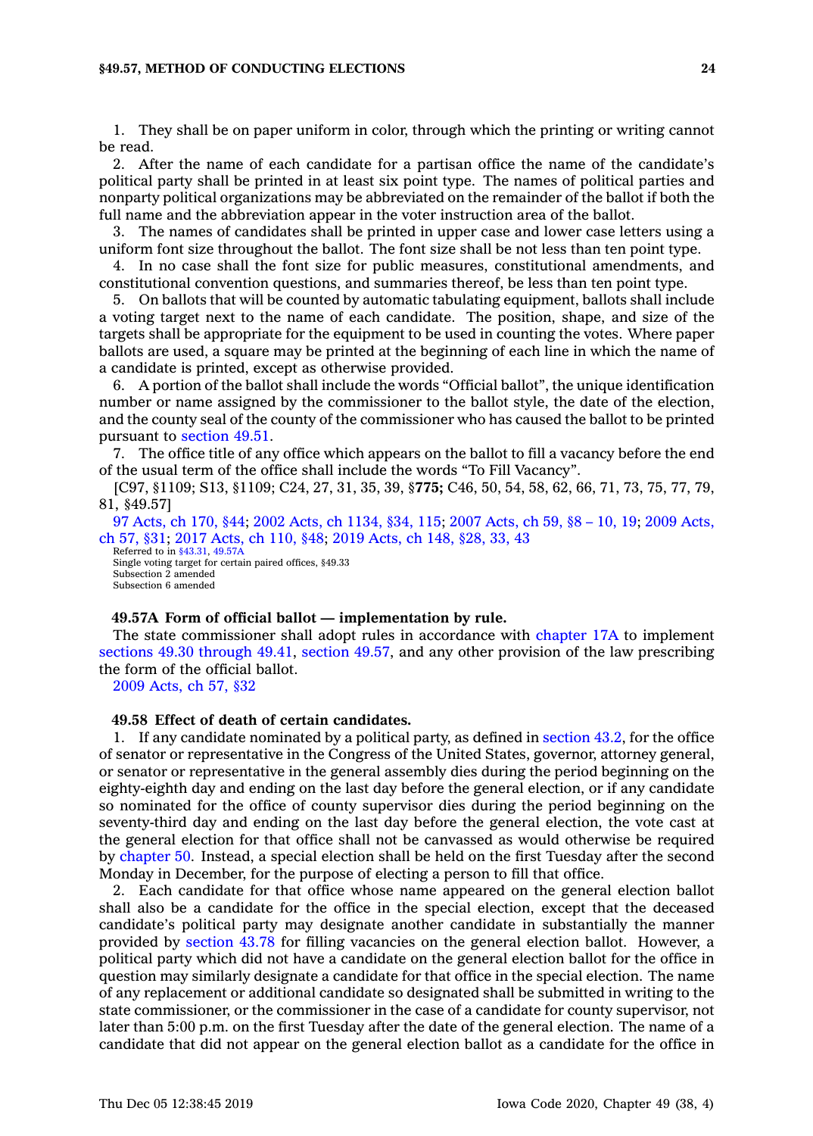## **§49.57, METHOD OF CONDUCTING ELECTIONS 24**

1. They shall be on paper uniform in color, through which the printing or writing cannot be read.

2. After the name of each candidate for <sup>a</sup> partisan office the name of the candidate's political party shall be printed in at least six point type. The names of political parties and nonparty political organizations may be abbreviated on the remainder of the ballot if both the full name and the abbreviation appear in the voter instruction area of the ballot.

3. The names of candidates shall be printed in upper case and lower case letters using <sup>a</sup> uniform font size throughout the ballot. The font size shall be not less than ten point type.

4. In no case shall the font size for public measures, constitutional amendments, and constitutional convention questions, and summaries thereof, be less than ten point type.

5. On ballots that will be counted by automatic tabulating equipment, ballots shall include <sup>a</sup> voting target next to the name of each candidate. The position, shape, and size of the targets shall be appropriate for the equipment to be used in counting the votes. Where paper ballots are used, <sup>a</sup> square may be printed at the beginning of each line in which the name of <sup>a</sup> candidate is printed, except as otherwise provided.

6. A portion of the ballot shall include the words "Official ballot", the unique identification number or name assigned by the commissioner to the ballot style, the date of the election, and the county seal of the county of the commissioner who has caused the ballot to be printed pursuant to [section](https://www.legis.iowa.gov/docs/code/49.51.pdf) 49.51.

7. The office title of any office which appears on the ballot to fill <sup>a</sup> vacancy before the end of the usual term of the office shall include the words "To Fill Vacancy".

[C97, §1109; S13, §1109; C24, 27, 31, 35, 39, §**775;** C46, 50, 54, 58, 62, 66, 71, 73, 75, 77, 79, 81, §49.57]

97 [Acts,](https://www.legis.iowa.gov/docs/acts/97/CH0170.pdf) ch 170, §44; 2002 Acts, ch [1134,](https://www.legis.iowa.gov/docs/acts/2002/CH1134.pdf) §34, 115; 2007 [Acts,](https://www.legis.iowa.gov/docs/acts/2007/CH0059.pdf) ch 59, §8 – 10, 19; 2009 [Acts,](https://www.legis.iowa.gov/docs/acts/2009/CH0057.pdf) ch 57, [§31](https://www.legis.iowa.gov/docs/acts/2009/CH0057.pdf); 2017 [Acts,](https://www.legis.iowa.gov/docs/acts/2017/CH0110.pdf) ch 110, §48; 2019 [Acts,](https://www.legis.iowa.gov/docs/acts/2019/CH0148.pdf) ch 148, §28, 33, 43

Referred to in [§43.31](https://www.legis.iowa.gov/docs/code/43.31.pdf), [49.57A](https://www.legis.iowa.gov/docs/code/49.57A.pdf) Single voting target for certain paired offices, §49.33 Subsection 2 amended Subsection 6 amended

#### **49.57A Form of official ballot —implementation by rule.**

The state commissioner shall adopt rules in accordance with [chapter](https://www.legis.iowa.gov/docs/code//17A.pdf) 17A to implement sections 49.30 [through](https://www.legis.iowa.gov/docs/code/49.30.pdf) 49.41, [section](https://www.legis.iowa.gov/docs/code/49.57.pdf) 49.57, and any other provision of the law prescribing the form of the official ballot.

2009 [Acts,](https://www.legis.iowa.gov/docs/acts/2009/CH0057.pdf) ch 57, §32

# **49.58 Effect of death of certain candidates.**

1. If any candidate nominated by <sup>a</sup> political party, as defined in [section](https://www.legis.iowa.gov/docs/code/43.2.pdf) 43.2, for the office of senator or representative in the Congress of the United States, governor, attorney general, or senator or representative in the general assembly dies during the period beginning on the eighty-eighth day and ending on the last day before the general election, or if any candidate so nominated for the office of county supervisor dies during the period beginning on the seventy-third day and ending on the last day before the general election, the vote cast at the general election for that office shall not be canvassed as would otherwise be required by [chapter](https://www.legis.iowa.gov/docs/code//50.pdf) 50. Instead, <sup>a</sup> special election shall be held on the first Tuesday after the second Monday in December, for the purpose of electing <sup>a</sup> person to fill that office.

2. Each candidate for that office whose name appeared on the general election ballot shall also be <sup>a</sup> candidate for the office in the special election, except that the deceased candidate's political party may designate another candidate in substantially the manner provided by [section](https://www.legis.iowa.gov/docs/code/43.78.pdf) 43.78 for filling vacancies on the general election ballot. However, <sup>a</sup> political party which did not have <sup>a</sup> candidate on the general election ballot for the office in question may similarly designate <sup>a</sup> candidate for that office in the special election. The name of any replacement or additional candidate so designated shall be submitted in writing to the state commissioner, or the commissioner in the case of <sup>a</sup> candidate for county supervisor, not later than 5:00 p.m. on the first Tuesday after the date of the general election. The name of <sup>a</sup> candidate that did not appear on the general election ballot as <sup>a</sup> candidate for the office in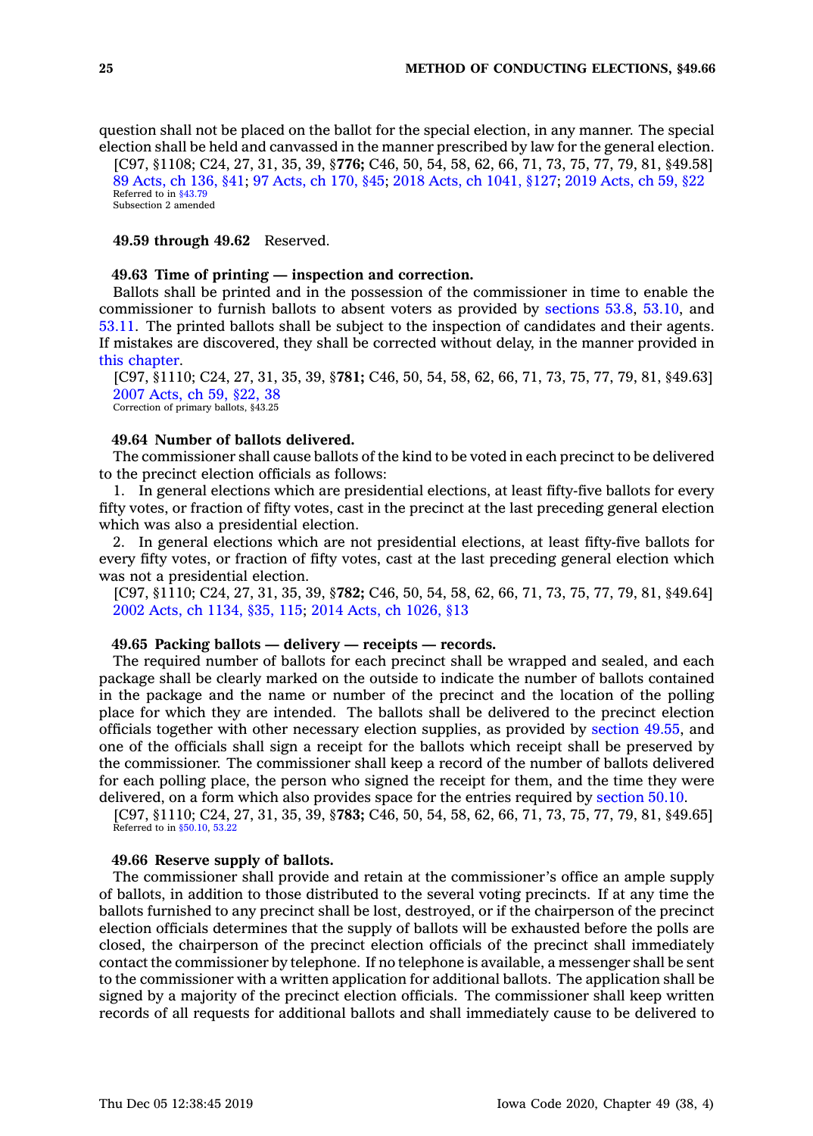question shall not be placed on the ballot for the special election, in any manner. The special election shall be held and canvassed in the manner prescribed by law for the general election.

[C97, §1108; C24, 27, 31, 35, 39, §**776;** C46, 50, 54, 58, 62, 66, 71, 73, 75, 77, 79, 81, §49.58] 89 [Acts,](https://www.legis.iowa.gov/docs/acts/89/CH0136.pdf) ch 136, §41; 97 [Acts,](https://www.legis.iowa.gov/docs/acts/97/CH0170.pdf) ch 170, §45; 2018 Acts, ch [1041,](https://www.legis.iowa.gov/docs/acts/2018/CH1041.pdf) §127; 2019 [Acts,](https://www.legis.iowa.gov/docs/acts/2019/CH0059.pdf) ch 59, §22 Referred to in [§43.79](https://www.legis.iowa.gov/docs/code/43.79.pdf) Subsection 2 amended

**49.59 through 49.62** Reserved.

#### **49.63 Time of printing — inspection and correction.**

Ballots shall be printed and in the possession of the commissioner in time to enable the commissioner to furnish ballots to absent voters as provided by [sections](https://www.legis.iowa.gov/docs/code/53.8.pdf) 53.8, [53.10](https://www.legis.iowa.gov/docs/code/53.10.pdf), and [53.11](https://www.legis.iowa.gov/docs/code/53.11.pdf). The printed ballots shall be subject to the inspection of candidates and their agents. If mistakes are discovered, they shall be corrected without delay, in the manner provided in this [chapter](https://www.legis.iowa.gov/docs/code//49.pdf).

[C97, §1110; C24, 27, 31, 35, 39, §**781;** C46, 50, 54, 58, 62, 66, 71, 73, 75, 77, 79, 81, §49.63] 2007 [Acts,](https://www.legis.iowa.gov/docs/acts/2007/CH0059.pdf) ch 59, §22, 38 Correction of primary ballots, §43.25

# **49.64 Number of ballots delivered.**

The commissioner shall cause ballots of the kind to be voted in each precinct to be delivered to the precinct election officials as follows:

1. In general elections which are presidential elections, at least fifty-five ballots for every fifty votes, or fraction of fifty votes, cast in the precinct at the last preceding general election which was also <sup>a</sup> presidential election.

2. In general elections which are not presidential elections, at least fifty-five ballots for every fifty votes, or fraction of fifty votes, cast at the last preceding general election which was not <sup>a</sup> presidential election.

[C97, §1110; C24, 27, 31, 35, 39, §**782;** C46, 50, 54, 58, 62, 66, 71, 73, 75, 77, 79, 81, §49.64] 2002 Acts, ch [1134,](https://www.legis.iowa.gov/docs/acts/2002/CH1134.pdf) §35, 115; 2014 Acts, ch [1026,](https://www.legis.iowa.gov/docs/acts/2014/CH1026.pdf) §13

# **49.65 Packing ballots — delivery — receipts — records.**

The required number of ballots for each precinct shall be wrapped and sealed, and each package shall be clearly marked on the outside to indicate the number of ballots contained in the package and the name or number of the precinct and the location of the polling place for which they are intended. The ballots shall be delivered to the precinct election officials together with other necessary election supplies, as provided by [section](https://www.legis.iowa.gov/docs/code/49.55.pdf) 49.55, and one of the officials shall sign <sup>a</sup> receipt for the ballots which receipt shall be preserved by the commissioner. The commissioner shall keep <sup>a</sup> record of the number of ballots delivered for each polling place, the person who signed the receipt for them, and the time they were delivered, on <sup>a</sup> form which also provides space for the entries required by [section](https://www.legis.iowa.gov/docs/code/50.10.pdf) 50.10.

[C97, §1110; C24, 27, 31, 35, 39, §**783;** C46, 50, 54, 58, 62, 66, 71, 73, 75, 77, 79, 81, §49.65] Referred to in [§50.10](https://www.legis.iowa.gov/docs/code/50.10.pdf), [53.22](https://www.legis.iowa.gov/docs/code/53.22.pdf)

## **49.66 Reserve supply of ballots.**

The commissioner shall provide and retain at the commissioner's office an ample supply of ballots, in addition to those distributed to the several voting precincts. If at any time the ballots furnished to any precinct shall be lost, destroyed, or if the chairperson of the precinct election officials determines that the supply of ballots will be exhausted before the polls are closed, the chairperson of the precinct election officials of the precinct shall immediately contact the commissioner by telephone. If no telephone is available, <sup>a</sup> messenger shall be sent to the commissioner with <sup>a</sup> written application for additional ballots. The application shall be signed by <sup>a</sup> majority of the precinct election officials. The commissioner shall keep written records of all requests for additional ballots and shall immediately cause to be delivered to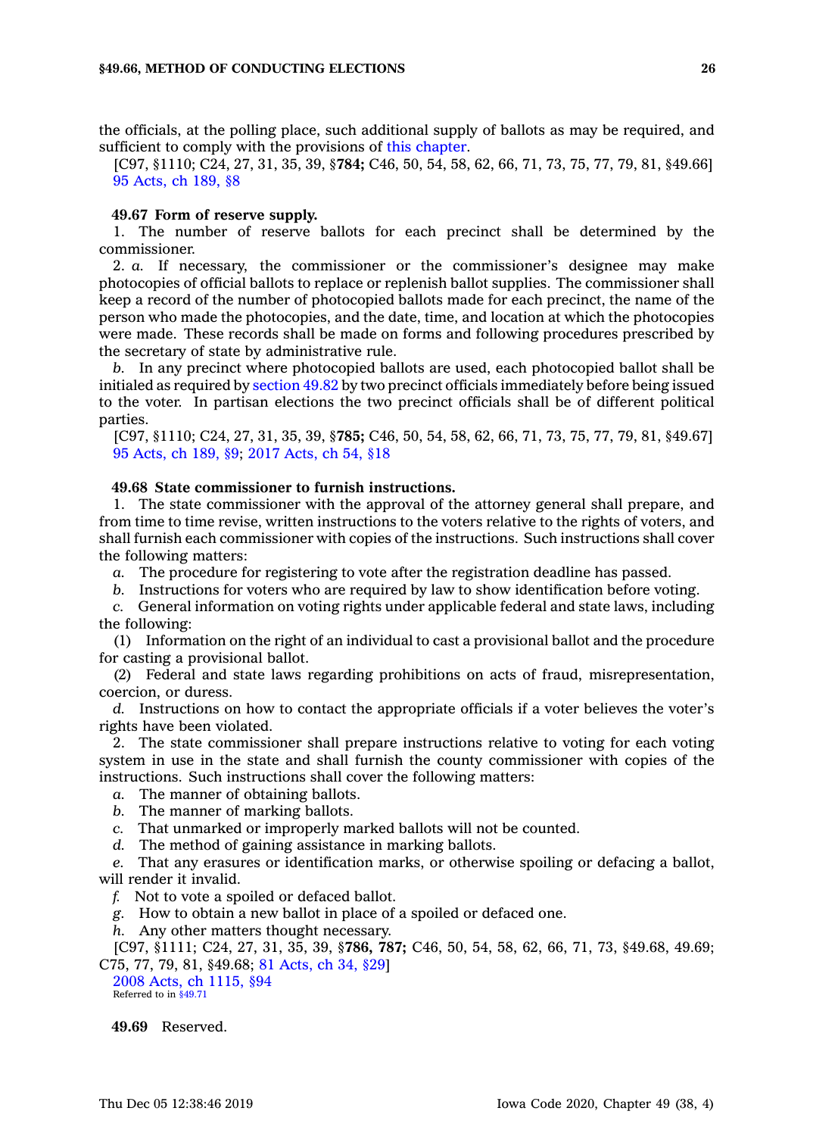the officials, at the polling place, such additional supply of ballots as may be required, and sufficient to comply with the provisions of this [chapter](https://www.legis.iowa.gov/docs/code//49.pdf).

[C97, §1110; C24, 27, 31, 35, 39, §**784;** C46, 50, 54, 58, 62, 66, 71, 73, 75, 77, 79, 81, §49.66] 95 [Acts,](https://www.legis.iowa.gov/docs/acts/1995/CH0189.pdf) ch 189, §8

# **49.67 Form of reserve supply.**

1. The number of reserve ballots for each precinct shall be determined by the commissioner.

2. *a.* If necessary, the commissioner or the commissioner's designee may make photocopies of official ballots to replace or replenish ballot supplies. The commissioner shall keep <sup>a</sup> record of the number of photocopied ballots made for each precinct, the name of the person who made the photocopies, and the date, time, and location at which the photocopies were made. These records shall be made on forms and following procedures prescribed by the secretary of state by administrative rule.

*b.* In any precinct where photocopied ballots are used, each photocopied ballot shall be initialed as required by [section](https://www.legis.iowa.gov/docs/code/49.82.pdf) 49.82 by two precinct officials immediately before being issued to the voter. In partisan elections the two precinct officials shall be of different political parties.

[C97, §1110; C24, 27, 31, 35, 39, §**785;** C46, 50, 54, 58, 62, 66, 71, 73, 75, 77, 79, 81, §49.67] 95 [Acts,](https://www.legis.iowa.gov/docs/acts/95/CH0189.pdf) ch 189, §9; 2017 [Acts,](https://www.legis.iowa.gov/docs/acts/2017/CH0054.pdf) ch 54, §18

## **49.68 State commissioner to furnish instructions.**

1. The state commissioner with the approval of the attorney general shall prepare, and from time to time revise, written instructions to the voters relative to the rights of voters, and shall furnish each commissioner with copies of the instructions. Such instructions shall cover the following matters:

*a.* The procedure for registering to vote after the registration deadline has passed.

*b.* Instructions for voters who are required by law to show identification before voting.

*c.* General information on voting rights under applicable federal and state laws, including the following:

(1) Information on the right of an individual to cast <sup>a</sup> provisional ballot and the procedure for casting <sup>a</sup> provisional ballot.

(2) Federal and state laws regarding prohibitions on acts of fraud, misrepresentation, coercion, or duress.

*d.* Instructions on how to contact the appropriate officials if <sup>a</sup> voter believes the voter's rights have been violated.

2. The state commissioner shall prepare instructions relative to voting for each voting system in use in the state and shall furnish the county commissioner with copies of the instructions. Such instructions shall cover the following matters:

*a.* The manner of obtaining ballots.

*b.* The manner of marking ballots.

*c.* That unmarked or improperly marked ballots will not be counted.

*d.* The method of gaining assistance in marking ballots.

*e.* That any erasures or identification marks, or otherwise spoiling or defacing <sup>a</sup> ballot, will render it invalid.

*f.* Not to vote <sup>a</sup> spoiled or defaced ballot.

*g.* How to obtain <sup>a</sup> new ballot in place of <sup>a</sup> spoiled or defaced one.

*h.* Any other matters thought necessary.

[C97, §1111; C24, 27, 31, 35, 39, §**786, 787;** C46, 50, 54, 58, 62, 66, 71, 73, §49.68, 49.69; C75, 77, 79, 81, §49.68; 81 [Acts,](https://www.legis.iowa.gov/docs/acts/1981/CH0034.pdf) ch 34, §29]

2008 Acts, ch [1115,](https://www.legis.iowa.gov/docs/acts/2008/CH1115.pdf) §94 Referred to in [§49.71](https://www.legis.iowa.gov/docs/code/49.71.pdf)

**49.69** Reserved.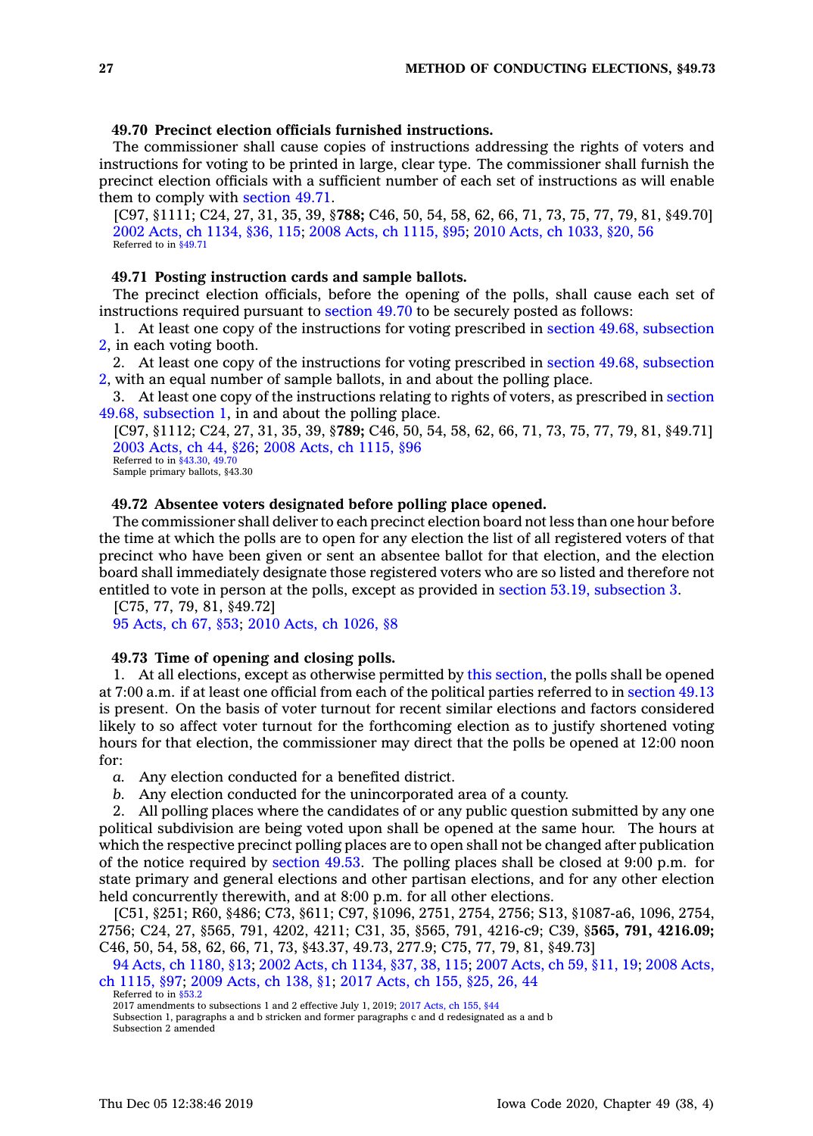# **49.70 Precinct election officials furnished instructions.**

The commissioner shall cause copies of instructions addressing the rights of voters and instructions for voting to be printed in large, clear type. The commissioner shall furnish the precinct election officials with <sup>a</sup> sufficient number of each set of instructions as will enable them to comply with [section](https://www.legis.iowa.gov/docs/code/49.71.pdf) 49.71.

[C97, §1111; C24, 27, 31, 35, 39, §**788;** C46, 50, 54, 58, 62, 66, 71, 73, 75, 77, 79, 81, §49.70] 2002 Acts, ch [1134,](https://www.legis.iowa.gov/docs/acts/2002/CH1134.pdf) §36, 115; 2008 Acts, ch [1115,](https://www.legis.iowa.gov/docs/acts/2008/CH1115.pdf) §95; 2010 Acts, ch [1033,](https://www.legis.iowa.gov/docs/acts/2010/CH1033.pdf) §20, 56 Referred to in [§49.71](https://www.legis.iowa.gov/docs/code/49.71.pdf)

# **49.71 Posting instruction cards and sample ballots.**

The precinct election officials, before the opening of the polls, shall cause each set of instructions required pursuant to [section](https://www.legis.iowa.gov/docs/code/49.70.pdf) 49.70 to be securely posted as follows:

1. At least one copy of the instructions for voting prescribed in section 49.68, [subsection](https://www.legis.iowa.gov/docs/code/49.68.pdf) [2](https://www.legis.iowa.gov/docs/code/49.68.pdf), in each voting booth.

2. At least one copy of the instructions for voting prescribed in section 49.68, [subsection](https://www.legis.iowa.gov/docs/code/49.68.pdf) [2](https://www.legis.iowa.gov/docs/code/49.68.pdf), with an equal number of sample ballots, in and about the polling place.

3. At least one copy of the instructions relating to rights of voters, as prescribed in [section](https://www.legis.iowa.gov/docs/code/49.68.pdf) 49.68, [subsection](https://www.legis.iowa.gov/docs/code/49.68.pdf) 1, in and about the polling place.

[C97, §1112; C24, 27, 31, 35, 39, §**789;** C46, 50, 54, 58, 62, 66, 71, 73, 75, 77, 79, 81, §49.71] 2003 [Acts,](https://www.legis.iowa.gov/docs/acts/2003/CH0044.pdf) ch 44, §26; 2008 Acts, ch [1115,](https://www.legis.iowa.gov/docs/acts/2008/CH1115.pdf) §96 Referred to in [§43.30](https://www.legis.iowa.gov/docs/code/43.30.pdf), [49.70](https://www.legis.iowa.gov/docs/code/49.70.pdf)

Sample primary ballots, §43.30

# **49.72 Absentee voters designated before polling place opened.**

The commissioner shall deliver to each precinct election board not less than one hour before the time at which the polls are to open for any election the list of all registered voters of that precinct who have been given or sent an absentee ballot for that election, and the election board shall immediately designate those registered voters who are so listed and therefore not entitled to vote in person at the polls, except as provided in section 53.19, [subsection](https://www.legis.iowa.gov/docs/code/53.19.pdf) 3.

[C75, 77, 79, 81, §49.72]

95 [Acts,](https://www.legis.iowa.gov/docs/acts/95/CH0067.pdf) ch 67, §53; 2010 Acts, ch [1026,](https://www.legis.iowa.gov/docs/acts/2010/CH1026.pdf) §8

## **49.73 Time of opening and closing polls.**

1. At all elections, except as otherwise permitted by this [section](https://www.legis.iowa.gov/docs/code/49.73.pdf), the polls shall be opened at 7:00 a.m. if at least one official from each of the political parties referred to in [section](https://www.legis.iowa.gov/docs/code/49.13.pdf) 49.13 is present. On the basis of voter turnout for recent similar elections and factors considered likely to so affect voter turnout for the forthcoming election as to justify shortened voting hours for that election, the commissioner may direct that the polls be opened at 12:00 noon for:

*a.* Any election conducted for <sup>a</sup> benefited district.

*b.* Any election conducted for the unincorporated area of <sup>a</sup> county.

2. All polling places where the candidates of or any public question submitted by any one political subdivision are being voted upon shall be opened at the same hour. The hours at which the respective precinct polling places are to open shall not be changed after publication of the notice required by [section](https://www.legis.iowa.gov/docs/code/49.53.pdf) 49.53. The polling places shall be closed at 9:00 p.m. for state primary and general elections and other partisan elections, and for any other election held concurrently therewith, and at 8:00 p.m. for all other elections.

[C51, §251; R60, §486; C73, §611; C97, §1096, 2751, 2754, 2756; S13, §1087-a6, 1096, 2754, 2756; C24, 27, §565, 791, 4202, 4211; C31, 35, §565, 791, 4216-c9; C39, §**565, 791, 4216.09;** C46, 50, 54, 58, 62, 66, 71, 73, §43.37, 49.73, 277.9; C75, 77, 79, 81, §49.73]

94 Acts, ch [1180,](https://www.legis.iowa.gov/docs/acts/94/CH1180.pdf) §13; 2002 Acts, ch [1134,](https://www.legis.iowa.gov/docs/acts/2002/CH1134.pdf) §37, 38, 115; 2007 [Acts,](https://www.legis.iowa.gov/docs/acts/2007/CH0059.pdf) ch 59, §11, 19; 2008 [Acts,](https://www.legis.iowa.gov/docs/acts/2008/CH1115.pdf) ch [1115,](https://www.legis.iowa.gov/docs/acts/2008/CH1115.pdf) §97; 2009 [Acts,](https://www.legis.iowa.gov/docs/acts/2009/CH0138.pdf) ch 138, §1; 2017 [Acts,](https://www.legis.iowa.gov/docs/acts/2017/CH0155.pdf) ch 155, §25, 26, 44

Referred to in [§53.2](https://www.legis.iowa.gov/docs/code/53.2.pdf)

Subsection 1, paragraphs <sup>a</sup> and b stricken and former paragraphs <sup>c</sup> and d redesignated as <sup>a</sup> and b Subsection 2 amended

<sup>2017</sup> amendments to subsections 1 and 2 effective July 1, 2019; 2017 [Acts,](https://www.legis.iowa.gov/docs/acts/2017/CH0155.pdf) ch 155, §44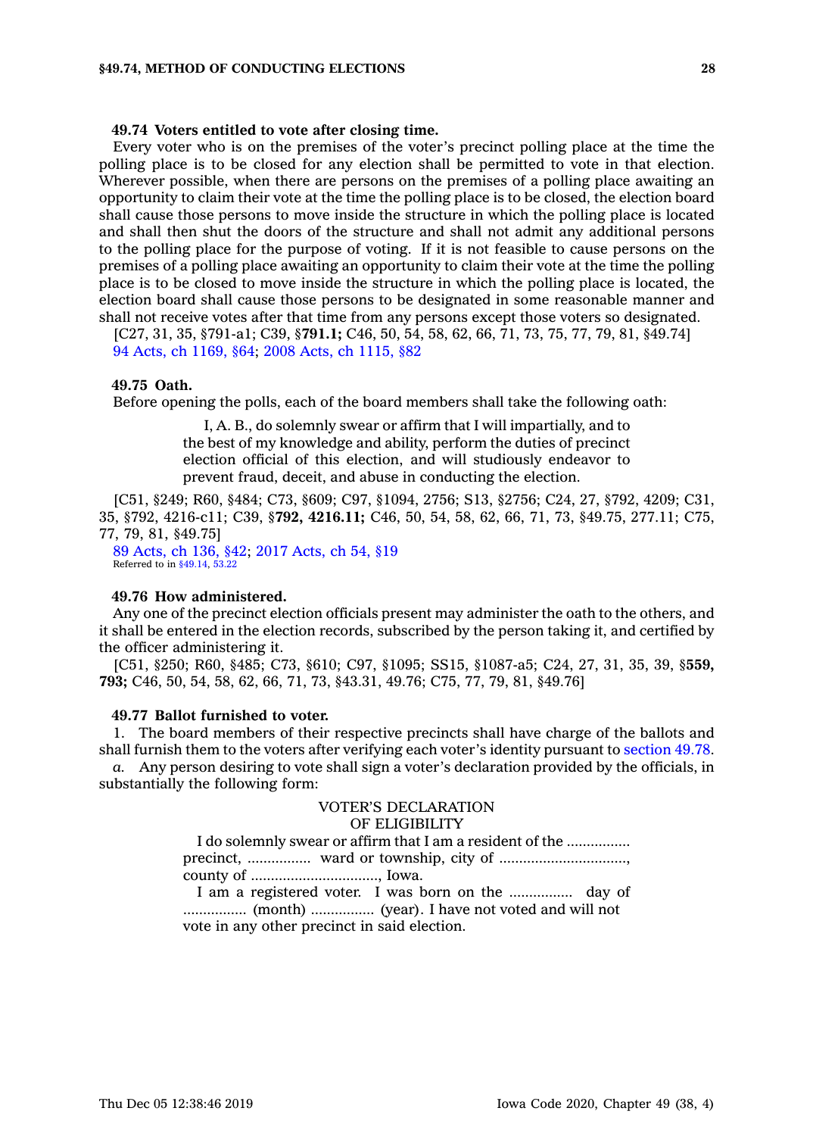#### **49.74 Voters entitled to vote after closing time.**

Every voter who is on the premises of the voter's precinct polling place at the time the polling place is to be closed for any election shall be permitted to vote in that election. Wherever possible, when there are persons on the premises of <sup>a</sup> polling place awaiting an opportunity to claim their vote at the time the polling place is to be closed, the election board shall cause those persons to move inside the structure in which the polling place is located and shall then shut the doors of the structure and shall not admit any additional persons to the polling place for the purpose of voting. If it is not feasible to cause persons on the premises of <sup>a</sup> polling place awaiting an opportunity to claim their vote at the time the polling place is to be closed to move inside the structure in which the polling place is located, the election board shall cause those persons to be designated in some reasonable manner and shall not receive votes after that time from any persons except those voters so designated.

[C27, 31, 35, §791-a1; C39, §**791.1;** C46, 50, 54, 58, 62, 66, 71, 73, 75, 77, 79, 81, §49.74] 94 Acts, ch [1169,](https://www.legis.iowa.gov/docs/acts/1994/CH1169.pdf) §64; 2008 Acts, ch [1115,](https://www.legis.iowa.gov/docs/acts/2008/CH1115.pdf) §82

## **49.75 Oath.**

Before opening the polls, each of the board members shall take the following oath:

I, A. B., do solemnly swear or affirm that I will impartially, and to the best of my knowledge and ability, perform the duties of precinct election official of this election, and will studiously endeavor to prevent fraud, deceit, and abuse in conducting the election.

[C51, §249; R60, §484; C73, §609; C97, §1094, 2756; S13, §2756; C24, 27, §792, 4209; C31, 35, §792, 4216-c11; C39, §**792, 4216.11;** C46, 50, 54, 58, 62, 66, 71, 73, §49.75, 277.11; C75, 77, 79, 81, §49.75]

89 [Acts,](https://www.legis.iowa.gov/docs/acts/89/CH0136.pdf) ch 136, §42; 2017 [Acts,](https://www.legis.iowa.gov/docs/acts/2017/CH0054.pdf) ch 54, §19 Referred to in [§49.14](https://www.legis.iowa.gov/docs/code/49.14.pdf), [53.22](https://www.legis.iowa.gov/docs/code/53.22.pdf)

## **49.76 How administered.**

Any one of the precinct election officials present may administer the oath to the others, and it shall be entered in the election records, subscribed by the person taking it, and certified by the officer administering it.

[C51, §250; R60, §485; C73, §610; C97, §1095; SS15, §1087-a5; C24, 27, 31, 35, 39, §**559, 793;** C46, 50, 54, 58, 62, 66, 71, 73, §43.31, 49.76; C75, 77, 79, 81, §49.76]

# **49.77 Ballot furnished to voter.**

1. The board members of their respective precincts shall have charge of the ballots and shall furnish them to the voters after verifying each voter's identity pursuant to [section](https://www.legis.iowa.gov/docs/code/49.78.pdf) 49.78.

*a.* Any person desiring to vote shall sign <sup>a</sup> voter's declaration provided by the officials, in substantially the following form:

# VOTER'S DECLARATION OF ELIGIBILITY

I do solemnly swear or affirm that I am <sup>a</sup> resident of the ................ precinct, ................ ward or township, city of ................................. county of ................................, Iowa.

I am <sup>a</sup> registered voter. I was born on the ................ day of ................ (month) ................ (year). I have not voted and will not vote in any other precinct in said election.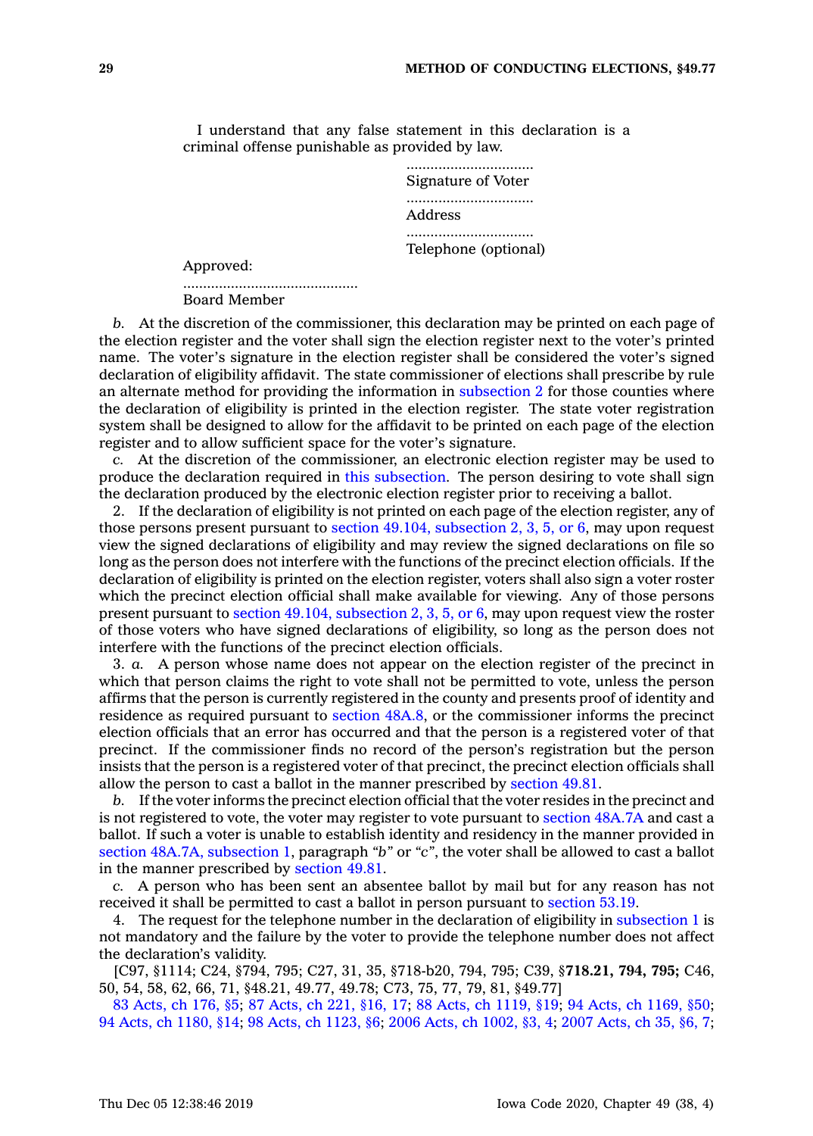I understand that any false statement in this declaration is <sup>a</sup> criminal offense punishable as provided by law.

> ................................ Signature of Voter ................................ Address ................................ Telephone (optional)

Approved:

............................................ Board Member

*b.* At the discretion of the commissioner, this declaration may be printed on each page of the election register and the voter shall sign the election register next to the voter's printed name. The voter's signature in the election register shall be considered the voter's signed declaration of eligibility affidavit. The state commissioner of elections shall prescribe by rule an alternate method for providing the information in [subsection](https://www.legis.iowa.gov/docs/code/49.77.pdf) 2 for those counties where the declaration of eligibility is printed in the election register. The state voter registration system shall be designed to allow for the affidavit to be printed on each page of the election register and to allow sufficient space for the voter's signature.

*c.* At the discretion of the commissioner, an electronic election register may be used to produce the declaration required in this [subsection](https://www.legis.iowa.gov/docs/code/49.77.pdf). The person desiring to vote shall sign the declaration produced by the electronic election register prior to receiving <sup>a</sup> ballot.

2. If the declaration of eligibility is not printed on each page of the election register, any of those persons present pursuant to section 49.104, [subsection](https://www.legis.iowa.gov/docs/code/49.104.pdf) 2, 3, 5, or 6, may upon request view the signed declarations of eligibility and may review the signed declarations on file so long as the person does not interfere with the functions of the precinct election officials. If the declaration of eligibility is printed on the election register, voters shall also sign <sup>a</sup> voter roster which the precinct election official shall make available for viewing. Any of those persons present pursuant to section 49.104, [subsection](https://www.legis.iowa.gov/docs/code/49.104.pdf) 2, 3, 5, or 6, may upon request view the roster of those voters who have signed declarations of eligibility, so long as the person does not interfere with the functions of the precinct election officials.

3. *a.* A person whose name does not appear on the election register of the precinct in which that person claims the right to vote shall not be permitted to vote, unless the person affirms that the person is currently registered in the county and presents proof of identity and residence as required pursuant to [section](https://www.legis.iowa.gov/docs/code/48A.8.pdf) 48A.8, or the commissioner informs the precinct election officials that an error has occurred and that the person is <sup>a</sup> registered voter of that precinct. If the commissioner finds no record of the person's registration but the person insists that the person is <sup>a</sup> registered voter of that precinct, the precinct election officials shall allow the person to cast <sup>a</sup> ballot in the manner prescribed by [section](https://www.legis.iowa.gov/docs/code/49.81.pdf) 49.81.

*b.* If the voter informs the precinct election official that the voter resides in the precinct and is not registered to vote, the voter may register to vote pursuant to section [48A.7A](https://www.legis.iowa.gov/docs/code/48A.7A.pdf) and cast <sup>a</sup> ballot. If such <sup>a</sup> voter is unable to establish identity and residency in the manner provided in section 48A.7A, [subsection](https://www.legis.iowa.gov/docs/code/48A.7A.pdf) 1, paragraph *"b"* or *"c"*, the voter shall be allowed to cast <sup>a</sup> ballot in the manner prescribed by [section](https://www.legis.iowa.gov/docs/code/49.81.pdf) 49.81.

*c.* A person who has been sent an absentee ballot by mail but for any reason has not received it shall be permitted to cast <sup>a</sup> ballot in person pursuant to [section](https://www.legis.iowa.gov/docs/code/53.19.pdf) 53.19.

4. The request for the telephone number in the declaration of eligibility in [subsection](https://www.legis.iowa.gov/docs/code/49.77.pdf) 1 is not mandatory and the failure by the voter to provide the telephone number does not affect the declaration's validity.

[C97, §1114; C24, §794, 795; C27, 31, 35, §718-b20, 794, 795; C39, §**718.21, 794, 795;** C46, 50, 54, 58, 62, 66, 71, §48.21, 49.77, 49.78; C73, 75, 77, 79, 81, §49.77]

83 [Acts,](https://www.legis.iowa.gov/docs/acts/83/CH0176.pdf) ch 176, §5; 87 [Acts,](https://www.legis.iowa.gov/docs/acts/87/CH0221.pdf) ch 221, §16, 17; 88 Acts, ch [1119,](https://www.legis.iowa.gov/docs/acts/88/CH1119.pdf) §19; 94 Acts, ch [1169,](https://www.legis.iowa.gov/docs/acts/94/CH1169.pdf) §50; 94 Acts, ch [1180,](https://www.legis.iowa.gov/docs/acts/94/CH1180.pdf) §14; 98 Acts, ch [1123,](https://www.legis.iowa.gov/docs/acts//CH0000.pdf) §6; 2006 Acts, ch [1002,](https://www.legis.iowa.gov/docs/acts/2006/CH1002.pdf) §3, 4; 2007 [Acts,](https://www.legis.iowa.gov/docs/acts/2007/CH0035.pdf) ch 35, §6, 7;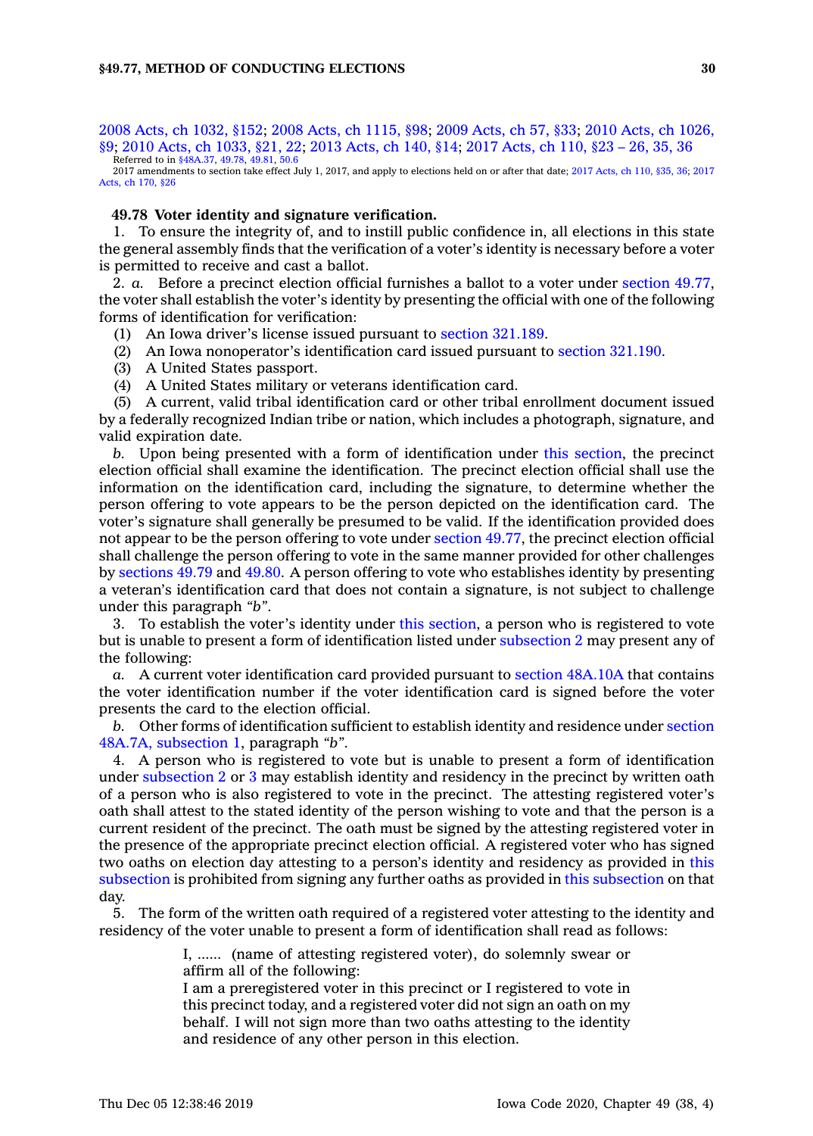2008 Acts, ch [1032,](https://www.legis.iowa.gov/docs/acts/2008/CH1032.pdf) §152; 2008 Acts, ch [1115,](https://www.legis.iowa.gov/docs/acts/2008/CH1115.pdf) §98; 2009 [Acts,](https://www.legis.iowa.gov/docs/acts/2009/CH0057.pdf) ch 57, §33; 2010 Acts, ch [1026,](https://www.legis.iowa.gov/docs/acts/2010/CH1026.pdf) [§9](https://www.legis.iowa.gov/docs/acts/2010/CH1026.pdf); 2010 Acts, ch [1033,](https://www.legis.iowa.gov/docs/acts/2010/CH1033.pdf) §21, 22; 2013 [Acts,](https://www.legis.iowa.gov/docs/acts/2013/CH0140.pdf) ch 140, §14; 2017 [Acts,](https://www.legis.iowa.gov/docs/acts/2017/CH0110.pdf) ch 110, §23 – 26, 35, 36 Referred to in [§48A.37](https://www.legis.iowa.gov/docs/code/48A.37.pdf), [49.78](https://www.legis.iowa.gov/docs/code/49.78.pdf), [49.81](https://www.legis.iowa.gov/docs/code/49.81.pdf), [50.6](https://www.legis.iowa.gov/docs/code/50.6.pdf)

2017 amendments to section take effect July 1, 2017, and apply to elections held on or after that date; 2017 [Acts,](https://www.legis.iowa.gov/docs/acts/2017/CH0110.pdf) ch 110, §35, 36; [2017](https://www.legis.iowa.gov/docs/acts/2017/CH0170.pdf) [Acts,](https://www.legis.iowa.gov/docs/acts/2017/CH0170.pdf) ch 170, §26

# **49.78 Voter identity and signature verification.**

1. To ensure the integrity of, and to instill public confidence in, all elections in this state the general assembly finds that the verification of <sup>a</sup> voter's identity is necessary before <sup>a</sup> voter is permitted to receive and cast <sup>a</sup> ballot.

2. *a.* Before <sup>a</sup> precinct election official furnishes <sup>a</sup> ballot to <sup>a</sup> voter under [section](https://www.legis.iowa.gov/docs/code/49.77.pdf) 49.77, the voter shall establish the voter's identity by presenting the official with one of the following forms of identification for verification:

- (1) An Iowa driver's license issued pursuant to section [321.189](https://www.legis.iowa.gov/docs/code/321.189.pdf).
- (2) An Iowa nonoperator's identification card issued pursuant to section [321.190](https://www.legis.iowa.gov/docs/code/321.190.pdf).
- (3) A United States passport.

(4) A United States military or veterans identification card.

(5) A current, valid tribal identification card or other tribal enrollment document issued by <sup>a</sup> federally recognized Indian tribe or nation, which includes <sup>a</sup> photograph, signature, and valid expiration date.

*b.* Upon being presented with <sup>a</sup> form of identification under this [section](https://www.legis.iowa.gov/docs/code/49.78.pdf), the precinct election official shall examine the identification. The precinct election official shall use the information on the identification card, including the signature, to determine whether the person offering to vote appears to be the person depicted on the identification card. The voter's signature shall generally be presumed to be valid. If the identification provided does not appear to be the person offering to vote under [section](https://www.legis.iowa.gov/docs/code/49.77.pdf) 49.77, the precinct election official shall challenge the person offering to vote in the same manner provided for other challenges by [sections](https://www.legis.iowa.gov/docs/code/49.79.pdf) 49.79 and [49.80](https://www.legis.iowa.gov/docs/code/49.80.pdf). A person offering to vote who establishes identity by presenting <sup>a</sup> veteran's identification card that does not contain <sup>a</sup> signature, is not subject to challenge under this paragraph *"b"*.

3. To establish the voter's identity under this [section](https://www.legis.iowa.gov/docs/code/49.78.pdf), <sup>a</sup> person who is registered to vote but is unable to present <sup>a</sup> form of identification listed under [subsection](https://www.legis.iowa.gov/docs/code/49.78.pdf) 2 may present any of the following:

*a.* A current voter identification card provided pursuant to section [48A.10A](https://www.legis.iowa.gov/docs/code/48A.10A.pdf) that contains the voter identification number if the voter identification card is signed before the voter presents the card to the election official.

*b.* Other forms of identification sufficient to establish identity and residence under [section](https://www.legis.iowa.gov/docs/code/48A.7A.pdf) 48A.7A, [subsection](https://www.legis.iowa.gov/docs/code/48A.7A.pdf) 1, paragraph *"b"*.

4. A person who is registered to vote but is unable to present <sup>a</sup> form of identification under [subsection](https://www.legis.iowa.gov/docs/code/49.78.pdf) 2 or [3](https://www.legis.iowa.gov/docs/code/49.78.pdf) may establish identity and residency in the precinct by written oath of <sup>a</sup> person who is also registered to vote in the precinct. The attesting registered voter's oath shall attest to the stated identity of the person wishing to vote and that the person is <sup>a</sup> current resident of the precinct. The oath must be signed by the attesting registered voter in the presence of the appropriate precinct election official. A registered voter who has signed two oaths on election day attesting to <sup>a</sup> person's identity and residency as provided in [this](https://www.legis.iowa.gov/docs/code/49.78.pdf) [subsection](https://www.legis.iowa.gov/docs/code/49.78.pdf) is prohibited from signing any further oaths as provided in this [subsection](https://www.legis.iowa.gov/docs/code/49.78.pdf) on that day.

5. The form of the written oath required of <sup>a</sup> registered voter attesting to the identity and residency of the voter unable to present <sup>a</sup> form of identification shall read as follows:

> I, ...... (name of attesting registered voter), do solemnly swear or affirm all of the following:

> I am <sup>a</sup> preregistered voter in this precinct or I registered to vote in this precinct today, and <sup>a</sup> registered voter did not sign an oath on my behalf. I will not sign more than two oaths attesting to the identity and residence of any other person in this election.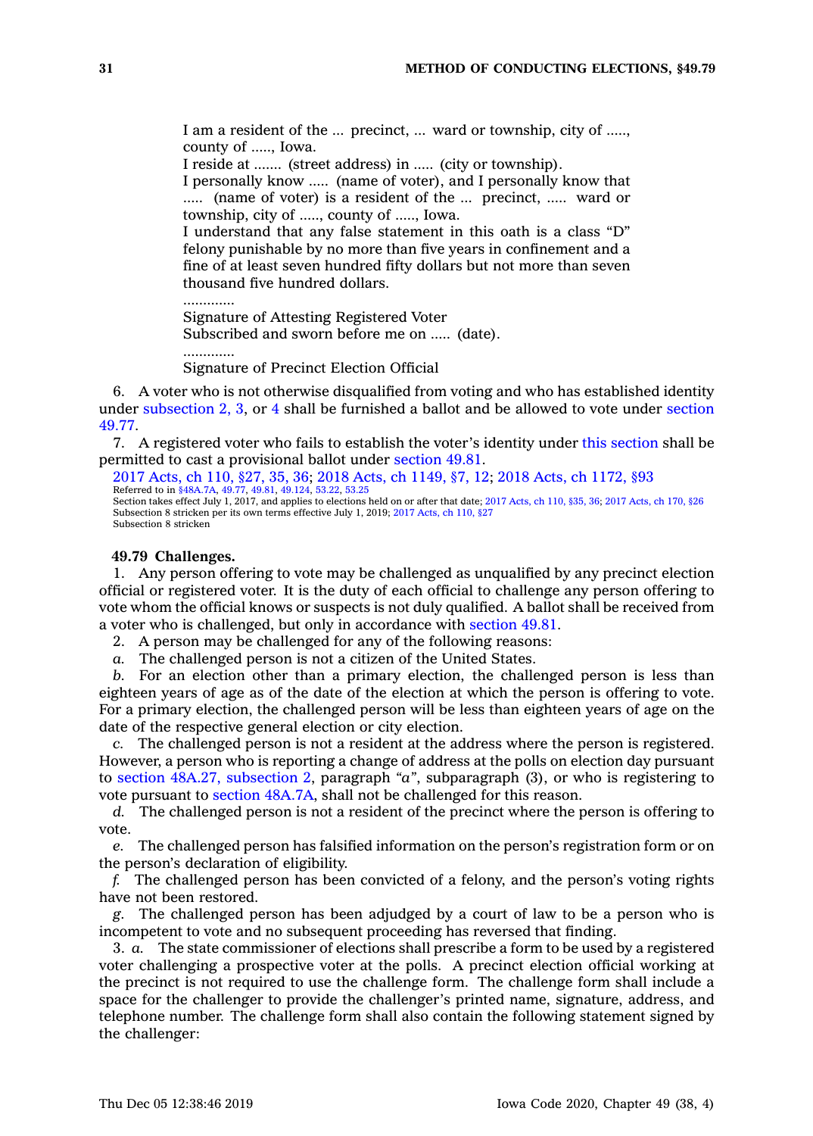I am <sup>a</sup> resident of the ... precinct, ... ward or township, city of ....., county of ....., Iowa.

I reside at ....... (street address) in ..... (city or township).

I personally know ..... (name of voter), and I personally know that ..... (name of voter) is <sup>a</sup> resident of the ... precinct, ..... ward or township, city of ....., county of ....., Iowa.

I understand that any false statement in this oath is <sup>a</sup> class "D" felony punishable by no more than five years in confinement and <sup>a</sup> fine of at least seven hundred fifty dollars but not more than seven thousand five hundred dollars.

.............

.............

Signature of Attesting Registered Voter Subscribed and sworn before me on ..... (date).

Signature of Precinct Election Official

6. A voter who is not otherwise disqualified from voting and who has established identity under [subsection](https://www.legis.iowa.gov/docs/code/49.78.pdf) 2, [3](https://www.legis.iowa.gov/docs/code/49.78.pdf), or [4](https://www.legis.iowa.gov/docs/code/49.78.pdf) shall be furnished <sup>a</sup> ballot and be allowed to vote under [section](https://www.legis.iowa.gov/docs/code/49.77.pdf) [49.77](https://www.legis.iowa.gov/docs/code/49.77.pdf).

7. A registered voter who fails to establish the voter's identity under this [section](https://www.legis.iowa.gov/docs/code/49.78.pdf) shall be permitted to cast <sup>a</sup> provisional ballot under [section](https://www.legis.iowa.gov/docs/code/49.81.pdf) 49.81.

2017 [Acts,](https://www.legis.iowa.gov/docs/acts/2017/CH0110.pdf) ch 110, §27, 35, 36; 2018 Acts, ch [1149,](https://www.legis.iowa.gov/docs/acts/2018/CH1149.pdf) §7, 12; 2018 Acts, ch [1172,](https://www.legis.iowa.gov/docs/acts/2018/CH1172.pdf) §93<br>Referred to in [§48A.7A](https://www.legis.iowa.gov/docs/code/48A.7A.pdf), [49.77](https://www.legis.iowa.gov/docs/code/49.77.pdf), [49.81](https://www.legis.iowa.gov/docs/code/49.81.pdf), [49.124](https://www.legis.iowa.gov/docs/code/49.124.pdf), [53.22](https://www.legis.iowa.gov/docs/code/53.22.pdf), [53.25](https://www.legis.iowa.gov/docs/code/53.25.pdf)

Section takes effect July 1, 2017, and applies to elections held on or after that date; 2017 [Acts,](https://www.legis.iowa.gov/docs/acts/2017/CH0110.pdf) ch 110, §35, 36; 2017 [Acts,](https://www.legis.iowa.gov/docs/acts/2017/CH0170.pdf) ch 170, §26 Subsection 8 stricken per its own terms effective July 1, 2019; 2017 [Acts,](https://www.legis.iowa.gov/docs/acts/2017/CH0110.pdf) ch 110, §27 Subsection 8 stricken

# **49.79 Challenges.**

1. Any person offering to vote may be challenged as unqualified by any precinct election official or registered voter. It is the duty of each official to challenge any person offering to vote whom the official knows or suspects is not duly qualified. A ballot shall be received from <sup>a</sup> voter who is challenged, but only in accordance with [section](https://www.legis.iowa.gov/docs/code/49.81.pdf) 49.81.

2. A person may be challenged for any of the following reasons:

*a.* The challenged person is not <sup>a</sup> citizen of the United States.

*b.* For an election other than <sup>a</sup> primary election, the challenged person is less than eighteen years of age as of the date of the election at which the person is offering to vote. For <sup>a</sup> primary election, the challenged person will be less than eighteen years of age on the date of the respective general election or city election.

*c.* The challenged person is not <sup>a</sup> resident at the address where the person is registered. However, <sup>a</sup> person who is reporting <sup>a</sup> change of address at the polls on election day pursuant to section 48A.27, [subsection](https://www.legis.iowa.gov/docs/code/48A.27.pdf) 2, paragraph *"a"*, subparagraph (3), or who is registering to vote pursuant to section [48A.7A](https://www.legis.iowa.gov/docs/code/48A.7A.pdf), shall not be challenged for this reason.

*d.* The challenged person is not <sup>a</sup> resident of the precinct where the person is offering to vote.

*e.* The challenged person has falsified information on the person's registration form or on the person's declaration of eligibility.

*f.* The challenged person has been convicted of <sup>a</sup> felony, and the person's voting rights have not been restored.

*g.* The challenged person has been adjudged by <sup>a</sup> court of law to be <sup>a</sup> person who is incompetent to vote and no subsequent proceeding has reversed that finding.

3. *a.* The state commissioner of elections shall prescribe <sup>a</sup> form to be used by <sup>a</sup> registered voter challenging <sup>a</sup> prospective voter at the polls. A precinct election official working at the precinct is not required to use the challenge form. The challenge form shall include <sup>a</sup> space for the challenger to provide the challenger's printed name, signature, address, and telephone number. The challenge form shall also contain the following statement signed by the challenger: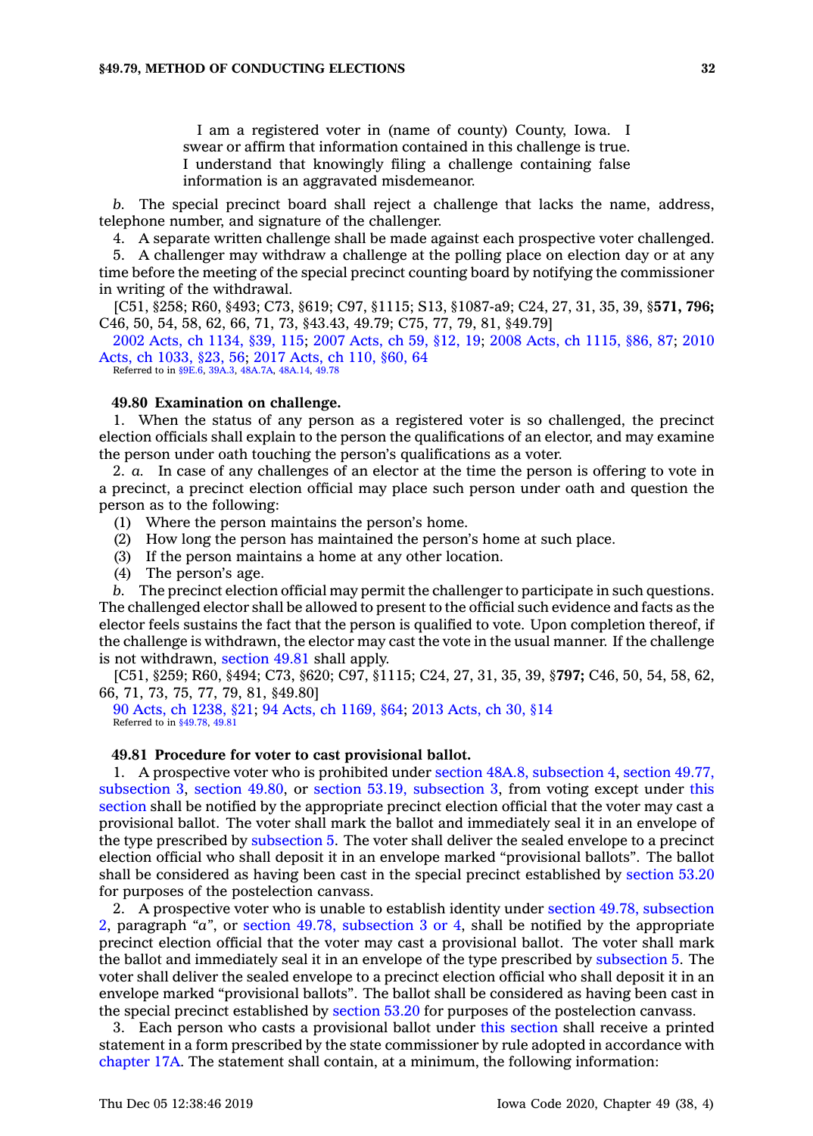I am <sup>a</sup> registered voter in (name of county) County, Iowa. I swear or affirm that information contained in this challenge is true. I understand that knowingly filing <sup>a</sup> challenge containing false information is an aggravated misdemeanor.

*b.* The special precinct board shall reject <sup>a</sup> challenge that lacks the name, address, telephone number, and signature of the challenger.

4. A separate written challenge shall be made against each prospective voter challenged.

5. A challenger may withdraw <sup>a</sup> challenge at the polling place on election day or at any time before the meeting of the special precinct counting board by notifying the commissioner in writing of the withdrawal.

[C51, §258; R60, §493; C73, §619; C97, §1115; S13, §1087-a9; C24, 27, 31, 35, 39, §**571, 796;** C46, 50, 54, 58, 62, 66, 71, 73, §43.43, 49.79; C75, 77, 79, 81, §49.79]

2002 Acts, ch [1134,](https://www.legis.iowa.gov/docs/acts/2002/CH1134.pdf) §39, 115; 2007 [Acts,](https://www.legis.iowa.gov/docs/acts/2007/CH0059.pdf) ch 59, §12, 19; 2008 Acts, ch [1115,](https://www.legis.iowa.gov/docs/acts/2008/CH1115.pdf) §86, 87; [2010](https://www.legis.iowa.gov/docs/acts/2010/CH1033.pdf) Acts, ch [1033,](https://www.legis.iowa.gov/docs/acts/2010/CH1033.pdf) §23, 56; 2017 [Acts,](https://www.legis.iowa.gov/docs/acts/2017/CH0110.pdf) ch 110, §60, 64 Referred to in [§9E.6](https://www.legis.iowa.gov/docs/code/9E.6.pdf), [39A.3](https://www.legis.iowa.gov/docs/code/39A.3.pdf), [48A.7A](https://www.legis.iowa.gov/docs/code/48A.7A.pdf), [48A.14](https://www.legis.iowa.gov/docs/code/48A.14.pdf), [49.78](https://www.legis.iowa.gov/docs/code/49.78.pdf)

# **49.80 Examination on challenge.**

1. When the status of any person as <sup>a</sup> registered voter is so challenged, the precinct election officials shall explain to the person the qualifications of an elector, and may examine the person under oath touching the person's qualifications as <sup>a</sup> voter.

2. *a.* In case of any challenges of an elector at the time the person is offering to vote in <sup>a</sup> precinct, <sup>a</sup> precinct election official may place such person under oath and question the person as to the following:

- (1) Where the person maintains the person's home.
- (2) How long the person has maintained the person's home at such place.
- (3) If the person maintains <sup>a</sup> home at any other location.
- (4) The person's age.

*b.* The precinct election official may permit the challenger to participate in such questions. The challenged elector shall be allowed to present to the official such evidence and facts as the elector feels sustains the fact that the person is qualified to vote. Upon completion thereof, if the challenge is withdrawn, the elector may cast the vote in the usual manner. If the challenge is not withdrawn, [section](https://www.legis.iowa.gov/docs/code/49.81.pdf) 49.81 shall apply.

[C51, §259; R60, §494; C73, §620; C97, §1115; C24, 27, 31, 35, 39, §**797;** C46, 50, 54, 58, 62, 66, 71, 73, 75, 77, 79, 81, §49.80]

90 Acts, ch [1238,](https://www.legis.iowa.gov/docs/acts/90/CH1238.pdf) §21; 94 Acts, ch [1169,](https://www.legis.iowa.gov/docs/acts/94/CH1169.pdf) §64; 2013 [Acts,](https://www.legis.iowa.gov/docs/acts/2013/CH0030.pdf) ch 30, §14 Referred to in [§49.78](https://www.legis.iowa.gov/docs/code/49.78.pdf), [49.81](https://www.legis.iowa.gov/docs/code/49.81.pdf)

# **49.81 Procedure for voter to cast provisional ballot.**

1. A prospective voter who is prohibited under section 48A.8, [subsection](https://www.legis.iowa.gov/docs/code/48A.8.pdf) 4, [section](https://www.legis.iowa.gov/docs/code/49.77.pdf) 49.77, [subsection](https://www.legis.iowa.gov/docs/code/49.77.pdf) 3, [section](https://www.legis.iowa.gov/docs/code/49.80.pdf) 49.80, or section 53.19, [subsection](https://www.legis.iowa.gov/docs/code/53.19.pdf) 3, from voting except under [this](https://www.legis.iowa.gov/docs/code/49.81.pdf) [section](https://www.legis.iowa.gov/docs/code/49.81.pdf) shall be notified by the appropriate precinct election official that the voter may cast <sup>a</sup> provisional ballot. The voter shall mark the ballot and immediately seal it in an envelope of the type prescribed by [subsection](https://www.legis.iowa.gov/docs/code/49.81.pdf) 5. The voter shall deliver the sealed envelope to <sup>a</sup> precinct election official who shall deposit it in an envelope marked "provisional ballots". The ballot shall be considered as having been cast in the special precinct established by [section](https://www.legis.iowa.gov/docs/code/53.20.pdf) 53.20 for purposes of the postelection canvass.

2. A prospective voter who is unable to establish identity under section 49.78, [subsection](https://www.legis.iowa.gov/docs/code/49.78.pdf) [2](https://www.legis.iowa.gov/docs/code/49.78.pdf), paragraph *"a"*, or section 49.78, [subsection](https://www.legis.iowa.gov/docs/code/49.78.pdf) 3 or 4, shall be notified by the appropriate precinct election official that the voter may cast <sup>a</sup> provisional ballot. The voter shall mark the ballot and immediately seal it in an envelope of the type prescribed by [subsection](https://www.legis.iowa.gov/docs/code/49.81.pdf) 5. The voter shall deliver the sealed envelope to <sup>a</sup> precinct election official who shall deposit it in an envelope marked "provisional ballots". The ballot shall be considered as having been cast in the special precinct established by [section](https://www.legis.iowa.gov/docs/code/53.20.pdf) 53.20 for purposes of the postelection canvass.

3. Each person who casts <sup>a</sup> provisional ballot under this [section](https://www.legis.iowa.gov/docs/code/49.81.pdf) shall receive <sup>a</sup> printed statement in <sup>a</sup> form prescribed by the state commissioner by rule adopted in accordance with [chapter](https://www.legis.iowa.gov/docs/code//17A.pdf) 17A. The statement shall contain, at <sup>a</sup> minimum, the following information: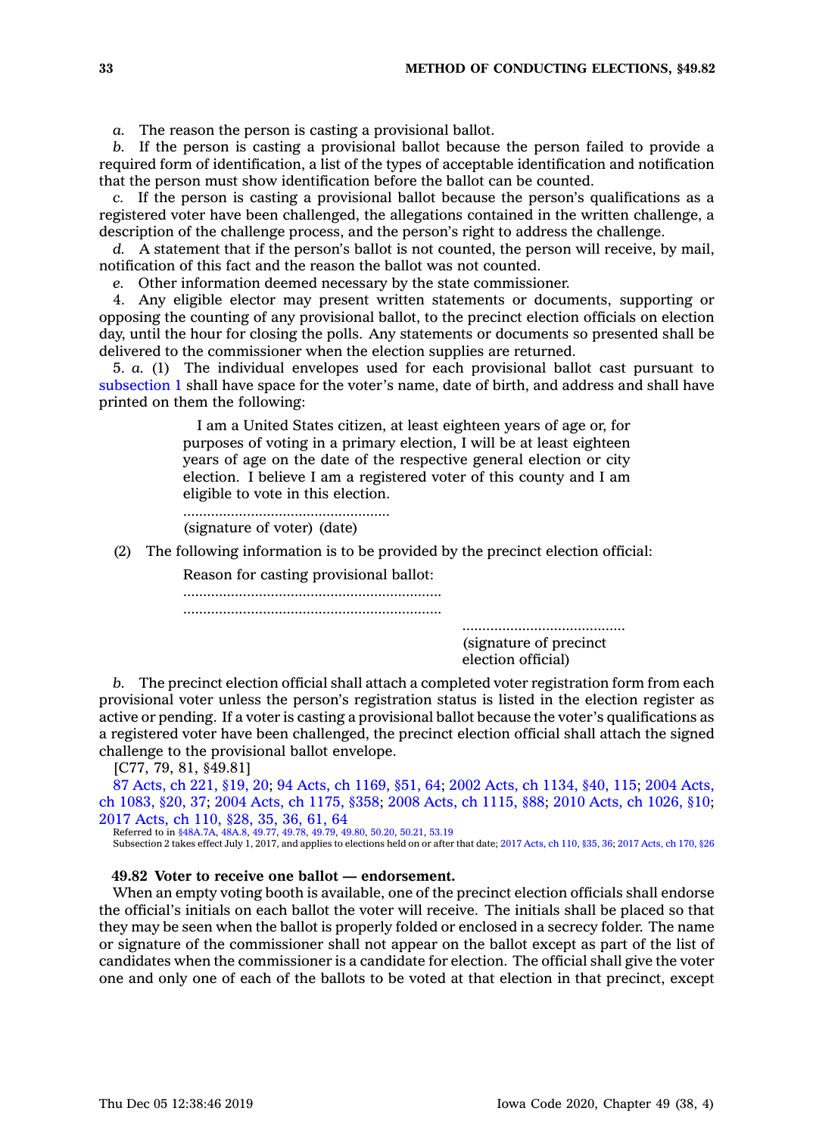*a.* The reason the person is casting <sup>a</sup> provisional ballot.

*b.* If the person is casting <sup>a</sup> provisional ballot because the person failed to provide <sup>a</sup> required form of identification, <sup>a</sup> list of the types of acceptable identification and notification that the person must show identification before the ballot can be counted.

*c.* If the person is casting <sup>a</sup> provisional ballot because the person's qualifications as <sup>a</sup> registered voter have been challenged, the allegations contained in the written challenge, <sup>a</sup> description of the challenge process, and the person's right to address the challenge.

*d.* A statement that if the person's ballot is not counted, the person will receive, by mail, notification of this fact and the reason the ballot was not counted.

*e.* Other information deemed necessary by the state commissioner.

4. Any eligible elector may present written statements or documents, supporting or opposing the counting of any provisional ballot, to the precinct election officials on election day, until the hour for closing the polls. Any statements or documents so presented shall be delivered to the commissioner when the election supplies are returned.

5. *a.* (1) The individual envelopes used for each provisional ballot cast pursuant to [subsection](https://www.legis.iowa.gov/docs/code/49.81.pdf) 1 shall have space for the voter's name, date of birth, and address and shall have printed on them the following:

> I am <sup>a</sup> United States citizen, at least eighteen years of age or, for purposes of voting in <sup>a</sup> primary election, I will be at least eighteen years of age on the date of the respective general election or city election. I believe I am <sup>a</sup> registered voter of this county and I am eligible to vote in this election.

.................................................... (signature of voter) (date)

(2) The following information is to be provided by the precinct election official:

Reason for casting provisional ballot:

................................................................. .................................................................

> ......................................... (signature of precinct election official)

*b.* The precinct election official shall attach <sup>a</sup> completed voter registration form from each provisional voter unless the person's registration status is listed in the election register as active or pending. If <sup>a</sup> voter is casting <sup>a</sup> provisional ballot because the voter's qualifications as <sup>a</sup> registered voter have been challenged, the precinct election official shall attach the signed challenge to the provisional ballot envelope.

[C77, 79, 81, §49.81]

87 [Acts,](https://www.legis.iowa.gov/docs/acts/87/CH0221.pdf) ch 221, §19, 20; 94 Acts, ch [1169,](https://www.legis.iowa.gov/docs/acts/94/CH1169.pdf) §51, 64; 2002 Acts, ch [1134,](https://www.legis.iowa.gov/docs/acts/2002/CH1134.pdf) §40, 115; 2004 [Acts,](https://www.legis.iowa.gov/docs/acts/2004/CH1083.pdf) ch [1083,](https://www.legis.iowa.gov/docs/acts/2004/CH1083.pdf) §20, 37; 2004 Acts, ch [1175,](https://www.legis.iowa.gov/docs/acts/2004/CH1175.pdf) §358; 2008 Acts, ch [1115,](https://www.legis.iowa.gov/docs/acts/2008/CH1115.pdf) §88; 2010 Acts, ch [1026,](https://www.legis.iowa.gov/docs/acts/2010/CH1026.pdf) §10; 2017 [Acts,](https://www.legis.iowa.gov/docs/acts/2017/CH0110.pdf) ch 110, §28, 35, 36, 61, 64

Referred to in [§48A.7A,](https://www.legis.iowa.gov/docs/code/48A.7A.pdf) [48A.8](https://www.legis.iowa.gov/docs/code/48A.8.pdf), [49.77,](https://www.legis.iowa.gov/docs/code/49.77.pdf) [49.78,](https://www.legis.iowa.gov/docs/code/49.78.pdf) [49.79](https://www.legis.iowa.gov/docs/code/49.79.pdf), [49.80](https://www.legis.iowa.gov/docs/code/49.80.pdf), [50.20](https://www.legis.iowa.gov/docs/code/50.20.pdf), [50.21](https://www.legis.iowa.gov/docs/code/50.21.pdf), [53.19](https://www.legis.iowa.gov/docs/code/53.19.pdf)<br>Subsection 2 takes effect July 1, 2017, and applies to elections held on or after that date; 2017 [Acts,](https://www.legis.iowa.gov/docs/acts/2017/CH0170.pdf) ch 110, §35, 36; 2017 Acts, ch 170, §26

# **49.82 Voter to receive one ballot —endorsement.**

When an empty voting booth is available, one of the precinct election officials shall endorse the official's initials on each ballot the voter will receive. The initials shall be placed so that they may be seen when the ballot is properly folded or enclosed in <sup>a</sup> secrecy folder. The name or signature of the commissioner shall not appear on the ballot except as part of the list of candidates when the commissioner is <sup>a</sup> candidate for election. The official shall give the voter one and only one of each of the ballots to be voted at that election in that precinct, except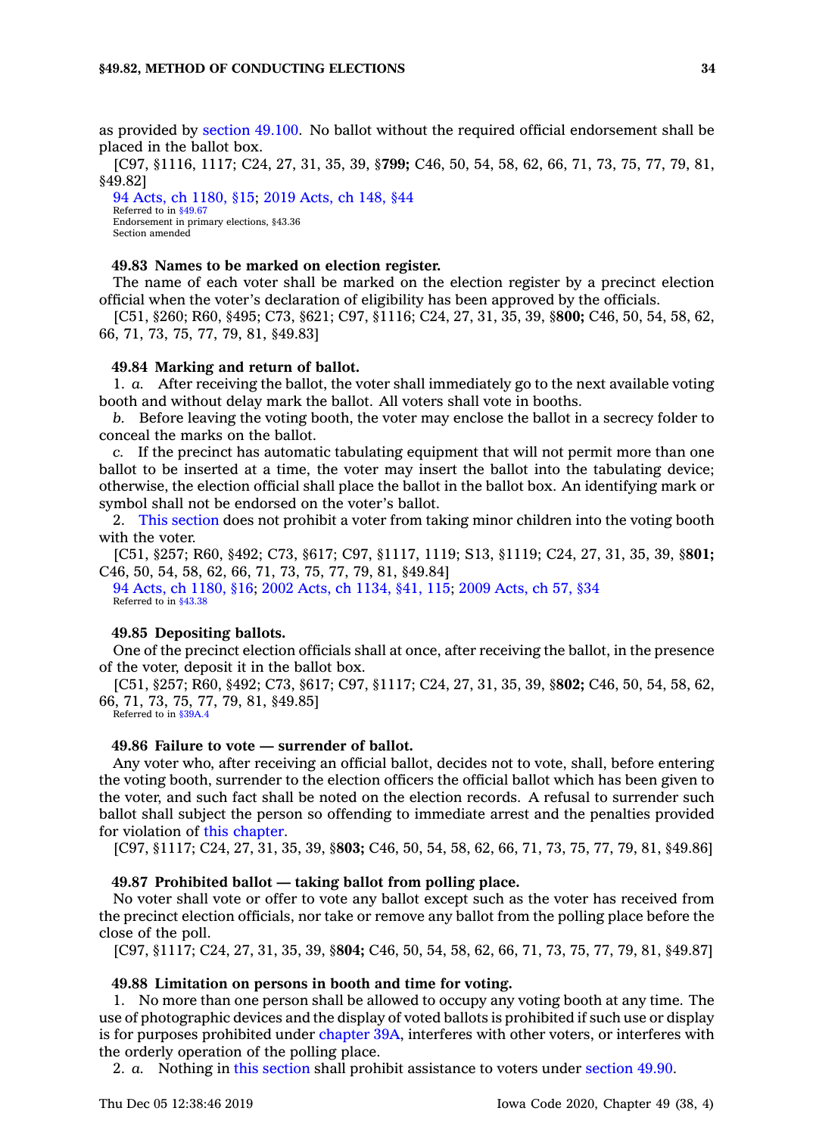as provided by [section](https://www.legis.iowa.gov/docs/code/49.100.pdf) 49.100. No ballot without the required official endorsement shall be placed in the ballot box.

[C97, §1116, 1117; C24, 27, 31, 35, 39, §**799;** C46, 50, 54, 58, 62, 66, 71, 73, 75, 77, 79, 81, §49.82]

94 Acts, ch [1180,](https://www.legis.iowa.gov/docs/acts/94/CH1180.pdf) §15; 2019 [Acts,](https://www.legis.iowa.gov/docs/acts/2019/CH0148.pdf) ch 148, §44 Referred to in [§49.67](https://www.legis.iowa.gov/docs/code/49.67.pdf) Endorsement in primary elections, §43.36 Section amended

# **49.83 Names to be marked on election register.**

The name of each voter shall be marked on the election register by <sup>a</sup> precinct election official when the voter's declaration of eligibility has been approved by the officials.

[C51, §260; R60, §495; C73, §621; C97, §1116; C24, 27, 31, 35, 39, §**800;** C46, 50, 54, 58, 62, 66, 71, 73, 75, 77, 79, 81, §49.83]

## **49.84 Marking and return of ballot.**

1. *a.* After receiving the ballot, the voter shall immediately go to the next available voting booth and without delay mark the ballot. All voters shall vote in booths.

*b.* Before leaving the voting booth, the voter may enclose the ballot in <sup>a</sup> secrecy folder to conceal the marks on the ballot.

*c.* If the precinct has automatic tabulating equipment that will not permit more than one ballot to be inserted at <sup>a</sup> time, the voter may insert the ballot into the tabulating device; otherwise, the election official shall place the ballot in the ballot box. An identifying mark or symbol shall not be endorsed on the voter's ballot.

2. This [section](https://www.legis.iowa.gov/docs/code/49.84.pdf) does not prohibit <sup>a</sup> voter from taking minor children into the voting booth with the voter.

[C51, §257; R60, §492; C73, §617; C97, §1117, 1119; S13, §1119; C24, 27, 31, 35, 39, §**801;** C46, 50, 54, 58, 62, 66, 71, 73, 75, 77, 79, 81, §49.84]

94 Acts, ch [1180,](https://www.legis.iowa.gov/docs/acts/1994/CH1180.pdf) §16; 2002 Acts, ch [1134,](https://www.legis.iowa.gov/docs/acts/2002/CH1134.pdf) §41, 115; 2009 [Acts,](https://www.legis.iowa.gov/docs/acts/2009/CH0057.pdf) ch 57, §34 Referred to in [§43.38](https://www.legis.iowa.gov/docs/code/43.38.pdf)

## **49.85 Depositing ballots.**

One of the precinct election officials shall at once, after receiving the ballot, in the presence of the voter, deposit it in the ballot box.

[C51, §257; R60, §492; C73, §617; C97, §1117; C24, 27, 31, 35, 39, §**802;** C46, 50, 54, 58, 62, 66, 71, 73, 75, 77, 79, 81, §49.85]

Referred to in [§39A.4](https://www.legis.iowa.gov/docs/code/39A.4.pdf)

## **49.86 Failure to vote — surrender of ballot.**

Any voter who, after receiving an official ballot, decides not to vote, shall, before entering the voting booth, surrender to the election officers the official ballot which has been given to the voter, and such fact shall be noted on the election records. A refusal to surrender such ballot shall subject the person so offending to immediate arrest and the penalties provided for violation of this [chapter](https://www.legis.iowa.gov/docs/code//49.pdf).

[C97, §1117; C24, 27, 31, 35, 39, §**803;** C46, 50, 54, 58, 62, 66, 71, 73, 75, 77, 79, 81, §49.86]

# **49.87 Prohibited ballot — taking ballot from polling place.**

No voter shall vote or offer to vote any ballot except such as the voter has received from the precinct election officials, nor take or remove any ballot from the polling place before the close of the poll.

[C97, §1117; C24, 27, 31, 35, 39, §**804;** C46, 50, 54, 58, 62, 66, 71, 73, 75, 77, 79, 81, §49.87]

#### **49.88 Limitation on persons in booth and time for voting.**

1. No more than one person shall be allowed to occupy any voting booth at any time. The use of photographic devices and the display of voted ballots is prohibited if such use or display is for purposes prohibited under [chapter](https://www.legis.iowa.gov/docs/code//39A.pdf) 39A, interferes with other voters, or interferes with the orderly operation of the polling place.

2. *a.* Nothing in this [section](https://www.legis.iowa.gov/docs/code/49.88.pdf) shall prohibit assistance to voters under [section](https://www.legis.iowa.gov/docs/code/49.90.pdf) 49.90.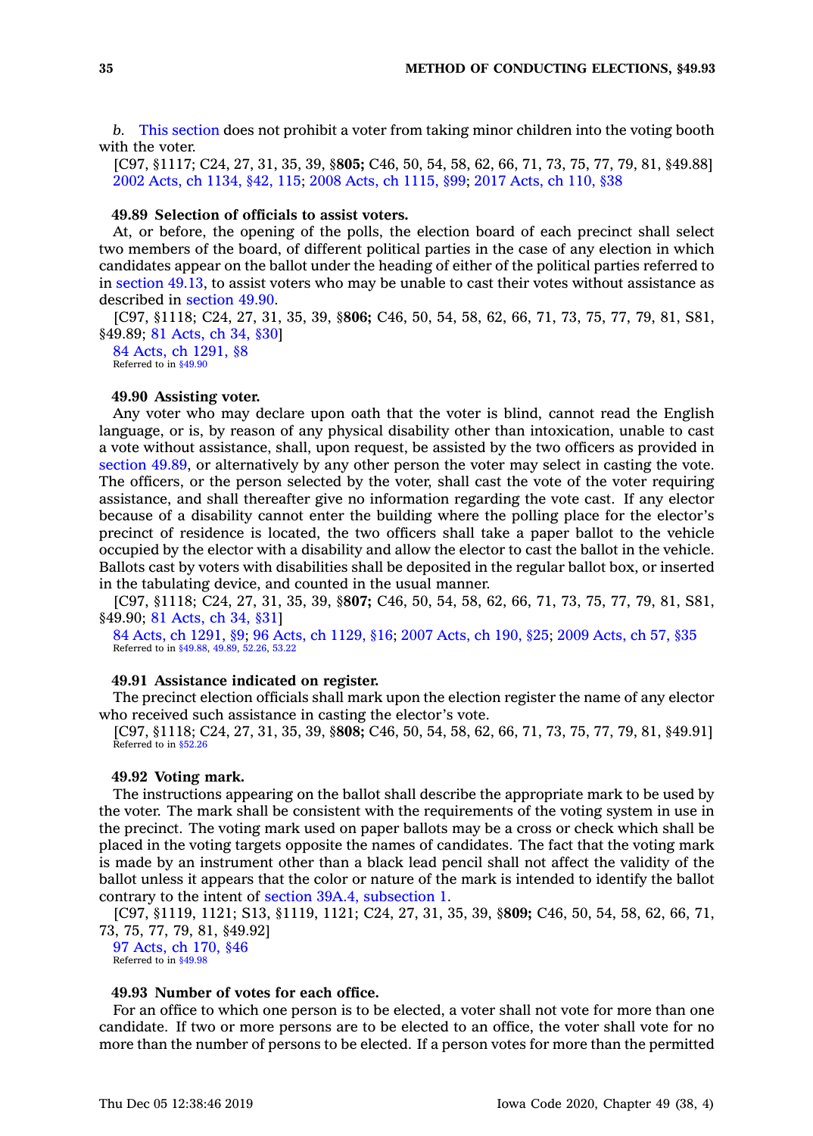*b.* This [section](https://www.legis.iowa.gov/docs/code/49.88.pdf) does not prohibit <sup>a</sup> voter from taking minor children into the voting booth with the voter.

[C97, §1117; C24, 27, 31, 35, 39, §**805;** C46, 50, 54, 58, 62, 66, 71, 73, 75, 77, 79, 81, §49.88] 2002 Acts, ch [1134,](https://www.legis.iowa.gov/docs/acts/2002/CH1134.pdf) §42, 115; 2008 Acts, ch [1115,](https://www.legis.iowa.gov/docs/acts/2008/CH1115.pdf) §99; 2017 [Acts,](https://www.legis.iowa.gov/docs/acts/2017/CH0110.pdf) ch 110, §38

## **49.89 Selection of officials to assist voters.**

At, or before, the opening of the polls, the election board of each precinct shall select two members of the board, of different political parties in the case of any election in which candidates appear on the ballot under the heading of either of the political parties referred to in [section](https://www.legis.iowa.gov/docs/code/49.13.pdf) 49.13, to assist voters who may be unable to cast their votes without assistance as described in [section](https://www.legis.iowa.gov/docs/code/49.90.pdf) 49.90.

[C97, §1118; C24, 27, 31, 35, 39, §**806;** C46, 50, 54, 58, 62, 66, 71, 73, 75, 77, 79, 81, S81, §49.89; 81 [Acts,](https://www.legis.iowa.gov/docs/acts/1981/CH0034.pdf) ch 34, §30]

84 Acts, ch [1291,](https://www.legis.iowa.gov/docs/acts/1984/CH1291.pdf) §8 Referred to in [§49.90](https://www.legis.iowa.gov/docs/code/49.90.pdf)

# **49.90 Assisting voter.**

Any voter who may declare upon oath that the voter is blind, cannot read the English language, or is, by reason of any physical disability other than intoxication, unable to cast <sup>a</sup> vote without assistance, shall, upon request, be assisted by the two officers as provided in [section](https://www.legis.iowa.gov/docs/code/49.89.pdf) 49.89, or alternatively by any other person the voter may select in casting the vote. The officers, or the person selected by the voter, shall cast the vote of the voter requiring assistance, and shall thereafter give no information regarding the vote cast. If any elector because of <sup>a</sup> disability cannot enter the building where the polling place for the elector's precinct of residence is located, the two officers shall take <sup>a</sup> paper ballot to the vehicle occupied by the elector with <sup>a</sup> disability and allow the elector to cast the ballot in the vehicle. Ballots cast by voters with disabilities shall be deposited in the regular ballot box, or inserted in the tabulating device, and counted in the usual manner.

[C97, §1118; C24, 27, 31, 35, 39, §**807;** C46, 50, 54, 58, 62, 66, 71, 73, 75, 77, 79, 81, S81, §49.90; 81 [Acts,](https://www.legis.iowa.gov/docs/acts/1981/CH0034.pdf) ch 34, §31]

84 Acts, ch [1291,](https://www.legis.iowa.gov/docs/acts/1984/CH1291.pdf) §9; 96 Acts, ch [1129,](https://www.legis.iowa.gov/docs/acts/1996/CH1129.pdf) §16; 2007 [Acts,](https://www.legis.iowa.gov/docs/acts/2007/CH0190.pdf) ch 190, §25; 2009 [Acts,](https://www.legis.iowa.gov/docs/acts/2009/CH0057.pdf) ch 57, §35 Referred to in [§49.88](https://www.legis.iowa.gov/docs/code/49.88.pdf), [49.89](https://www.legis.iowa.gov/docs/code/49.89.pdf), [52.26](https://www.legis.iowa.gov/docs/code/52.26.pdf), [53.22](https://www.legis.iowa.gov/docs/code/53.22.pdf)

#### **49.91 Assistance indicated on register.**

The precinct election officials shall mark upon the election register the name of any elector who received such assistance in casting the elector's vote.

[C97, §1118; C24, 27, 31, 35, 39, §**808;** C46, 50, 54, 58, 62, 66, 71, 73, 75, 77, 79, 81, §49.91] Referred to in [§52.26](https://www.legis.iowa.gov/docs/code/52.26.pdf)

# **49.92 Voting mark.**

The instructions appearing on the ballot shall describe the appropriate mark to be used by the voter. The mark shall be consistent with the requirements of the voting system in use in the precinct. The voting mark used on paper ballots may be <sup>a</sup> cross or check which shall be placed in the voting targets opposite the names of candidates. The fact that the voting mark is made by an instrument other than <sup>a</sup> black lead pencil shall not affect the validity of the ballot unless it appears that the color or nature of the mark is intended to identify the ballot contrary to the intent of section 39A.4, [subsection](https://www.legis.iowa.gov/docs/code/39A.4.pdf) 1.

[C97, §1119, 1121; S13, §1119, 1121; C24, 27, 31, 35, 39, §**809;** C46, 50, 54, 58, 62, 66, 71, 73, 75, 77, 79, 81, §49.92]

97 [Acts,](https://www.legis.iowa.gov/docs/acts/1997/CH0170.pdf) ch 170, §46 Referred to in [§49.98](https://www.legis.iowa.gov/docs/code/49.98.pdf)

# **49.93 Number of votes for each office.**

For an office to which one person is to be elected, <sup>a</sup> voter shall not vote for more than one candidate. If two or more persons are to be elected to an office, the voter shall vote for no more than the number of persons to be elected. If <sup>a</sup> person votes for more than the permitted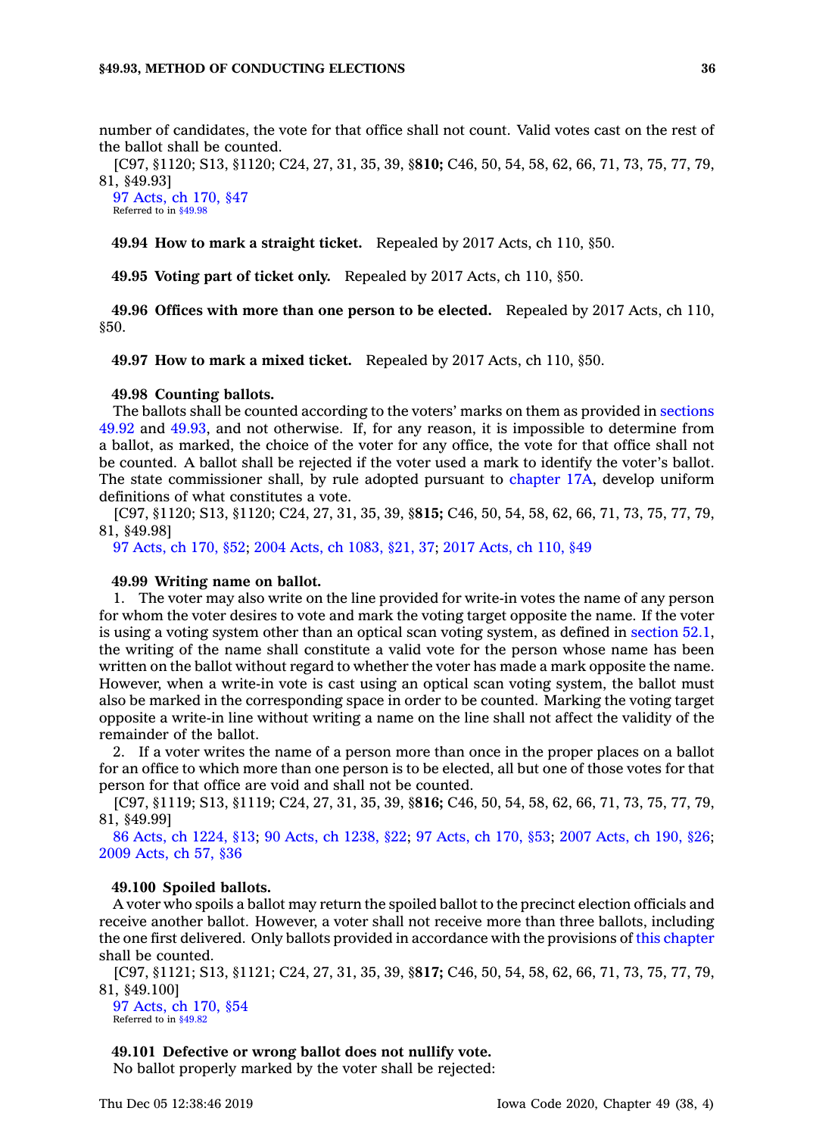number of candidates, the vote for that office shall not count. Valid votes cast on the rest of the ballot shall be counted.

[C97, §1120; S13, §1120; C24, 27, 31, 35, 39, §**810;** C46, 50, 54, 58, 62, 66, 71, 73, 75, 77, 79, 81, §49.93]

97 [Acts,](https://www.legis.iowa.gov/docs/acts/1997/CH0170.pdf) ch 170, §47 Referred to in [§49.98](https://www.legis.iowa.gov/docs/code/49.98.pdf)

**49.94 How to mark <sup>a</sup> straight ticket.** Repealed by 2017 Acts, ch 110, §50.

**49.95 Voting part of ticket only.** Repealed by 2017 Acts, ch 110, §50.

**49.96 Offices with more than one person to be elected.** Repealed by 2017 Acts, ch 110, §50.

**49.97 How to mark <sup>a</sup> mixed ticket.** Repealed by 2017 Acts, ch 110, §50.

#### **49.98 Counting ballots.**

The ballots shall be counted according to the voters' marks on them as provided in [sections](https://www.legis.iowa.gov/docs/code/49.92.pdf) [49.92](https://www.legis.iowa.gov/docs/code/49.92.pdf) and [49.93](https://www.legis.iowa.gov/docs/code/49.93.pdf), and not otherwise. If, for any reason, it is impossible to determine from <sup>a</sup> ballot, as marked, the choice of the voter for any office, the vote for that office shall not be counted. A ballot shall be rejected if the voter used <sup>a</sup> mark to identify the voter's ballot. The state commissioner shall, by rule adopted pursuant to [chapter](https://www.legis.iowa.gov/docs/code//17A.pdf) 17A, develop uniform definitions of what constitutes <sup>a</sup> vote.

[C97, §1120; S13, §1120; C24, 27, 31, 35, 39, §**815;** C46, 50, 54, 58, 62, 66, 71, 73, 75, 77, 79, 81, §49.98]

97 [Acts,](https://www.legis.iowa.gov/docs/acts/97/CH0170.pdf) ch 170, §52; 2004 Acts, ch [1083,](https://www.legis.iowa.gov/docs/acts/2004/CH1083.pdf) §21, 37; 2017 [Acts,](https://www.legis.iowa.gov/docs/acts/2017/CH0110.pdf) ch 110, §49

#### **49.99 Writing name on ballot.**

1. The voter may also write on the line provided for write-in votes the name of any person for whom the voter desires to vote and mark the voting target opposite the name. If the voter is using <sup>a</sup> voting system other than an optical scan voting system, as defined in [section](https://www.legis.iowa.gov/docs/code/52.1.pdf) 52.1, the writing of the name shall constitute <sup>a</sup> valid vote for the person whose name has been written on the ballot without regard to whether the voter has made <sup>a</sup> mark opposite the name. However, when <sup>a</sup> write-in vote is cast using an optical scan voting system, the ballot must also be marked in the corresponding space in order to be counted. Marking the voting target opposite <sup>a</sup> write-in line without writing <sup>a</sup> name on the line shall not affect the validity of the remainder of the ballot.

2. If <sup>a</sup> voter writes the name of <sup>a</sup> person more than once in the proper places on <sup>a</sup> ballot for an office to which more than one person is to be elected, all but one of those votes for that person for that office are void and shall not be counted.

[C97, §1119; S13, §1119; C24, 27, 31, 35, 39, §**816;** C46, 50, 54, 58, 62, 66, 71, 73, 75, 77, 79, 81, §49.99]

86 Acts, ch [1224,](https://www.legis.iowa.gov/docs/acts/1986/CH1224.pdf) §13; 90 Acts, ch [1238,](https://www.legis.iowa.gov/docs/acts/1990/CH1238.pdf) §22; 97 [Acts,](https://www.legis.iowa.gov/docs/acts/1997/CH0170.pdf) ch 170, §53; 2007 [Acts,](https://www.legis.iowa.gov/docs/acts/2007/CH0190.pdf) ch 190, §26; 2009 [Acts,](https://www.legis.iowa.gov/docs/acts/2009/CH0057.pdf) ch 57, §36

### **49.100 Spoiled ballots.**

A voter who spoils <sup>a</sup> ballot may return the spoiled ballot to the precinct election officials and receive another ballot. However, <sup>a</sup> voter shall not receive more than three ballots, including the one first delivered. Only ballots provided in accordance with the provisions of this [chapter](https://www.legis.iowa.gov/docs/code//49.pdf) shall be counted.

[C97, §1121; S13, §1121; C24, 27, 31, 35, 39, §**817;** C46, 50, 54, 58, 62, 66, 71, 73, 75, 77, 79, 81, §49.100]

97 [Acts,](https://www.legis.iowa.gov/docs/acts/1997/CH0170.pdf) ch 170, §54 Referred to in [§49.82](https://www.legis.iowa.gov/docs/code/49.82.pdf)

# **49.101 Defective or wrong ballot does not nullify vote.**

No ballot properly marked by the voter shall be rejected: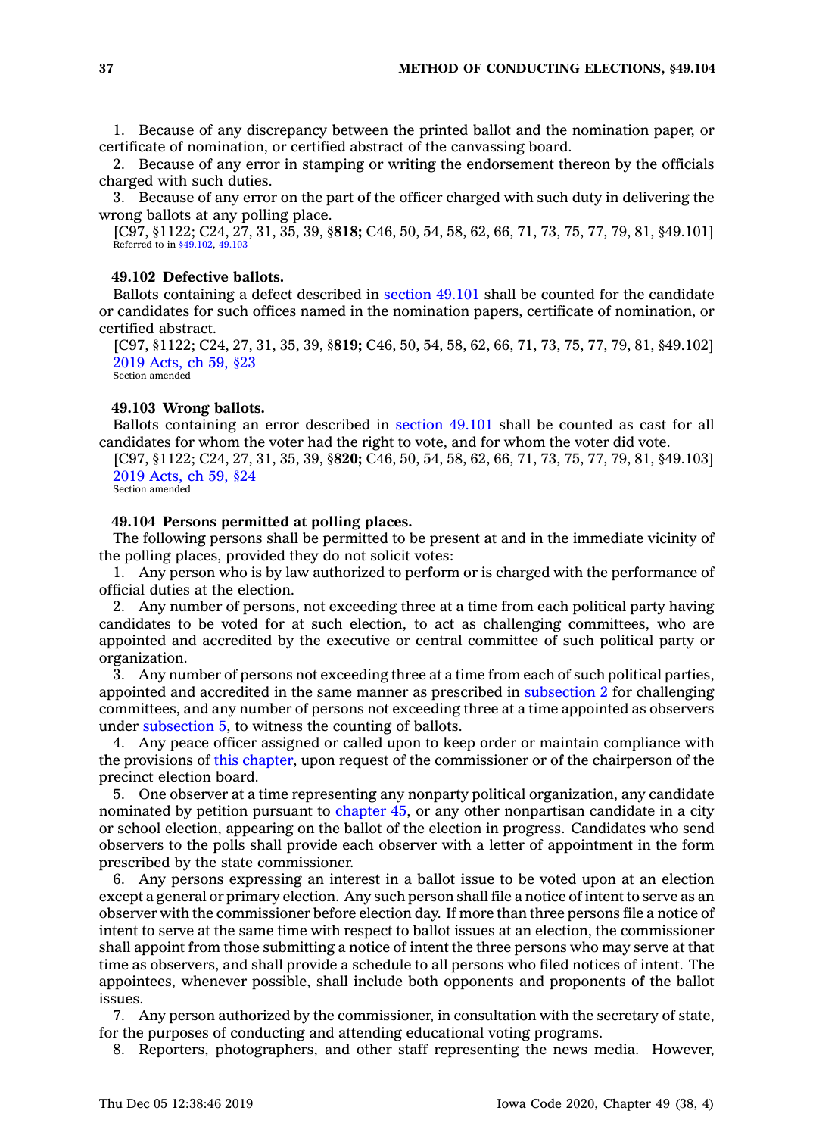1. Because of any discrepancy between the printed ballot and the nomination paper, or certificate of nomination, or certified abstract of the canvassing board.

2. Because of any error in stamping or writing the endorsement thereon by the officials charged with such duties.

3. Because of any error on the part of the officer charged with such duty in delivering the wrong ballots at any polling place.

[C97, §1122; C24, 27, 31, 35, 39, §**818;** C46, 50, 54, 58, 62, 66, 71, 73, 75, 77, 79, 81, §49.101] Referred to in [§49.102](https://www.legis.iowa.gov/docs/code/49.102.pdf), [49.103](https://www.legis.iowa.gov/docs/code/49.103.pdf)

# **49.102 Defective ballots.**

Ballots containing <sup>a</sup> defect described in [section](https://www.legis.iowa.gov/docs/code/49.101.pdf) 49.101 shall be counted for the candidate or candidates for such offices named in the nomination papers, certificate of nomination, or certified abstract.

[C97, §1122; C24, 27, 31, 35, 39, §**819;** C46, 50, 54, 58, 62, 66, 71, 73, 75, 77, 79, 81, §49.102] 2019 [Acts,](https://www.legis.iowa.gov/docs/acts/2019/CH0059.pdf) ch 59, §23 Section amended

#### **49.103 Wrong ballots.**

Ballots containing an error described in [section](https://www.legis.iowa.gov/docs/code/49.101.pdf) 49.101 shall be counted as cast for all candidates for whom the voter had the right to vote, and for whom the voter did vote.

[C97, §1122; C24, 27, 31, 35, 39, §**820;** C46, 50, 54, 58, 62, 66, 71, 73, 75, 77, 79, 81, §49.103] 2019 [Acts,](https://www.legis.iowa.gov/docs/acts/2019/CH0059.pdf) ch 59, §24 Section amended

# **49.104 Persons permitted at polling places.**

The following persons shall be permitted to be present at and in the immediate vicinity of the polling places, provided they do not solicit votes:

1. Any person who is by law authorized to perform or is charged with the performance of official duties at the election.

2. Any number of persons, not exceeding three at <sup>a</sup> time from each political party having candidates to be voted for at such election, to act as challenging committees, who are appointed and accredited by the executive or central committee of such political party or organization.

3. Any number of persons not exceeding three at <sup>a</sup> time from each of such political parties, appointed and accredited in the same manner as prescribed in [subsection](https://www.legis.iowa.gov/docs/code/49.104.pdf) 2 for challenging committees, and any number of persons not exceeding three at <sup>a</sup> time appointed as observers under [subsection](https://www.legis.iowa.gov/docs/code/49.104.pdf) 5, to witness the counting of ballots.

4. Any peace officer assigned or called upon to keep order or maintain compliance with the provisions of this [chapter](https://www.legis.iowa.gov/docs/code//49.pdf), upon request of the commissioner or of the chairperson of the precinct election board.

5. One observer at <sup>a</sup> time representing any nonparty political organization, any candidate nominated by petition pursuant to [chapter](https://www.legis.iowa.gov/docs/code//45.pdf) 45, or any other nonpartisan candidate in <sup>a</sup> city or school election, appearing on the ballot of the election in progress. Candidates who send observers to the polls shall provide each observer with <sup>a</sup> letter of appointment in the form prescribed by the state commissioner.

6. Any persons expressing an interest in <sup>a</sup> ballot issue to be voted upon at an election except <sup>a</sup> general or primary election. Any such person shall file <sup>a</sup> notice of intent to serve as an observer with the commissioner before election day. If more than three persons file <sup>a</sup> notice of intent to serve at the same time with respect to ballot issues at an election, the commissioner shall appoint from those submitting <sup>a</sup> notice of intent the three persons who may serve at that time as observers, and shall provide <sup>a</sup> schedule to all persons who filed notices of intent. The appointees, whenever possible, shall include both opponents and proponents of the ballot issues.

7. Any person authorized by the commissioner, in consultation with the secretary of state, for the purposes of conducting and attending educational voting programs.

8. Reporters, photographers, and other staff representing the news media. However,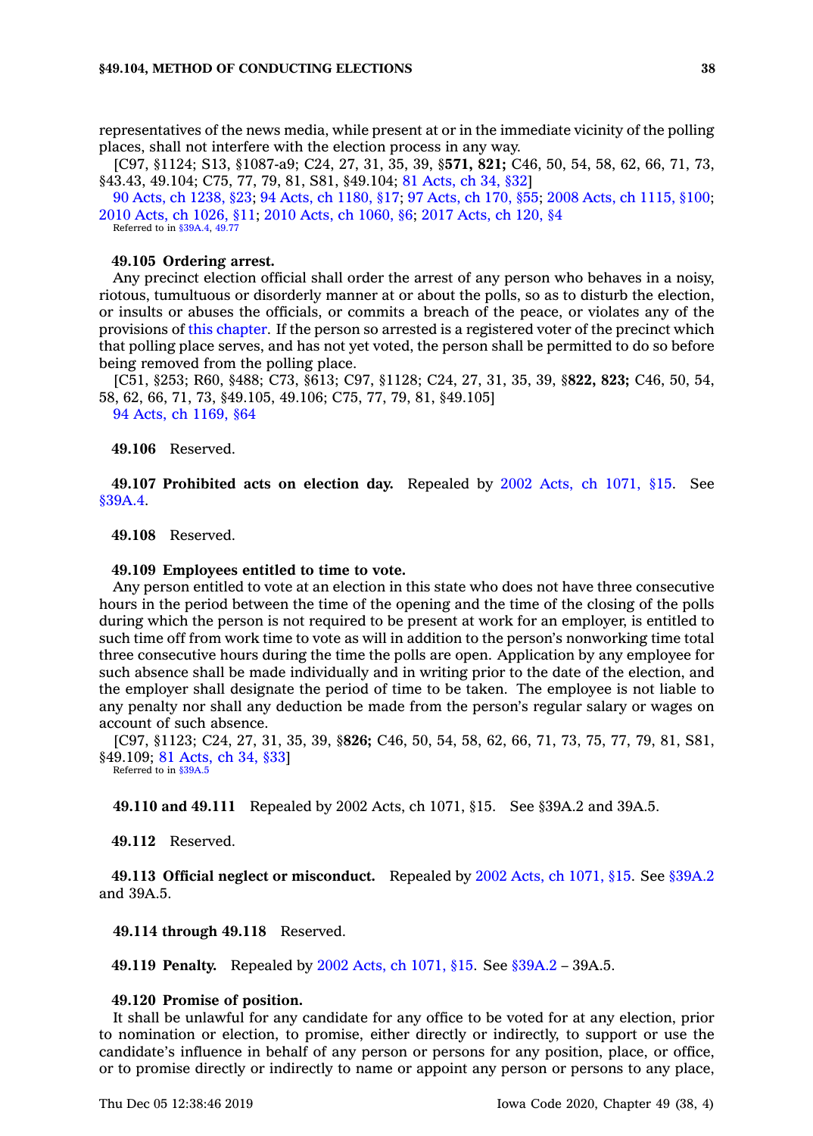representatives of the news media, while present at or in the immediate vicinity of the polling places, shall not interfere with the election process in any way.

[C97, §1124; S13, §1087-a9; C24, 27, 31, 35, 39, §**571, 821;** C46, 50, 54, 58, 62, 66, 71, 73, §43.43, 49.104; C75, 77, 79, 81, S81, §49.104; 81 [Acts,](https://www.legis.iowa.gov/docs/acts/1981/CH0034.pdf) ch 34, §32]

90 Acts, ch [1238,](https://www.legis.iowa.gov/docs/acts/90/CH1238.pdf) §23; 94 Acts, ch [1180,](https://www.legis.iowa.gov/docs/acts/94/CH1180.pdf) §17; 97 [Acts,](https://www.legis.iowa.gov/docs/acts/97/CH0170.pdf) ch 170, §55; 2008 Acts, ch [1115,](https://www.legis.iowa.gov/docs/acts/2008/CH1115.pdf) §100; 2010 Acts, ch [1026,](https://www.legis.iowa.gov/docs/acts/2010/CH1026.pdf) §11; 2010 Acts, ch [1060,](https://www.legis.iowa.gov/docs/acts/2010/CH1060.pdf) §6; 2017 [Acts,](https://www.legis.iowa.gov/docs/acts/2017/CH0120.pdf) ch 120, §4 Referred to in [§39A.4](https://www.legis.iowa.gov/docs/code/39A.4.pdf), [49.77](https://www.legis.iowa.gov/docs/code/49.77.pdf)

# **49.105 Ordering arrest.**

Any precinct election official shall order the arrest of any person who behaves in <sup>a</sup> noisy, riotous, tumultuous or disorderly manner at or about the polls, so as to disturb the election, or insults or abuses the officials, or commits <sup>a</sup> breach of the peace, or violates any of the provisions of this [chapter](https://www.legis.iowa.gov/docs/code//49.pdf). If the person so arrested is <sup>a</sup> registered voter of the precinct which that polling place serves, and has not yet voted, the person shall be permitted to do so before being removed from the polling place.

[C51, §253; R60, §488; C73, §613; C97, §1128; C24, 27, 31, 35, 39, §**822, 823;** C46, 50, 54, 58, 62, 66, 71, 73, §49.105, 49.106; C75, 77, 79, 81, §49.105]

94 Acts, ch [1169,](https://www.legis.iowa.gov/docs/acts/1994/CH1169.pdf) §64

**49.106** Reserved.

**49.107 Prohibited acts on election day.** Repealed by 2002 Acts, ch [1071,](https://www.legis.iowa.gov/docs/acts/2002/CH1071.pdf) §15. See [§39A.4](https://www.legis.iowa.gov/docs/code/39A.4.pdf).

**49.108** Reserved.

#### **49.109 Employees entitled to time to vote.**

Any person entitled to vote at an election in this state who does not have three consecutive hours in the period between the time of the opening and the time of the closing of the polls during which the person is not required to be present at work for an employer, is entitled to such time off from work time to vote as will in addition to the person's nonworking time total three consecutive hours during the time the polls are open. Application by any employee for such absence shall be made individually and in writing prior to the date of the election, and the employer shall designate the period of time to be taken. The employee is not liable to any penalty nor shall any deduction be made from the person's regular salary or wages on account of such absence.

[C97, §1123; C24, 27, 31, 35, 39, §**826;** C46, 50, 54, 58, 62, 66, 71, 73, 75, 77, 79, 81, S81, §49.109; 81 [Acts,](https://www.legis.iowa.gov/docs/acts/1981/CH0034.pdf) ch 34, §33]

Referred to in [§39A.5](https://www.legis.iowa.gov/docs/code/39A.5.pdf)

**49.110 and 49.111** Repealed by 2002 Acts, ch 1071, §15. See §39A.2 and 39A.5.

**49.112** Reserved.

**49.113 Official neglect or misconduct.** Repealed by 2002 Acts, ch [1071,](https://www.legis.iowa.gov/docs/acts/2002/CH1071.pdf) §15. See [§39A.2](https://www.legis.iowa.gov/docs/code/39A.2.pdf) and 39A.5.

**49.114 through 49.118** Reserved.

**49.119 Penalty.** Repealed by 2002 Acts, ch [1071,](https://www.legis.iowa.gov/docs/acts/2002/CH1071.pdf) §15. See [§39A.2](https://www.legis.iowa.gov/docs/code/39A.2.pdf) – 39A.5.

# **49.120 Promise of position.**

It shall be unlawful for any candidate for any office to be voted for at any election, prior to nomination or election, to promise, either directly or indirectly, to support or use the candidate's influence in behalf of any person or persons for any position, place, or office, or to promise directly or indirectly to name or appoint any person or persons to any place,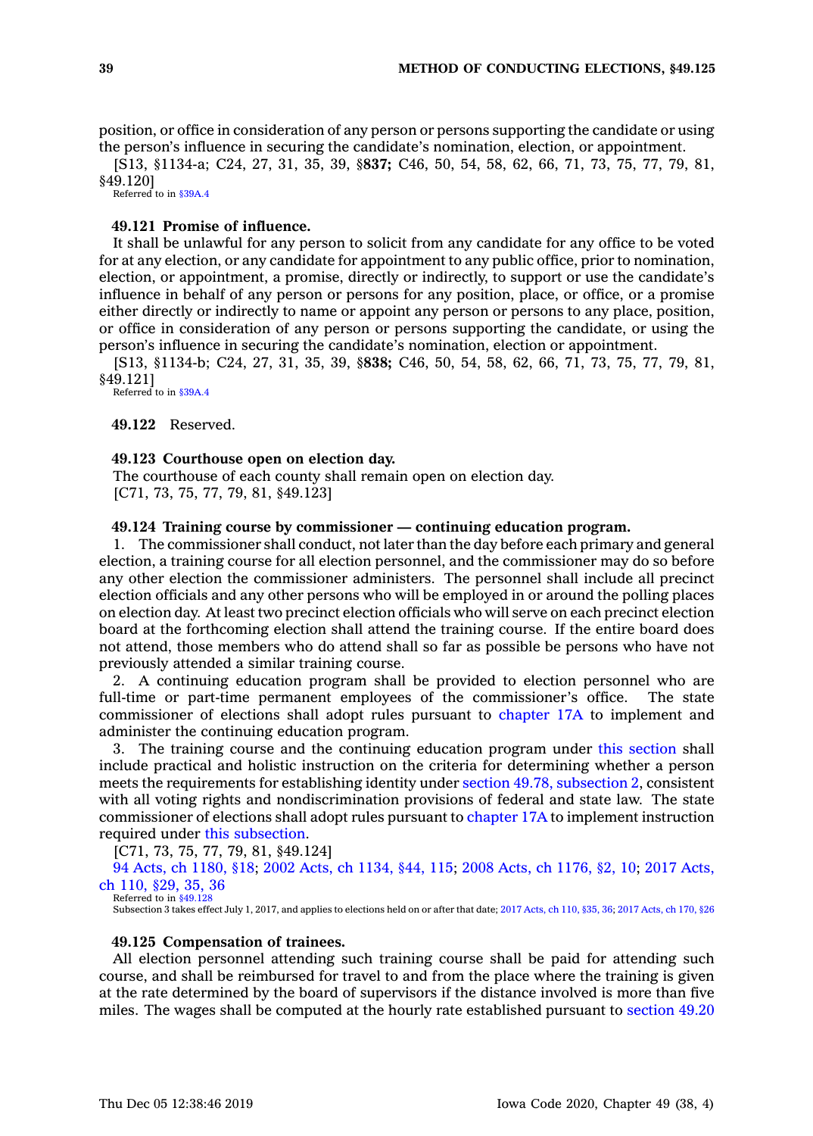position, or office in consideration of any person or persons supporting the candidate or using the person's influence in securing the candidate's nomination, election, or appointment.

[S13, §1134-a; C24, 27, 31, 35, 39, §**837;** C46, 50, 54, 58, 62, 66, 71, 73, 75, 77, 79, 81, §49.120]

Referred to in [§39A.4](https://www.legis.iowa.gov/docs/code/39A.4.pdf)

# **49.121 Promise of influence.**

It shall be unlawful for any person to solicit from any candidate for any office to be voted for at any election, or any candidate for appointment to any public office, prior to nomination, election, or appointment, <sup>a</sup> promise, directly or indirectly, to support or use the candidate's influence in behalf of any person or persons for any position, place, or office, or <sup>a</sup> promise either directly or indirectly to name or appoint any person or persons to any place, position, or office in consideration of any person or persons supporting the candidate, or using the person's influence in securing the candidate's nomination, election or appointment.

[S13, §1134-b; C24, 27, 31, 35, 39, §**838;** C46, 50, 54, 58, 62, 66, 71, 73, 75, 77, 79, 81, §49.121] Referred to in [§39A.4](https://www.legis.iowa.gov/docs/code/39A.4.pdf)

**49.122** Reserved.

#### **49.123 Courthouse open on election day.**

The courthouse of each county shall remain open on election day. [C71, 73, 75, 77, 79, 81, §49.123]

# **49.124 Training course by commissioner — continuing education program.**

1. The commissioner shall conduct, not later than the day before each primary and general election, <sup>a</sup> training course for all election personnel, and the commissioner may do so before any other election the commissioner administers. The personnel shall include all precinct election officials and any other persons who will be employed in or around the polling places on election day. At least two precinct election officials who will serve on each precinct election board at the forthcoming election shall attend the training course. If the entire board does not attend, those members who do attend shall so far as possible be persons who have not previously attended <sup>a</sup> similar training course.

2. A continuing education program shall be provided to election personnel who are full-time or part-time permanent employees of the commissioner's office. The state commissioner of elections shall adopt rules pursuant to [chapter](https://www.legis.iowa.gov/docs/code//17A.pdf) 17A to implement and administer the continuing education program.

3. The training course and the continuing education program under this [section](https://www.legis.iowa.gov/docs/code/49.124.pdf) shall include practical and holistic instruction on the criteria for determining whether <sup>a</sup> person meets the requirements for establishing identity under section 49.78, [subsection](https://www.legis.iowa.gov/docs/code/49.78.pdf) 2, consistent with all voting rights and nondiscrimination provisions of federal and state law. The state commissioner of elections shall adopt rules pursuant to [chapter](https://www.legis.iowa.gov/docs/code//17A.pdf) 17A to implement instruction required under this [subsection](https://www.legis.iowa.gov/docs/code/49.124.pdf).

[C71, 73, 75, 77, 79, 81, §49.124]

94 Acts, ch [1180,](https://www.legis.iowa.gov/docs/acts/94/CH1180.pdf) §18; 2002 Acts, ch [1134,](https://www.legis.iowa.gov/docs/acts/2002/CH1134.pdf) §44, 115; 2008 Acts, ch [1176,](https://www.legis.iowa.gov/docs/acts/2008/CH1176.pdf) §2, 10; 2017 [Acts,](https://www.legis.iowa.gov/docs/acts/2017/CH0110.pdf) ch 110, [§29,](https://www.legis.iowa.gov/docs/acts/2017/CH0110.pdf) 35, 36

Referred to in [§49.128](https://www.legis.iowa.gov/docs/code/49.128.pdf)

Subsection 3 takes effect July 1, 2017, and applies to elections held on or after that date; 2017 [Acts,](https://www.legis.iowa.gov/docs/acts/2017/CH0110.pdf) ch 110, §35, 36; 2017 [Acts,](https://www.legis.iowa.gov/docs/acts/2017/CH0170.pdf) ch 170, §26

# **49.125 Compensation of trainees.**

All election personnel attending such training course shall be paid for attending such course, and shall be reimbursed for travel to and from the place where the training is given at the rate determined by the board of supervisors if the distance involved is more than five miles. The wages shall be computed at the hourly rate established pursuant to [section](https://www.legis.iowa.gov/docs/code/49.20.pdf) 49.20